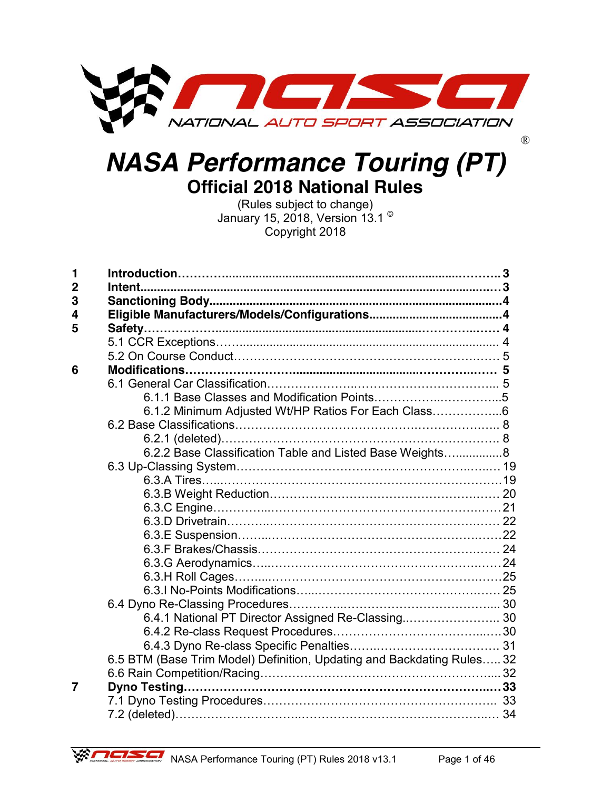

# *NASA Performance Touring (PT)* **Official 2018 National Rules**

(Rules subject to change) January 15, 2018, Version 13.1<sup>c</sup> Copyright 2018

| 1              |                                                                        |  |
|----------------|------------------------------------------------------------------------|--|
| $\overline{2}$ |                                                                        |  |
| 3              |                                                                        |  |
| 4              |                                                                        |  |
| 5              |                                                                        |  |
|                |                                                                        |  |
|                |                                                                        |  |
| 6              |                                                                        |  |
|                |                                                                        |  |
|                |                                                                        |  |
|                | 6.1.2 Minimum Adjusted Wt/HP Ratios For Each Class6                    |  |
|                |                                                                        |  |
|                |                                                                        |  |
|                | 6.2.2 Base Classification Table and Listed Base Weights8               |  |
|                |                                                                        |  |
|                |                                                                        |  |
|                |                                                                        |  |
|                |                                                                        |  |
|                |                                                                        |  |
|                |                                                                        |  |
|                |                                                                        |  |
|                |                                                                        |  |
|                |                                                                        |  |
|                |                                                                        |  |
|                |                                                                        |  |
|                | 6.4.1 National PT Director Assigned Re-Classing 30                     |  |
|                |                                                                        |  |
|                |                                                                        |  |
|                | 6.5 BTM (Base Trim Model) Definition, Updating and Backdating Rules 32 |  |
|                |                                                                        |  |
| 7              |                                                                        |  |
|                |                                                                        |  |
|                |                                                                        |  |

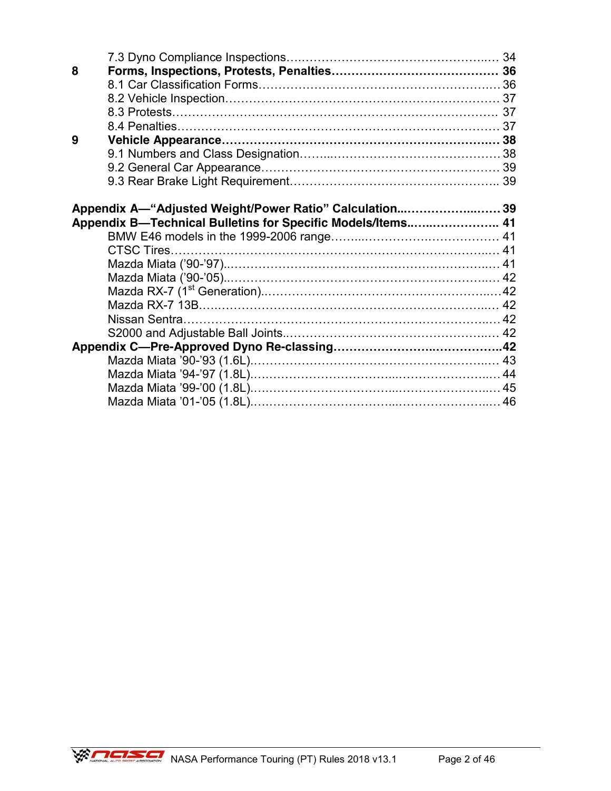| 8 |                                                             |  |
|---|-------------------------------------------------------------|--|
|   |                                                             |  |
|   |                                                             |  |
|   |                                                             |  |
|   |                                                             |  |
| 9 |                                                             |  |
|   |                                                             |  |
|   |                                                             |  |
|   |                                                             |  |
|   |                                                             |  |
|   | Appendix A—"Adjusted Weight/Power Ratio" Calculation 39     |  |
|   | Appendix B-Technical Bulletins for Specific Models/Items 41 |  |
|   |                                                             |  |
|   |                                                             |  |
|   |                                                             |  |
|   |                                                             |  |
|   |                                                             |  |
|   |                                                             |  |
|   |                                                             |  |
|   |                                                             |  |
|   |                                                             |  |
|   |                                                             |  |
|   |                                                             |  |
|   |                                                             |  |
|   |                                                             |  |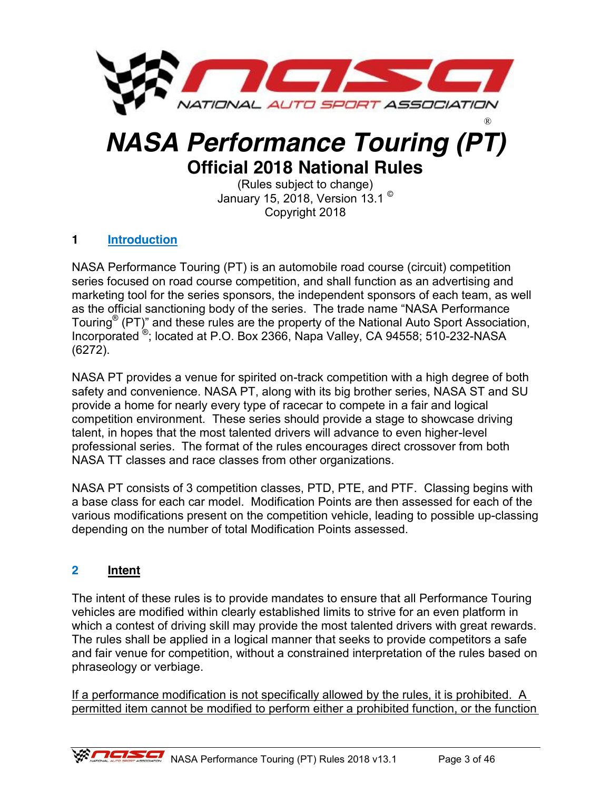

# *NASA Performance Touring (PT)* **Official 2018 National Rules**

(Rules subject to change) January 15, 2018, Version 13.1 © Copyright 2018

# **1 Introduction**

NASA Performance Touring (PT) is an automobile road course (circuit) competition series focused on road course competition, and shall function as an advertising and marketing tool for the series sponsors, the independent sponsors of each team, as well as the official sanctioning body of the series. The trade name "NASA Performance Touring<sup>®</sup> (PT)" and these rules are the property of the National Auto Sport Association, Incorporated ®; located at P.O. Box 2366, Napa Valley, CA 94558; 510-232-NASA (6272).

NASA PT provides a venue for spirited on-track competition with a high degree of both safety and convenience. NASA PT, along with its big brother series, NASA ST and SU provide a home for nearly every type of racecar to compete in a fair and logical competition environment. These series should provide a stage to showcase driving talent, in hopes that the most talented drivers will advance to even higher-level professional series. The format of the rules encourages direct crossover from both NASA TT classes and race classes from other organizations.

NASA PT consists of 3 competition classes, PTD, PTE, and PTF. Classing begins with a base class for each car model. Modification Points are then assessed for each of the various modifications present on the competition vehicle, leading to possible up-classing depending on the number of total Modification Points assessed.

### **2 Intent**

The intent of these rules is to provide mandates to ensure that all Performance Touring vehicles are modified within clearly established limits to strive for an even platform in which a contest of driving skill may provide the most talented drivers with great rewards. The rules shall be applied in a logical manner that seeks to provide competitors a safe and fair venue for competition, without a constrained interpretation of the rules based on phraseology or verbiage.

If a performance modification is not specifically allowed by the rules, it is prohibited. A permitted item cannot be modified to perform either a prohibited function, or the function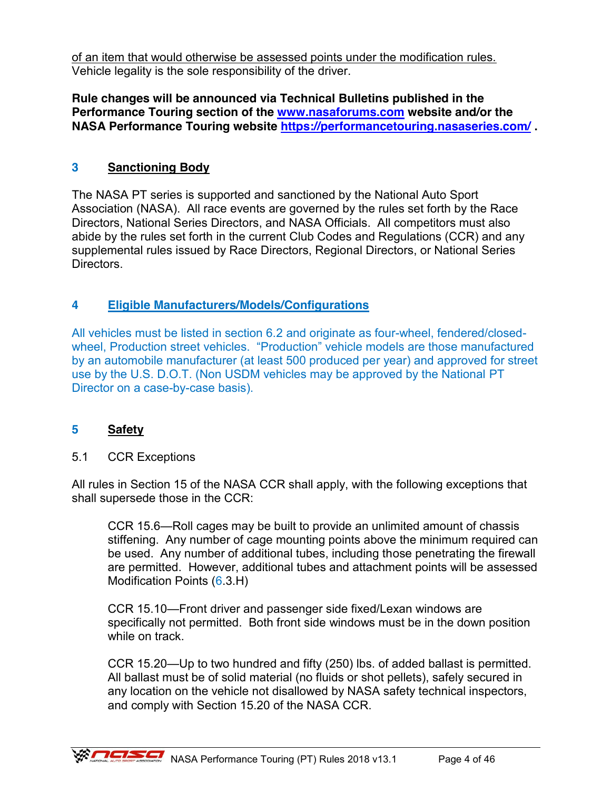of an item that would otherwise be assessed points under the modification rules. Vehicle legality is the sole responsibility of the driver.

**Rule changes will be announced via Technical Bulletins published in the Performance Touring section of the [www.nasaforums.com](http://www.nasaforums.com/) website and/or the NASA Performance Touring website<https://performancetouring.nasaseries.com/> .**

### **3 Sanctioning Body**

The NASA PT series is supported and sanctioned by the National Auto Sport Association (NASA). All race events are governed by the rules set forth by the Race Directors, National Series Directors, and NASA Officials. All competitors must also abide by the rules set forth in the current Club Codes and Regulations (CCR) and any supplemental rules issued by Race Directors, Regional Directors, or National Series Directors.

# **4 Eligible Manufacturers/Models/Configurations**

All vehicles must be listed in section 6.2 and originate as four-wheel, fendered/closedwheel, Production street vehicles. "Production" vehicle models are those manufactured by an automobile manufacturer (at least 500 produced per year) and approved for street use by the U.S. D.O.T. (Non USDM vehicles may be approved by the National PT Director on a case-by-case basis).

### **5 Safety**

#### 5.1 CCR Exceptions

All rules in Section 15 of the NASA CCR shall apply, with the following exceptions that shall supersede those in the CCR:

CCR 15.6—Roll cages may be built to provide an unlimited amount of chassis stiffening. Any number of cage mounting points above the minimum required can be used. Any number of additional tubes, including those penetrating the firewall are permitted. However, additional tubes and attachment points will be assessed Modification Points (6.3.H)

CCR 15.10—Front driver and passenger side fixed/Lexan windows are specifically not permitted. Both front side windows must be in the down position while on track.

CCR 15.20—Up to two hundred and fifty (250) lbs. of added ballast is permitted. All ballast must be of solid material (no fluids or shot pellets), safely secured in any location on the vehicle not disallowed by NASA safety technical inspectors, and comply with Section 15.20 of the NASA CCR.

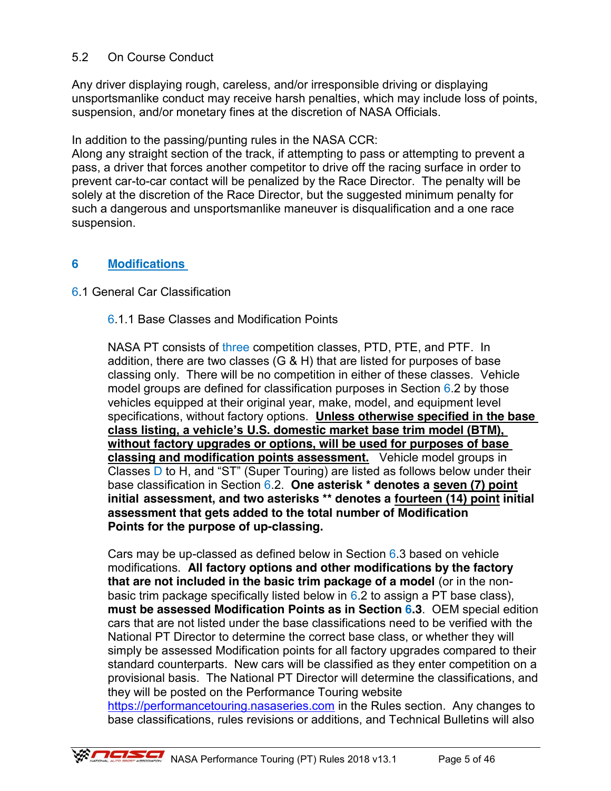### 5.2 On Course Conduct

Any driver displaying rough, careless, and/or irresponsible driving or displaying unsportsmanlike conduct may receive harsh penalties, which may include loss of points, suspension, and/or monetary fines at the discretion of NASA Officials.

In addition to the passing/punting rules in the NASA CCR:

Along any straight section of the track, if attempting to pass or attempting to prevent a pass, a driver that forces another competitor to drive off the racing surface in order to prevent car-to-car contact will be penalized by the Race Director. The penalty will be solely at the discretion of the Race Director, but the suggested minimum penalty for such a dangerous and unsportsmanlike maneuver is disqualification and a one race suspension.

### **6 Modifications**

### 6.1 General Car Classification

### 6.1.1 Base Classes and Modification Points

NASA PT consists of three competition classes, PTD, PTE, and PTF. In addition, there are two classes (G & H) that are listed for purposes of base classing only. There will be no competition in either of these classes. Vehicle model groups are defined for classification purposes in Section 6.2 by those vehicles equipped at their original year, make, model, and equipment level specifications, without factory options. **Unless otherwise specified in the base class listing, a vehicle's U.S. domestic market base trim model (BTM), without factory upgrades or options, will be used for purposes of base classing and modification points assessment.** Vehicle model groups in Classes  $\overline{D}$  to H, and "ST" (Super Touring) are listed as follows below under their base classification in Section 6.2. **One asterisk \* denotes a seven (7) point initial assessment, and two asterisks \*\* denotes a fourteen (14) point initial assessment that gets added to the total number of Modification Points for the purpose of up-classing.**

Cars may be up-classed as defined below in Section  $6.3$  based on vehicle modifications. **All factory options and other modifications by the factory that are not included in the basic trim package of a model** (or in the nonbasic trim package specifically listed below in  $6.2$  to assign a PT base class), **must be assessed Modification Points as in Section 6.3**. OEM special edition cars that are not listed under the base classifications need to be verified with the National PT Director to determine the correct base class, or whether they will simply be assessed Modification points for all factory upgrades compared to their standard counterparts. New cars will be classified as they enter competition on a provisional basis. The National PT Director will determine the classifications, and they will be posted on the Performance Touring website [https://performancetouring.nasaseries.com](https://performancetouring.nasaseries.com/) in the Rules section. Any changes to

base classifications, rules revisions or additions, and Technical Bulletins will also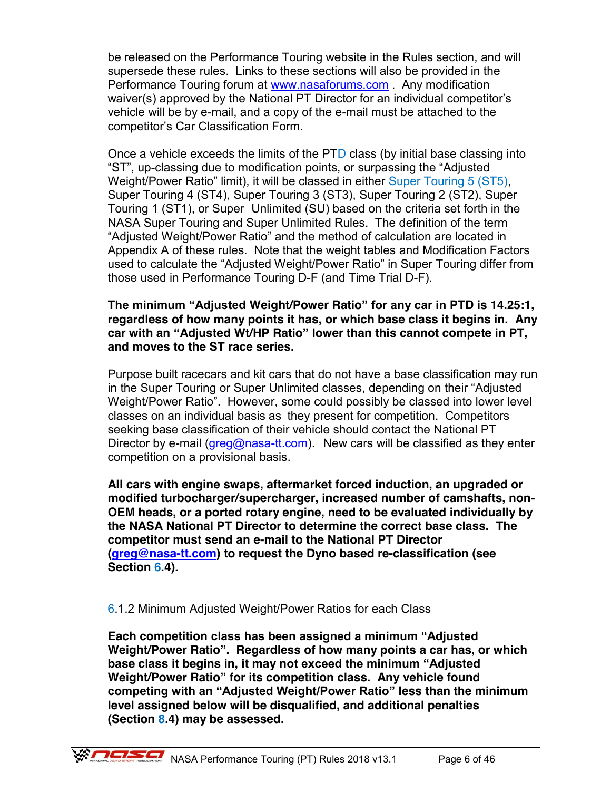be released on the Performance Touring website in the Rules section, and will supersede these rules. Links to these sections will also be provided in the Performance Touring forum at [www.nasaforums.com](http://www.nasaforums.com/) . Any modification waiver(s) approved by the National PT Director for an individual competitor's vehicle will be by e-mail, and a copy of the e-mail must be attached to the competitor's Car Classification Form.

Once a vehicle exceeds the limits of the PTD class (by initial base classing into "ST", up-classing due to modification points, or surpassing the "Adjusted Weight/Power Ratio" limit), it will be classed in either Super Touring 5 (ST5), Super Touring 4 (ST4), Super Touring 3 (ST3), Super Touring 2 (ST2), Super Touring 1 (ST1), or Super Unlimited (SU) based on the criteria set forth in the NASA Super Touring and Super Unlimited Rules. The definition of the term "Adjusted Weight/Power Ratio" and the method of calculation are located in Appendix A of these rules. Note that the weight tables and Modification Factors used to calculate the "Adjusted Weight/Power Ratio" in Super Touring differ from those used in Performance Touring D-F (and Time Trial D-F).

#### **The minimum "Adjusted Weight/Power Ratio" for any car in PTD is 14.25:1, regardless of how many points it has, or which base class it begins in. Any car with an "Adjusted Wt/HP Ratio" lower than this cannot compete in PT, and moves to the ST race series.**

Purpose built racecars and kit cars that do not have a base classification may run in the Super Touring or Super Unlimited classes, depending on their "Adjusted Weight/Power Ratio". However, some could possibly be classed into lower level classes on an individual basis as they present for competition. Competitors seeking base classification of their vehicle should contact the National PT Director by e-mail ( $\frac{area@n}{s}$ -tt.com). New cars will be classified as they enter competition on a provisional basis.

**All cars with engine swaps, aftermarket forced induction, an upgraded or modified turbocharger/supercharger, increased number of camshafts, non-OEM heads, or a ported rotary engine, need to be evaluated individually by the NASA National PT Director to determine the correct base class. The competitor must send an e-mail to the National PT Director [\(greg@nasa-tt.com\)](mailto:greg@nasa-tt.com) to request the Dyno based re-classification (see Section 6.4).** 

### 6.1.2 Minimum Adjusted Weight/Power Ratios for each Class

**Each competition class has been assigned a minimum "Adjusted Weight/Power Ratio". Regardless of how many points a car has, or which base class it begins in, it may not exceed the minimum "Adjusted Weight/Power Ratio" for its competition class. Any vehicle found competing with an "Adjusted Weight/Power Ratio" less than the minimum level assigned below will be disqualified, and additional penalties (Section 8.4) may be assessed.**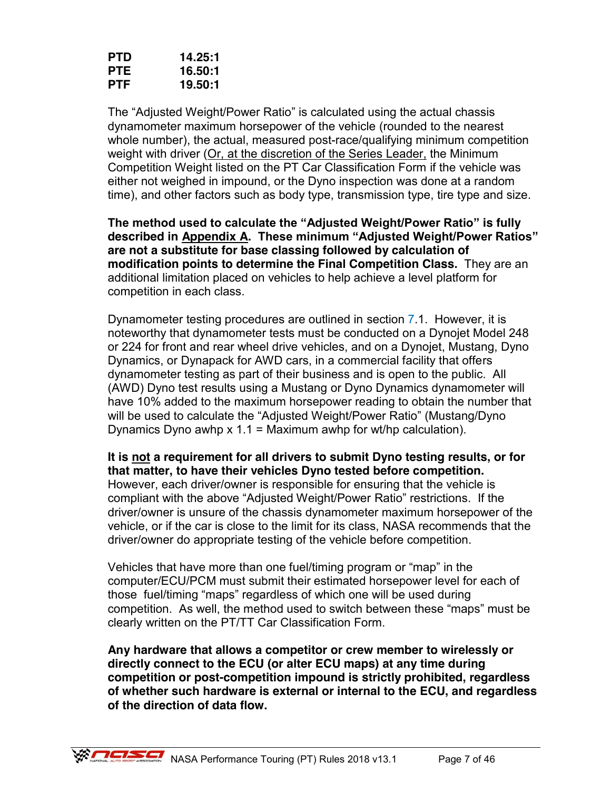| <b>PTD</b> | 14.25:1 |
|------------|---------|
| <b>PTE</b> | 16.50:1 |
| <b>PTF</b> | 19.50:1 |

The "Adjusted Weight/Power Ratio" is calculated using the actual chassis dynamometer maximum horsepower of the vehicle (rounded to the nearest whole number), the actual, measured post-race/qualifying minimum competition weight with driver (Or, at the discretion of the Series Leader, the Minimum Competition Weight listed on the PT Car Classification Form if the vehicle was either not weighed in impound, or the Dyno inspection was done at a random time), and other factors such as body type, transmission type, tire type and size.

**The method used to calculate the "Adjusted Weight/Power Ratio" is fully described in Appendix A. These minimum "Adjusted Weight/Power Ratios" are not a substitute for base classing followed by calculation of modification points to determine the Final Competition Class.** They are an additional limitation placed on vehicles to help achieve a level platform for competition in each class.

Dynamometer testing procedures are outlined in section 7.1. However, it is noteworthy that dynamometer tests must be conducted on a Dynojet Model 248 or 224 for front and rear wheel drive vehicles, and on a Dynojet, Mustang, Dyno Dynamics, or Dynapack for AWD cars, in a commercial facility that offers dynamometer testing as part of their business and is open to the public. All (AWD) Dyno test results using a Mustang or Dyno Dynamics dynamometer will have 10% added to the maximum horsepower reading to obtain the number that will be used to calculate the "Adjusted Weight/Power Ratio" (Mustang/Dyno Dynamics Dyno awhp  $x 1.1$  = Maximum awhp for wt/hp calculation).

**It is not a requirement for all drivers to submit Dyno testing results, or for that matter, to have their vehicles Dyno tested before competition.**  However, each driver/owner is responsible for ensuring that the vehicle is compliant with the above "Adjusted Weight/Power Ratio" restrictions. If the driver/owner is unsure of the chassis dynamometer maximum horsepower of the vehicle, or if the car is close to the limit for its class, NASA recommends that the driver/owner do appropriate testing of the vehicle before competition.

Vehicles that have more than one fuel/timing program or "map" in the computer/ECU/PCM must submit their estimated horsepower level for each of those fuel/timing "maps" regardless of which one will be used during competition. As well, the method used to switch between these "maps" must be clearly written on the PT/TT Car Classification Form.

**Any hardware that allows a competitor or crew member to wirelessly or directly connect to the ECU (or alter ECU maps) at any time during competition or post-competition impound is strictly prohibited, regardless of whether such hardware is external or internal to the ECU, and regardless of the direction of data flow.**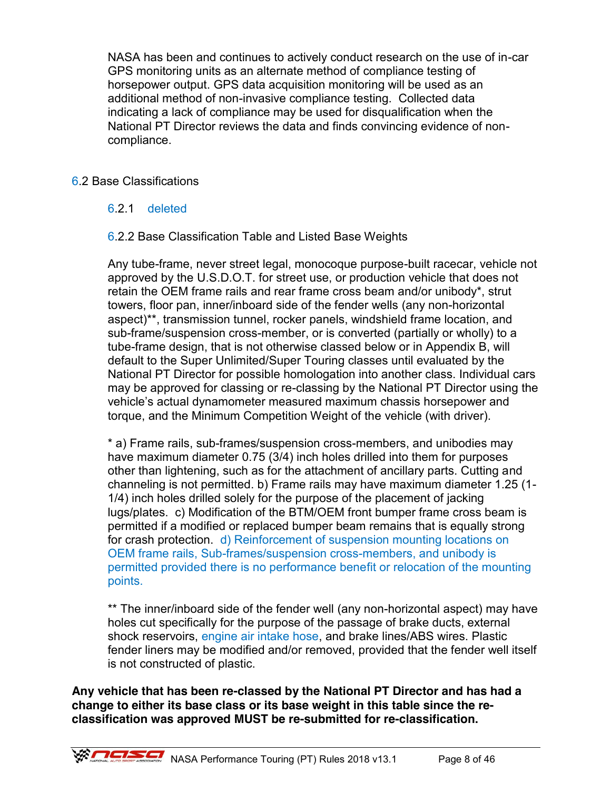NASA has been and continues to actively conduct research on the use of in-car GPS monitoring units as an alternate method of compliance testing of horsepower output. GPS data acquisition monitoring will be used as an additional method of non-invasive compliance testing. Collected data indicating a lack of compliance may be used for disqualification when the National PT Director reviews the data and finds convincing evidence of noncompliance.

### 6.2 Base Classifications

### 6.2.1 deleted

### 6.2.2 Base Classification Table and Listed Base Weights

Any tube-frame, never street legal, monocoque purpose-built racecar, vehicle not approved by the U.S.D.O.T. for street use, or production vehicle that does not retain the OEM frame rails and rear frame cross beam and/or unibody\*, strut towers, floor pan, inner/inboard side of the fender wells (any non-horizontal aspect)\*\*, transmission tunnel, rocker panels, windshield frame location, and sub-frame/suspension cross-member, or is converted (partially or wholly) to a tube-frame design, that is not otherwise classed below or in Appendix B, will default to the Super Unlimited/Super Touring classes until evaluated by the National PT Director for possible homologation into another class. Individual cars may be approved for classing or re-classing by the National PT Director using the vehicle's actual dynamometer measured maximum chassis horsepower and torque, and the Minimum Competition Weight of the vehicle (with driver).

\* a) Frame rails, sub-frames/suspension cross-members, and unibodies may have maximum diameter 0.75 (3/4) inch holes drilled into them for purposes other than lightening, such as for the attachment of ancillary parts. Cutting and channeling is not permitted. b) Frame rails may have maximum diameter 1.25 (1- 1/4) inch holes drilled solely for the purpose of the placement of jacking lugs/plates. c) Modification of the BTM/OEM front bumper frame cross beam is permitted if a modified or replaced bumper beam remains that is equally strong for crash protection. d) Reinforcement of suspension mounting locations on OEM frame rails, Sub-frames/suspension cross-members, and unibody is permitted provided there is no performance benefit or relocation of the mounting points.

\*\* The inner/inboard side of the fender well (any non-horizontal aspect) may have holes cut specifically for the purpose of the passage of brake ducts, external shock reservoirs, engine air intake hose, and brake lines/ABS wires. Plastic fender liners may be modified and/or removed, provided that the fender well itself is not constructed of plastic.

**Any vehicle that has been re-classed by the National PT Director and has had a change to either its base class or its base weight in this table since the reclassification was approved MUST be re-submitted for re-classification.**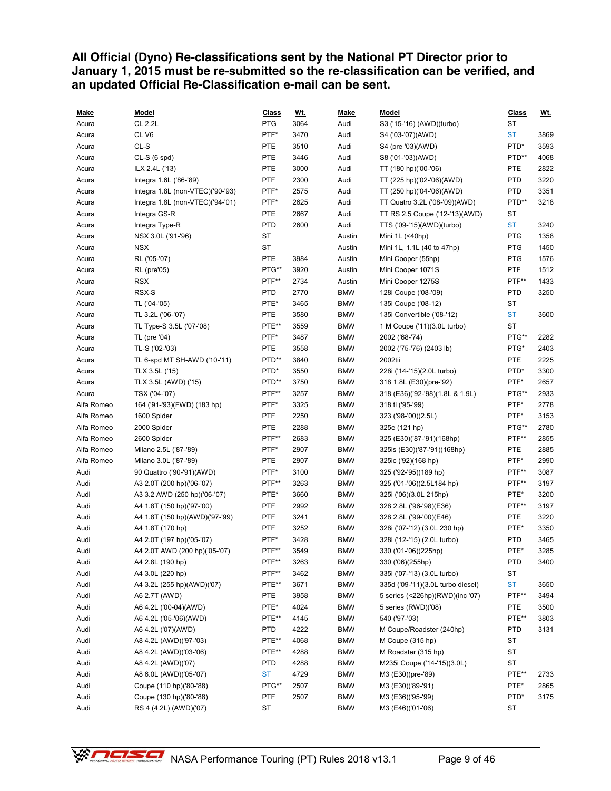### **All Official (Dyno) Re-classifications sent by the National PT Director prior to January 1, 2015 must be re-submitted so the re-classification can be verified, and an updated Official Re-Classification e-mail can be sent.**

| <u>Make</u> | <b>Model</b>                     | Class      | <u>Wt.</u> | <u>Make</u> | Model                             | <b>Class</b> | <u>Wt.</u> |
|-------------|----------------------------------|------------|------------|-------------|-----------------------------------|--------------|------------|
| Acura       | <b>CL 2.2L</b>                   | <b>PTG</b> | 3064       | Audi        | S3 ('15-'16) (AWD)(turbo)         | ST           |            |
| Acura       | CL V6                            | PTF*       | 3470       | Audi        | S4 ('03-'07)(AWD)                 | <b>ST</b>    | 3869       |
| Acura       | CL-S                             | <b>PTE</b> | 3510       | Audi        | S4 (pre '03)(AWD)                 | PTD*         | 3593       |
| Acura       | $CL-S(6 spd)$                    | <b>PTE</b> | 3446       | Audi        | S8 ('01-'03)(AWD)                 | PTD**        | 4068       |
| Acura       | ILX 2.4L ('13)                   | <b>PTE</b> | 3000       | Audi        | TT (180 hp)('00-'06)              | <b>PTE</b>   | 2822       |
| Acura       | Integra 1.6L ('86-'89)           | <b>PTF</b> | 2300       | Audi        | TT (225 hp)('02-'06)(AWD)         | <b>PTD</b>   | 3220       |
| Acura       | Integra 1.8L (non-VTEC)('90-'93) | PTF*       | 2575       | Audi        | TT (250 hp)('04-'06)(AWD)         | <b>PTD</b>   | 3351       |
| Acura       | Integra 1.8L (non-VTEC)('94-'01) | PTF*       | 2625       | Audi        | TT Quatro 3.2L ('08-'09)(AWD)     | PTD**        | 3218       |
| Acura       | Integra GS-R                     | <b>PTE</b> | 2667       | Audi        | TT RS 2.5 Coupe ('12-'13)(AWD)    | ST           |            |
| Acura       | Integra Type-R                   | <b>PTD</b> | 2600       | Audi        | TTS ('09-'15)(AWD)(turbo)         | <b>ST</b>    | 3240       |
| Acura       | NSX 3.0L ('91-'96)               | ST         |            | Austin      | Mini 1L (<40hp)                   | <b>PTG</b>   | 1358       |
| Acura       | NSX                              | <b>ST</b>  |            | Austin      | Mini 1L, 1.1L (40 to 47hp)        | <b>PTG</b>   | 1450       |
| Acura       | RL ('05-'07)                     | <b>PTE</b> | 3984       | Austin      | Mini Cooper (55hp)                | <b>PTG</b>   | 1576       |
| Acura       | <b>RL</b> (pre'05)               | PTG**      | 3920       | Austin      | Mini Cooper 1071S                 | <b>PTF</b>   | 1512       |
| Acura       | <b>RSX</b>                       | PTF**      | 2734       | Austin      | Mini Cooper 1275S                 | PTF**        | 1433       |
| Acura       | RSX-S                            | <b>PTD</b> | 2770       | <b>BMW</b>  | 128i Coupe ('08-'09)              | <b>PTD</b>   | 3250       |
| Acura       | TL ('04-'05)                     | PTE*       | 3465       | <b>BMW</b>  | 135i Coupe ('08-12)               | ST           |            |
| Acura       | TL 3.2L ('06-'07)                | <b>PTE</b> | 3580       | <b>BMW</b>  | 135i Convertible ('08-'12)        | <b>ST</b>    | 3600       |
| Acura       | TL Type-S 3.5L ('07-'08)         | PTE**      | 3559       | <b>BMW</b>  | 1 M Coupe ('11)(3.0L turbo)       | <b>ST</b>    |            |
| Acura       | TL (pre '04)                     | PTF*       | 3487       | <b>BMW</b>  | 2002 ('68-'74)                    | PTG**        | 2282       |
| Acura       | TL-S ('02-'03)                   | <b>PTE</b> | 3558       | <b>BMW</b>  | 2002 ('75-'76) (2403 lb)          | PTG*         | 2403       |
| Acura       | TL 6-spd MT SH-AWD ('10-'11)     | PTD**      | 3840       | <b>BMW</b>  | 2002tii                           | PTE          | 2225       |
| Acura       | TLX 3.5L ('15)                   | PTD*       | 3550       | <b>BMW</b>  | 228i ('14-'15)(2.0L turbo)        | PTD*         | 3300       |
| Acura       | TLX 3.5L (AWD) ('15)             | PTD**      | 3750       | <b>BMW</b>  | 318 1.8L (E30)(pre-'92)           | PTF*         | 2657       |
| Acura       | TSX ('04-'07)                    | PTF**      | 3257       | <b>BMW</b>  | 318 (E36)('92-'98)(1.8L & 1.9L)   | PTG**        | 2933       |
| Alfa Romeo  |                                  | PTF*       | 3325       | <b>BMW</b>  |                                   | PTF*         | 2778       |
|             | 164 ('91-'93)(FWD) (183 hp)      | <b>PTF</b> |            |             | 318 ti ('95-'99)                  | PTF*         |            |
| Alfa Romeo  | 1600 Spider                      |            | 2250       | <b>BMW</b>  | 323 ('98-'00)(2.5L)               |              | 3153       |
| Alfa Romeo  | 2000 Spider                      | <b>PTE</b> | 2288       | <b>BMW</b>  | 325e (121 hp)                     | PTG**        | 2780       |
| Alfa Romeo  | 2600 Spider                      | PTF**      | 2683       | <b>BMW</b>  | 325 (E30)('87-'91)(168hp)         | PTF**        | 2855       |
| Alfa Romeo  | Milano 2.5L ('87-'89)            | PTF*       | 2907       | <b>BMW</b>  | 325is (E30)('87-'91)(168hp)       | PTE          | 2885       |
| Alfa Romeo  | Milano 3.0L ('87-'89)            | <b>PTE</b> | 2907       | <b>BMW</b>  | 325ic ('92)(168 hp)               | PTF*         | 2990       |
| Audi        | 90 Quattro ('90-'91)(AWD)        | PTF*       | 3100       | <b>BMW</b>  | 325 ('92-'95)(189 hp)             | PTF**        | 3087       |
| Audi        | A3 2.0T (200 hp)('06-'07)        | PTF**      | 3263       | <b>BMW</b>  | 325 ('01-'06)(2.5L184 hp)         | PTF**        | 3197       |
| Audi        | A3 3.2 AWD (250 hp)('06-'07)     | PTE*       | 3660       | <b>BMW</b>  | 325i ('06)(3.0L 215hp)            | PTE*         | 3200       |
| Audi        | A4 1.8T (150 hp)('97-'00)        | <b>PTF</b> | 2992       | <b>BMW</b>  | 328 2.8L ('96-'98)(E36)           | PTF**        | 3197       |
| Audi        | A4 1.8T (150 hp)(AWD)('97-'99)   | <b>PTF</b> | 3241       | <b>BMW</b>  | 328 2.8L ('99-'00)(E46)           | <b>PTE</b>   | 3220       |
| Audi        | A4 1.8T (170 hp)                 | PTF        | 3252       | <b>BMW</b>  | 328i ('07-'12) (3.0L 230 hp)      | PTE*         | 3350       |
| Audi        | A4 2.0T (197 hp)('05-'07)        | PTF*       | 3428       | <b>BMW</b>  | 328i ('12-'15) (2.0L turbo)       | <b>PTD</b>   | 3465       |
| Audi        | A4 2.0T AWD (200 hp)('05-'07)    | PTF**      | 3549       | <b>BMW</b>  | 330 ('01-'06)(225hp)              | PTE*         | 3285       |
| Audi        | A4 2.8L (190 hp)                 | PTF**      | 3263       | <b>BMW</b>  | 330 ('06)(255hp)                  | <b>PTD</b>   | 3400       |
| Audi        | A4 3.0L (220 hp)                 | PTF**      | 3462       | <b>BMW</b>  | 335i ('07-'13) (3.0L turbo)       | ST           |            |
| Audi        | A4 3.2L (255 hp)(AWD)('07)       | PTE**      | 3671       | <b>BMW</b>  | 335d ('09-'11)(3.0L turbo diesel) | <b>ST</b>    | 3650       |
| Audi        | A6 2.7T (AWD)                    | <b>PTE</b> | 3958       | <b>BMW</b>  | 5 series (<226hp)(RWD)(inc '07)   | PTF**        | 3494       |
| Audi        | A6 4.2L ('00-04)(AWD)            | PTE*       | 4024       | <b>BMW</b>  | 5 series (RWD)('08)               | <b>PTE</b>   | 3500       |
| Audi        | A6 4.2L ('05-'06)(AWD)           | PTE**      | 4145       | <b>BMW</b>  | 540 ('97-'03)                     | PTE**        | 3803       |
| Audi        | A6 4.2L ('07)(AWD)               | <b>PTD</b> | 4222       | <b>BMW</b>  | M Coupe/Roadster (240hp)          | <b>PTD</b>   | 3131       |
| Audi        | A8 4.2L (AWD)('97-'03)           | PTE**      | 4068       | <b>BMW</b>  | M Coupe (315 hp)                  | ST           |            |
| Audi        | A8 4.2L (AWD)('03-'06)           | PTE**      | 4288       | <b>BMW</b>  | M Roadster (315 hp)               | ST           |            |
| Audi        | A8 4.2L (AWD)('07)               | <b>PTD</b> | 4288       | <b>BMW</b>  | M235i Coupe ('14-'15)(3.0L)       | ST           |            |
| Audi        | A8 6.0L (AWD)('05-'07)           | ST         | 4729       | <b>BMW</b>  | M3 (E30)(pre-'89)                 | PTE**        | 2733       |
| Audi        | Coupe (110 hp)('80-'88)          | PTG**      | 2507       | <b>BMW</b>  | M3 (E30)('89-'91)                 | PTE*         | 2865       |
| Audi        | Coupe (130 hp)('80-'88)          | PTF        | 2507       | <b>BMW</b>  | M3 (E36)('95-'99)                 | PTD*         | 3175       |
| Audi        | RS 4 (4.2L) (AWD)('07)           | ST         |            | <b>BMW</b>  | M3 (E46)('01-'06)                 | ST           |            |

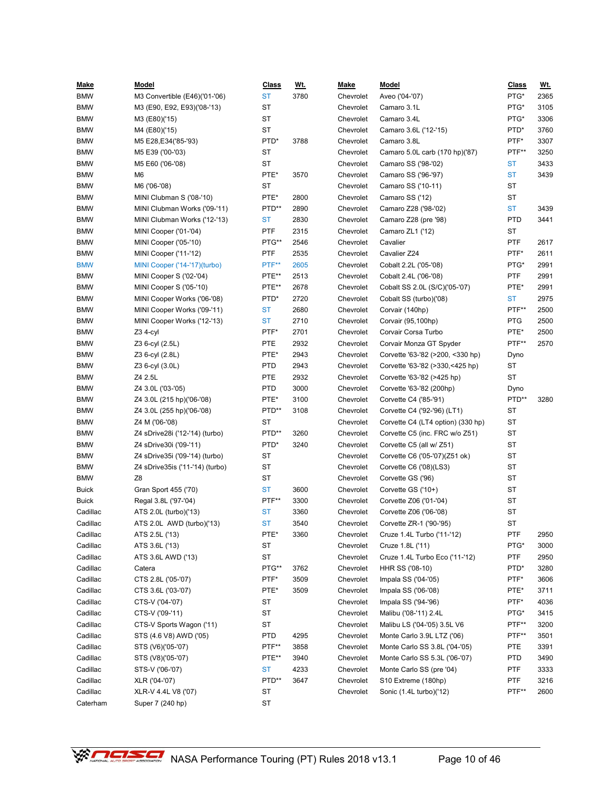| <u>Make</u>  | Model                           | <b>Class</b> | <u>Wt.</u> | <b>Make</b> | Model                             | <b>Class</b> | <u>Wt.</u> |
|--------------|---------------------------------|--------------|------------|-------------|-----------------------------------|--------------|------------|
| <b>BMW</b>   | M3 Convertible (E46)('01-'06)   | <b>ST</b>    | 3780       | Chevrolet   | Aveo ('04-'07)                    | PTG*         | 2365       |
| <b>BMW</b>   | M3 (E90, E92, E93)('08-'13)     | <b>ST</b>    |            | Chevrolet   | Camaro 3.1L                       | PTG*         | 3105       |
| <b>BMW</b>   | M3 (E80)('15)                   | ST           |            | Chevrolet   | Camaro 3.4L                       | PTG*         | 3306       |
| <b>BMW</b>   | M4 (E80)('15)                   | <b>ST</b>    |            | Chevrolet   | Camaro 3.6L ('12-'15)             | PTD*         | 3760       |
| <b>BMW</b>   | M5 E28, E34 ('85-'93)           | PTD*         | 3788       | Chevrolet   | Camaro 3.8L                       | PTF*         | 3307       |
| <b>BMW</b>   | M5 E39 ('00-'03)                | ST           |            | Chevrolet   | Camaro 5.0L carb (170 hp)('87)    | PTF**        | 3250       |
| <b>BMW</b>   | M5 E60 ('06-'08)                | ST           |            | Chevrolet   | Camaro SS ('98-'02)               | ST           | 3433       |
| <b>BMW</b>   | M <sub>6</sub>                  | PTE*         | 3570       | Chevrolet   | Camaro SS ('96-'97)               | <b>ST</b>    | 3439       |
| <b>BMW</b>   | M6 ('06-'08)                    | <b>ST</b>    |            | Chevrolet   | Camaro SS ('10-11)                | ST           |            |
| <b>BMW</b>   | MINI Clubman S ('08-'10)        | PTE*         | 2800       | Chevrolet   | Camaro SS ('12)                   | ST           |            |
| <b>BMW</b>   | MINI Clubman Works ('09-'11)    | PTD**        | 2890       | Chevrolet   | Camaro Z28 ('98-'02)              | <b>ST</b>    | 3439       |
| <b>BMW</b>   | MINI Clubman Works ('12-'13)    | <b>ST</b>    | 2830       | Chevrolet   | Camaro Z28 (pre '98)              | <b>PTD</b>   | 3441       |
| <b>BMW</b>   | MINI Cooper ('01-'04)           | PTF          | 2315       | Chevrolet   | Camaro ZL1 ('12)                  | ST           |            |
| <b>BMW</b>   | MINI Cooper ('05-'10)           | PTG**        | 2546       | Chevrolet   | Cavalier                          | <b>PTF</b>   | 2617       |
| <b>BMW</b>   | MINI Cooper ('11-'12)           | <b>PTF</b>   | 2535       | Chevrolet   | Cavalier Z24                      | PTF*         | 2611       |
| <b>BMW</b>   | MINI Cooper ('14-'17)(turbo)    | PTF**        | 2605       | Chevrolet   | Cobalt 2.2L ('05-'08)             | PTG*         | 2991       |
| <b>BMW</b>   | MINI Cooper S ('02-'04)         | PTE**        | 2513       | Chevrolet   | Cobalt 2.4L ('06-'08)             | <b>PTF</b>   | 2991       |
| <b>BMW</b>   | MINI Cooper S ('05-'10)         | PTE**        | 2678       | Chevrolet   | Cobalt SS 2.0L (S/C)('05-'07)     | PTE*         | 2991       |
| <b>BMW</b>   | MINI Cooper Works ('06-'08)     | PTD*         | 2720       | Chevrolet   | Cobalt SS (turbo)('08)            | ST           | 2975       |
| <b>BMW</b>   | MINI Cooper Works ('09-'11)     | <b>ST</b>    | 2680       | Chevrolet   | Corvair (140hp)                   | PTF**        | 2500       |
| <b>BMW</b>   | MINI Cooper Works ('12-'13)     | <b>ST</b>    | 2710       | Chevrolet   | Corvair (95,100hp)                | PTG          | 2500       |
| <b>BMW</b>   | $Z3$ 4-cyl                      | PTF*         | 2701       | Chevrolet   | Corvair Corsa Turbo               | PTE*         | 2500       |
| <b>BMW</b>   | Z3 6-cyl (2.5L)                 | <b>PTE</b>   | 2932       | Chevrolet   | Corvair Monza GT Spyder           | PTF**        | 2570       |
| <b>BMW</b>   | Z3 6-cyl (2.8L)                 | PTE*         | 2943       | Chevrolet   | Corvette '63-'82 (>200, <330 hp)  | Dyno         |            |
| <b>BMW</b>   | Z3 6-cyl (3.0L)                 | <b>PTD</b>   | 2943       | Chevrolet   | Corvette '63-'82 (>330,<425 hp)   | ST           |            |
| <b>BMW</b>   | Z4 2.5L                         | <b>PTE</b>   | 2932       | Chevrolet   | Corvette '63-'82 (>425 hp)        | ST           |            |
| <b>BMW</b>   | Z4 3.0L ('03-'05)               | <b>PTD</b>   | 3000       | Chevrolet   | Corvette '63-'82 (200hp)          | Dyno         |            |
| <b>BMW</b>   | Z4 3.0L (215 hp)('06-'08)       | PTE*         | 3100       | Chevrolet   | Corvette C4 ('85-'91)             | PTD**        | 3280       |
| <b>BMW</b>   | Z4 3.0L (255 hp)('06-'08)       | PTD**        | 3108       | Chevrolet   | Corvette C4 ('92-'96) (LT1)       | ST           |            |
| <b>BMW</b>   | Z4 M ('06-'08)                  | <b>ST</b>    |            | Chevrolet   | Corvette C4 (LT4 option) (330 hp) | ST           |            |
| <b>BMW</b>   | Z4 sDrive28i ('12-'14) (turbo)  | PTD**        | 3260       | Chevrolet   | Corvette C5 (inc. FRC w/o Z51)    | ST           |            |
| <b>BMW</b>   | Z4 sDrive30i ('09-'11)          | PTD*         | 3240       | Chevrolet   | Corvette C5 (all w/ Z51)          | ST           |            |
| <b>BMW</b>   | Z4 sDrive35i ('09-'14) (turbo)  | ST           |            | Chevrolet   | Corvette C6 ('05-'07)(Z51 ok)     | ST           |            |
| <b>BMW</b>   | Z4 sDrive35is ('11-'14) (turbo) | <b>ST</b>    |            | Chevrolet   | Corvette C6 ('08)(LS3)            | ST           |            |
| <b>BMW</b>   | Z8                              | <b>ST</b>    |            | Chevrolet   | Corvette GS ('96)                 | ST           |            |
| <b>Buick</b> | Gran Sport 455 ('70)            | <b>ST</b>    | 3600       | Chevrolet   | Corvette GS ('10+)                | ST           |            |
| <b>Buick</b> | Regal 3.8L ('97-'04)            | PTF**        | 3300       | Chevrolet   | Corvette Z06 ('01-'04)            | ST           |            |
| Cadillac     | ATS 2.0L (turbo)('13)           | <b>ST</b>    | 3360       | Chevrolet   | Corvette Z06 ('06-'08)            | ST           |            |
| Cadillac     | ATS 2.0L AWD (turbo)('13)       | <b>ST</b>    | 3540       | Chevrolet   | Corvette ZR-1 ('90-'95)           | ST           |            |
| Cadillac     | ATS 2.5L ('13)                  | PTE*         | 3360       | Chevrolet   | Cruze 1.4L Turbo ('11-'12)        | PTF          | 2950       |
| Cadillac     | ATS 3.6L ('13)                  | ST           |            | Chevrolet   | Cruze 1.8L ('11)                  | PTG*         | 3000       |
| Cadillac     | ATS 3.6L AWD ('13)              | ST           |            | Chevrolet   | Cruze 1.4L Turbo Eco ('11-'12)    | PTF          | 2950       |
| Cadillac     | Catera                          | PTG**        | 3762       | Chevrolet   | HHR SS ('08-10)                   | PTD*         | 3280       |
| Cadillac     | CTS 2.8L ('05-'07)              | PTF*         | 3509       | Chevrolet   | Impala SS ('04-'05)               | PTF*         | 3606       |
| Cadillac     | CTS 3.6L ('03-'07)              | PTE*         | 3509       | Chevrolet   | Impala SS ('06-'08)               | PTE*         | 3711       |
| Cadillac     | CTS-V ('04-'07)                 | ST           |            | Chevrolet   | Impala SS ('94-'96)               | PTF*         | 4036       |
| Cadillac     | CTS-V ('09-'11)                 | ST           |            | Chevrolet   | Malibu ('08-'11) 2.4L             | PTG*         | 3415       |
| Cadillac     | CTS-V Sports Wagon ('11)        | ST           |            | Chevrolet   | Malibu LS ('04-'05) 3.5L V6       | PTF**        | 3200       |
| Cadillac     | STS (4.6 V8) AWD ('05)          | <b>PTD</b>   | 4295       | Chevrolet   | Monte Carlo 3.9L LTZ ('06)        | PTF**        | 3501       |
| Cadillac     | STS (V6)('05-'07)               | PTF**        | 3858       | Chevrolet   | Monte Carlo SS 3.8L ('04-'05)     | PTE          | 3391       |
| Cadillac     | STS (V8)('05-'07)               | PTE**        | 3940       | Chevrolet   | Monte Carlo SS 5.3L ('06-'07)     | <b>PTD</b>   | 3490       |
| Cadillac     | STS-V ('06-'07)                 | <b>ST</b>    | 4233       | Chevrolet   | Monte Carlo SS (pre '04)          | PTF          | 3333       |
| Cadillac     | XLR ('04-'07)                   | PTD**        | 3647       | Chevrolet   | S10 Extreme (180hp)               | PTF          | 3216       |
| Cadillac     | XLR-V 4.4L V8 ('07)             | ST           |            | Chevrolet   | Sonic (1.4L turbo)('12)           | PTF**        | 2600       |
| Caterham     | Super 7 (240 hp)                | ST           |            |             |                                   |              |            |

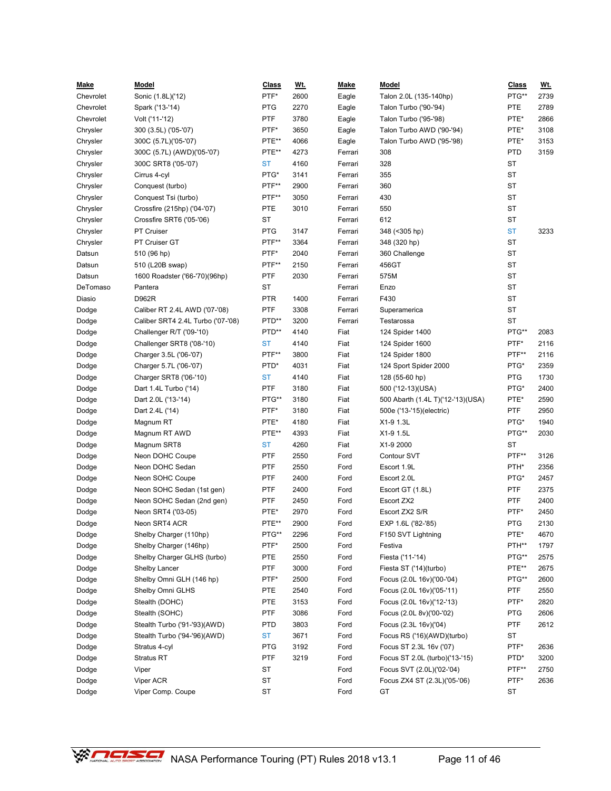| <u>Make</u> | <u>Model</u>                      | <b>Class</b> | <u>Wt.</u> | <b>Make</b> | <b>Model</b>                      | <b>Class</b> | <u>Wt.</u> |
|-------------|-----------------------------------|--------------|------------|-------------|-----------------------------------|--------------|------------|
| Chevrolet   | Sonic (1.8L)('12)                 | PTF*         | 2600       | Eagle       | Talon 2.0L (135-140hp)            | PTG**        | 2739       |
| Chevrolet   | Spark ('13-'14)                   | <b>PTG</b>   | 2270       | Eagle       | Talon Turbo ('90-'94)             | PTE          | 2789       |
| Chevrolet   | Volt ('11-'12)                    | <b>PTF</b>   | 3780       | Eagle       | Talon Turbo ('95-'98)             | PTE*         | 2866       |
| Chrysler    | 300 (3.5L) ('05-'07)              | PTF*         | 3650       | Eagle       | Talon Turbo AWD ('90-'94)         | PTE*         | 3108       |
| Chrysler    | 300C (5.7L)('05-'07)              | PTE**        | 4066       | Eagle       | Talon Turbo AWD ('95-'98)         | PTE*         | 3153       |
| Chrysler    | 300C (5.7L) (AWD)('05-'07)        | PTE**        | 4273       | Ferrari     | 308                               | <b>PTD</b>   | 3159       |
| Chrysler    | 300C SRT8 ('05-'07)               | <b>ST</b>    | 4160       | Ferrari     | 328                               | <b>ST</b>    |            |
| Chrysler    | Cirrus 4-cyl                      | PTG*         | 3141       | Ferrari     | 355                               | <b>ST</b>    |            |
| Chrysler    | Conquest (turbo)                  | PTF**        | 2900       | Ferrari     | 360                               | <b>ST</b>    |            |
| Chrysler    | Conquest Tsi (turbo)              | PTF**        | 3050       | Ferrari     | 430                               | ST           |            |
| Chrysler    | Crossfire (215hp) ('04-'07)       | <b>PTE</b>   | 3010       | Ferrari     | 550                               | <b>ST</b>    |            |
| Chrysler    | Crossfire SRT6 ('05-'06)          | ST           |            | Ferrari     | 612                               | <b>ST</b>    |            |
| Chrysler    | PT Cruiser                        | <b>PTG</b>   | 3147       | Ferrari     | 348 (< 305 hp)                    | <b>ST</b>    | 3233       |
| Chrysler    | PT Cruiser GT                     | PTF**        | 3364       | Ferrari     | 348 (320 hp)                      | <b>ST</b>    |            |
| Datsun      | 510 (96 hp)                       | PTF*         | 2040       | Ferrari     | 360 Challenge                     | <b>ST</b>    |            |
| Datsun      | 510 (L20B swap)                   | PTF**        | 2150       | Ferrari     | 456GT                             | <b>ST</b>    |            |
| Datsun      | 1600 Roadster ('66-'70)(96hp)     | PTF          | 2030       | Ferrari     | 575M                              | ST           |            |
| DeTomaso    | Pantera                           | <b>ST</b>    |            | Ferrari     | Enzo                              | <b>ST</b>    |            |
| Diasio      | D962R                             | <b>PTR</b>   | 1400       | Ferrari     | F430                              | <b>ST</b>    |            |
| Dodge       | Caliber RT 2.4L AWD ('07-'08)     | <b>PTF</b>   | 3308       | Ferrari     | Superamerica                      | <b>ST</b>    |            |
| Dodge       | Caliber SRT4 2.4L Turbo ('07-'08) | PTD**        | 3200       | Ferrari     | Testarossa                        | <b>ST</b>    |            |
| Dodge       | Challenger R/T ('09-'10)          | PTD**        | 4140       | Fiat        | 124 Spider 1400                   | PTG**        | 2083       |
| Dodge       | Challenger SRT8 ('08-'10)         | <b>ST</b>    | 4140       | Fiat        | 124 Spider 1600                   | PTF*         | 2116       |
| Dodge       | Charger 3.5L ('06-'07)            | PTF**        | 3800       | Fiat        | 124 Spider 1800                   | PTF**        | 2116       |
| Dodge       | Charger 5.7L ('06-'07)            | PTD*         | 4031       | Fiat        | 124 Sport Spider 2000             | PTG*         | 2359       |
| Dodge       | Charger SRT8 ('06-'10)            | <b>ST</b>    | 4140       | Fiat        | 128 (55-60 hp)                    | PTG          | 1730       |
| Dodge       | Dart 1.4L Turbo ('14)             | <b>PTF</b>   | 3180       | Fiat        | 500 ('12-13)(USA)                 | PTG*         | 2400       |
| Dodge       | Dart 2.0L ('13-'14)               | PTG**        | 3180       | Fiat        | 500 Abarth (1.4L T)('12-'13)(USA) | PTE*         | 2590       |
| Dodge       | Dart 2.4L ('14)                   | PTF*         | 3180       | Fiat        | 500e ('13-'15) (electric)         | <b>PTF</b>   | 2950       |
| Dodge       | Magnum RT                         | PTE*         | 4180       | Fiat        | X1-9 1.3L                         | PTG*         | 1940       |
| Dodge       | Magnum RT AWD                     | PTE**        | 4393       | Fiat        | X1-9 1.5L                         | PTG**        | 2030       |
| Dodge       | Magnum SRT8                       | <b>ST</b>    | 4260       | Fiat        | X1-9 2000                         | ST           |            |
| Dodge       | Neon DOHC Coupe                   | PTF          | 2550       | Ford        | <b>Contour SVT</b>                | PTF**        | 3126       |
| Dodge       | Neon DOHC Sedan                   | PTF          | 2550       | Ford        | Escort 1.9L                       | PTH*         | 2356       |
| Dodge       | Neon SOHC Coupe                   | <b>PTF</b>   | 2400       | Ford        | Escort 2.0L                       | PTG*         | 2457       |
| Dodge       | Neon SOHC Sedan (1st gen)         | <b>PTF</b>   | 2400       | Ford        | Escort GT (1.8L)                  | PTF          | 2375       |
| Dodge       | Neon SOHC Sedan (2nd gen)         | <b>PTF</b>   | 2450       | Ford        | Escort ZX2                        | PTF          | 2400       |
| Dodge       | Neon SRT4 ('03-05)                | PTE*         | 2970       | Ford        | Escort ZX2 S/R                    | PTF*         | 2450       |
| Dodge       | Neon SRT4 ACR                     | PTE**        | 2900       | Ford        | EXP 1.6L ('82-'85)                | <b>PTG</b>   | 2130       |
| Dodge       | Shelby Charger (110hp)            | PTG**        | 2296       | Ford        | F150 SVT Lightning                | PTE*         | 4670       |
| Dodge       | Shelby Charger (146hp)            | PTF*         | 2500       | Ford        | Festiva                           | PTH**        | 1797       |
| Dodge       | Shelby Charger GLHS (turbo)       | PTE          | 2550       | Ford        | Fiesta ('11-'14)                  | PTG**        | 2575       |
| Dodge       | Shelby Lancer                     | <b>PTF</b>   | 3000       | Ford        | Fiesta ST ('14)(turbo)            | PTE**        | 2675       |
| Dodge       | Shelby Omni GLH (146 hp)          | PTF*         | 2500       | Ford        | Focus (2.0L 16v)('00-'04)         | PTG**        | 2600       |
| Dodge       | Shelby Omni GLHS                  | PTE          | 2540       | Ford        | Focus (2.0L 16v)('05-'11)         | PTF          | 2550       |
| Dodge       | Stealth (DOHC)                    | PTE          | 3153       | Ford        | Focus (2.0L 16v)('12-'13)         | PTF*         | 2820       |
| Dodge       | Stealth (SOHC)                    | <b>PTF</b>   | 3086       | Ford        | Focus (2.0L 8v)('00-'02)          | PTG          | 2606       |
| Dodge       | Stealth Turbo ('91-'93)(AWD)      | <b>PTD</b>   | 3803       | Ford        | Focus (2.3L 16v)('04)             | PTF          | 2612       |
| Dodge       | Stealth Turbo ('94-'96)(AWD)      | <b>ST</b>    | 3671       | Ford        | Focus RS ('16)(AWD)(turbo)        | ST           |            |
| Dodge       | Stratus 4-cyl                     | <b>PTG</b>   | 3192       | Ford        | Focus ST 2.3L 16v ('07)           | PTF*         | 2636       |
| Dodge       | Stratus RT                        | PTF          | 3219       | Ford        | Focus ST 2.0L (turbo)('13-'15)    | PTD*         | 3200       |
| Dodge       | Viper                             | ST           |            | Ford        | Focus SVT (2.0L)('02-'04)         | PTF**        | 2750       |
| Dodge       | Viper ACR                         | ST           |            | Ford        | Focus ZX4 ST (2.3L)('05-'06)      | PTF*         | 2636       |
| Dodge       | Viper Comp. Coupe                 | ${\sf ST}$   |            | Ford        | GT                                | ST           |            |
|             |                                   |              |            |             |                                   |              |            |

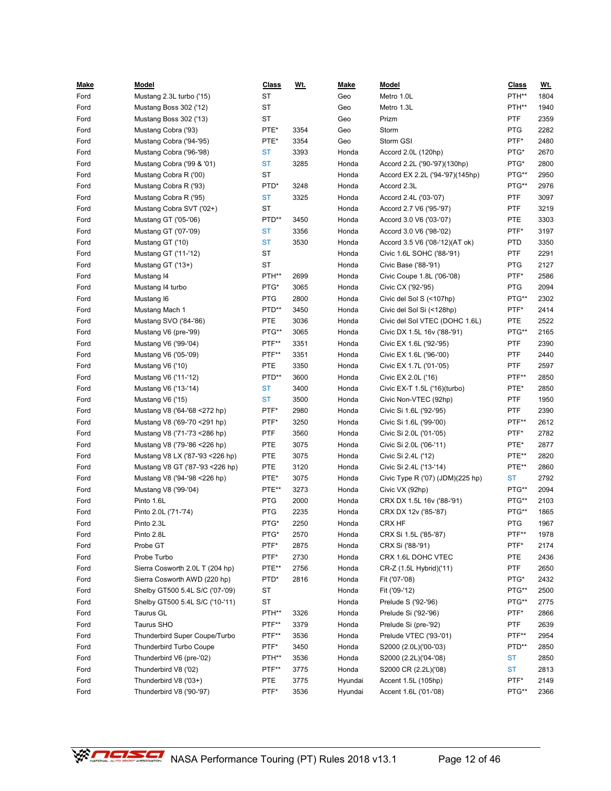| <u>Make</u> | <b>Model</b>                    | <b>Class</b> | <u>Wt.</u> | <u>Make</u> | <b>Model</b>                     | <b>Class</b> | <u>Wt.</u> |
|-------------|---------------------------------|--------------|------------|-------------|----------------------------------|--------------|------------|
| Ford        | Mustang 2.3L turbo ('15)        | <b>ST</b>    |            | Geo         | Metro 1.0L                       | PTH**        | 1804       |
| Ford        | Mustang Boss 302 ('12)          | <b>ST</b>    |            | Geo         | Metro 1.3L                       | PTH**        | 1940       |
| Ford        | Mustang Boss 302 ('13)          | <b>ST</b>    |            | Geo         | Prizm                            | <b>PTF</b>   | 2359       |
| Ford        | Mustang Cobra ('93)             | PTE*         | 3354       | Geo         | Storm                            | <b>PTG</b>   | 2282       |
| Ford        | Mustang Cobra ('94-'95)         | PTE*         | 3354       | Geo         | Storm GSI                        | PTF*         | 2480       |
| Ford        | Mustang Cobra ('96-'98)         | <b>ST</b>    | 3393       | Honda       | Accord 2.0L (120hp)              | PTG*         | 2670       |
| Ford        | Mustang Cobra ('99 & '01)       | <b>ST</b>    | 3285       | Honda       | Accord 2.2L ('90-'97)(130hp)     | PTG*         | 2800       |
| Ford        | Mustang Cobra R ('00)           | <b>ST</b>    |            | Honda       | Accord EX 2.2L ('94-'97)(145hp)  | PTG**        | 2950       |
| Ford        | Mustang Cobra R ('93)           | PTD*         | 3248       | Honda       | Accord 2.3L                      | PTG**        | 2976       |
| Ford        | Mustang Cobra R ('95)           | <b>ST</b>    | 3325       | Honda       | Accord 2.4L ('03-'07)            | <b>PTF</b>   | 3097       |
| Ford        | Mustang Cobra SVT ('02+)        | <b>ST</b>    |            | Honda       | Accord 2.7 V6 ('95-'97)          | <b>PTF</b>   | 3219       |
| Ford        | Mustang GT ('05-'06)            | PTD**        | 3450       | Honda       | Accord 3.0 V6 ('03-'07)          | PTE          | 3303       |
| Ford        | Mustang GT ('07-'09)            | <b>ST</b>    | 3356       | Honda       | Accord 3.0 V6 ('98-'02)          | PTF*         | 3197       |
| Ford        | Mustang GT ('10)                | <b>ST</b>    | 3530       | Honda       | Accord 3.5 V6 ('08-'12)(AT ok)   | <b>PTD</b>   | 3350       |
| Ford        | Mustang GT ('11-'12)            | <b>ST</b>    |            | Honda       | Civic 1.6L SOHC ('88-'91)        | <b>PTF</b>   | 2291       |
| Ford        | Mustang GT ('13+)               | <b>ST</b>    |            | Honda       | Civic Base ('88-'91)             | <b>PTG</b>   | 2127       |
| Ford        | Mustang 14                      | PTH**        | 2699       | Honda       | Civic Coupe 1.8L ('06-'08)       | PTF*         | 2586       |
| Ford        | Mustang 14 turbo                | PTG*         | 3065       | Honda       | Civic CX ('92-'95)               | <b>PTG</b>   | 2094       |
| Ford        | Mustang 16                      | <b>PTG</b>   | 2800       | Honda       | Civic del Sol S (<107hp)         | PTG**        | 2302       |
| Ford        | Mustang Mach 1                  | PTD**        | 3450       | Honda       | Civic del Sol Si (<128hp)        | PTF*         | 2414       |
| Ford        | Mustang SVO ('84-'86)           | PTE          | 3036       | Honda       | Civic del Sol VTEC (DOHC 1.6L)   | PTE          | 2522       |
| Ford        | Mustang V6 (pre-'99)            | PTG**        | 3065       | Honda       | Civic DX 1.5L 16v ('88-'91)      | PTG**        | 2165       |
| Ford        | Mustang V6 ('99-'04)            | PTF**        | 3351       | Honda       | Civic EX 1.6L ('92-'95)          | PTF          | 2390       |
| Ford        | Mustang V6 ('05-'09)            | PTF**        | 3351       | Honda       | Civic EX 1.6L ('96-'00)          | <b>PTF</b>   | 2440       |
| Ford        | Mustang V6 ('10)                | <b>PTE</b>   | 3350       | Honda       | Civic EX 1.7L ('01-'05)          | <b>PTF</b>   | 2597       |
| Ford        | Mustang V6 ('11-'12)            | PTD**        | 3600       | Honda       | Civic EX 2.0L ('16)              | PTF**        | 2850       |
| Ford        | Mustang V6 ('13-'14)            | <b>ST</b>    | 3400       | Honda       | Civic EX-T 1.5L ('16)(turbo)     | PTE*         | 2850       |
| Ford        | Mustang V6 ('15)                | <b>ST</b>    | 3500       | Honda       | Civic Non-VTEC (92hp)            | <b>PTF</b>   | 1950       |
| Ford        | Mustang V8 ('64-'68 <272 hp)    | PTF*         | 2980       | Honda       | Civic Si 1.6L ('92-'95)          | <b>PTF</b>   | 2390       |
| Ford        | Mustang V8 ('69-'70 < 291 hp)   | PTF*         | 3250       | Honda       | Civic Si 1.6L ('99-'00)          | PTF**        | 2612       |
| Ford        | Mustang V8 ('71-'73 < 286 hp)   | PTF          | 3560       | Honda       | Civic Si 2.0L ('01-'05)          | PTF*         | 2782       |
| Ford        | Mustang V8 ('79-'86 < 226 hp)   | PTE          | 3075       | Honda       | Civic Si 2.0L ('06-'11)          | PTE*         | 2877       |
| Ford        | Mustang V8 LX ('87-'93 <226 hp) | PTE          | 3075       | Honda       | Civic Si 2.4L ('12)              | PTE**        | 2820       |
| Ford        | Mustang V8 GT ('87-'93 <226 hp) | <b>PTE</b>   | 3120       | Honda       | Civic Si 2.4L ('13-'14)          | PTE**        | 2860       |
| Ford        | Mustang V8 ('94-'98 <226 hp)    | PTE*         | 3075       | Honda       | Civic Type R ('07) (JDM)(225 hp) | <b>ST</b>    | 2792       |
| Ford        | Mustang V8 ('99-'04)            | PTE**        | 3273       | Honda       | Civic VX (92hp)                  | PTG**        | 2094       |
| Ford        | Pinto 1.6L                      | <b>PTG</b>   | 2000       | Honda       | CRX DX 1.5L 16v ('88-'91)        | PTG**        | 2103       |
| Ford        | Pinto 2.0L ('71-'74)            | <b>PTG</b>   | 2235       | Honda       | CRX DX 12v ('85-'87)             | PTG**        | 1865       |
| Ford        | Pinto 2.3L                      | PTG*         | 2250       | Honda       | CRX HF                           | <b>PTG</b>   | 1967       |
| Ford        | Pinto 2.8L                      | PTG*         | 2570       | Honda       | CRX Si 1.5L ('85-'87)            | PTF**        | 1978       |
| Ford        | Probe GT                        | PTF*         | 2875       | Honda       | CRX Si ('88-'91)                 | PTF*         | 2174       |
| Ford        | Probe Turbo                     | PTF*         | 2730       | Honda       | CRX 1.6L DOHC VTEC               | PTE          | 2436       |
| Ford        | Sierra Cosworth 2.0L T (204 hp) | PTE**        | 2756       | Honda       | CR-Z (1.5L Hybrid)('11)          | <b>PTF</b>   | 2650       |
| Ford        | Sierra Cosworth AWD (220 hp)    | PTD*         | 2816       | Honda       | Fit ('07-'08)                    | PTG*         | 2432       |
| Ford        | Shelby GT500 5.4L S/C ('07-'09) | ST           |            | Honda       | Fit ('09-'12)                    | PTG**        | 2500       |
| Ford        | Shelby GT500 5.4L S/C ('10-'11) | ST           |            | Honda       | Prelude S ('92-'96)              | PTG**        | 2775       |
| Ford        | Taurus GL                       | PTH**        | 3326       | Honda       | Prelude Si ('92-'96)             | PTF*         | 2866       |
| Ford        | Taurus SHO                      | PTF**        | 3379       | Honda       | Prelude Si (pre-'92)             | <b>PTF</b>   | 2639       |
| Ford        | Thunderbird Super Coupe/Turbo   | PTF**        | 3536       | Honda       | Prelude VTEC ('93-'01)           | PTF**        | 2954       |
| Ford        | Thunderbird Turbo Coupe         | PTF*         | 3450       | Honda       | S2000 (2.0L)('00-'03)            | PTD**        | 2850       |
| Ford        | Thunderbird V6 (pre-'02)        | PTH**        | 3536       | Honda       | S2000 (2.2L)('04-'08)            | ST           | 2850       |
| Ford        | Thunderbird V8 ('02)            | PTF**        | 3775       | Honda       | S2000 CR (2.2L)('08)             | ST           | 2813       |
| Ford        | Thunderbird V8 ('03+)           | <b>PTE</b>   | 3775       | Hyundai     | Accent 1.5L (105hp)              | PTF*         | 2149       |
| Ford        | Thunderbird V8 ('90-'97)        | PTF*         | 3536       | Hyundai     | Accent 1.6L ('01-'08)            | PTG**        | 2366       |

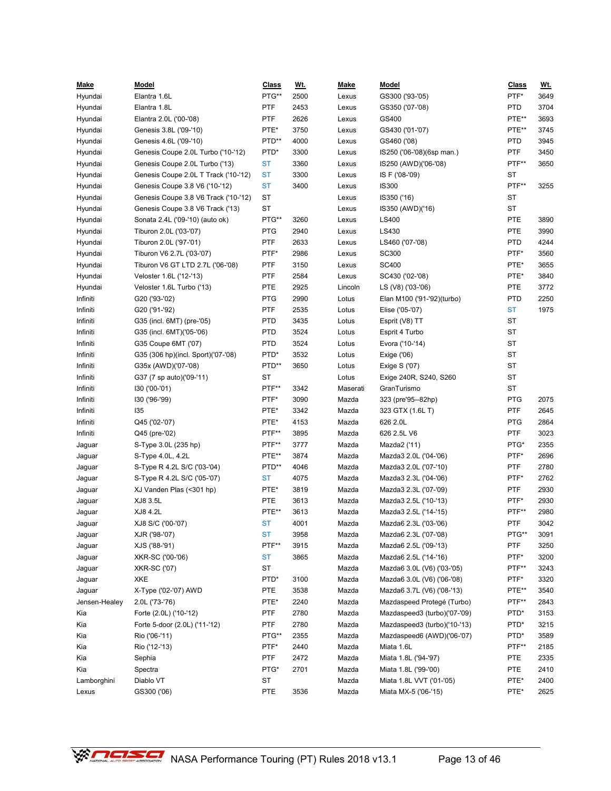| <u>Make</u>      | <u>Model</u>                         | <b>Class</b> | <u>Wt.</u> | <b>Make</b> | <b>Model</b>                                             | <b>Class</b> | <u>Wt.</u> |
|------------------|--------------------------------------|--------------|------------|-------------|----------------------------------------------------------|--------------|------------|
| Hyundai          | Elantra 1.6L                         | PTG**        | 2500       | Lexus       | GS300 ('93-'05)                                          | PTF*         | 3649       |
| Hyundai          | Elantra 1.8L                         | <b>PTF</b>   | 2453       | Lexus       | GS350 ('07-'08)                                          | <b>PTD</b>   | 3704       |
| Hyundai          | Elantra 2.0L ('00-'08)               | <b>PTF</b>   | 2626       | Lexus       | GS400                                                    | PTE**        | 3693       |
| Hyundai          | Genesis 3.8L ('09-'10)               | PTE*         | 3750       | Lexus       | GS430 ('01-'07)                                          | PTE**        | 3745       |
| Hyundai          | Genesis 4.6L ('09-'10)               | PTD**        | 4000       | Lexus       | GS460 ('08)                                              | PTD          | 3945       |
| Hyundai          | Genesis Coupe 2.0L Turbo ('10-'12)   | PTD*         | 3300       | Lexus       | IS250 ('06-'08)(6sp man.)                                | <b>PTF</b>   | 3450       |
| Hyundai          | Genesis Coupe 2.0L Turbo ('13)       | <b>ST</b>    | 3360       | Lexus       | IS250 (AWD)('06-'08)                                     | PTF**        | 3650       |
| Hyundai          | Genesis Coupe 2.0L T Track ('10-'12) | <b>ST</b>    | 3300       | Lexus       | IS F ('08-'09)                                           | ST           |            |
| Hyundai          | Genesis Coupe 3.8 V6 ('10-'12)       | <b>ST</b>    | 3400       | Lexus       | <b>IS300</b>                                             | PTF**        | 3255       |
| Hyundai          | Genesis Coupe 3.8 V6 Track ('10-'12) | <b>ST</b>    |            | Lexus       | IS350 ('16)                                              | ST           |            |
| Hyundai          | Genesis Coupe 3.8 V6 Track ('13)     | <b>ST</b>    |            | Lexus       | IS350 (AWD)('16)                                         | <b>ST</b>    |            |
| Hyundai          | Sonata 2.4L ('09-'10) (auto ok)      | PTG**        | 3260       | Lexus       | LS400                                                    | PTE          | 3890       |
| Hyundai          | Tiburon 2.0L ('03-'07)               | <b>PTG</b>   | 2940       | Lexus       | LS430                                                    | <b>PTE</b>   | 3990       |
| Hyundai          | Tiburon 2.0L ('97-'01)               | <b>PTF</b>   | 2633       | Lexus       | LS460 ('07-'08)                                          | <b>PTD</b>   | 4244       |
| Hyundai          | Tiburon V6 2.7L ('03-'07)            | PTF*         | 2986       | Lexus       | SC300                                                    | PTF*         | 3560       |
| Hyundai          | Tiburon V6 GT LTD 2.7L ('06-'08)     | PTF          | 3150       | Lexus       | <b>SC400</b>                                             | PTE*         | 3655       |
| Hyundai          | Veloster 1.6L ('12-'13)              | PTF          | 2584       | Lexus       | SC430 ('02-'08)                                          | PTE*         | 3840       |
| Hyundai          | Veloster 1.6L Turbo ('13)            | PTE          | 2925       | Lincoln     | LS (V8) ('03-'06)                                        | PTE          | 3772       |
| Infiniti         | G20 ('93-'02)                        | <b>PTG</b>   | 2990       | Lotus       | Elan M100 ('91-'92)(turbo)                               | PTD          | 2250       |
| Infiniti         | G20 ('91-'92)                        | <b>PTF</b>   | 2535       | Lotus       | Elise ('05-'07)                                          | <b>ST</b>    | 1975       |
| Infiniti         | G35 (incl. 6MT) (pre-'05)            | <b>PTD</b>   | 3435       | Lotus       | Esprit (V8) TT                                           | ST           |            |
| Infiniti         | G35 (incl. 6MT)('05-'06)             | <b>PTD</b>   | 3524       | Lotus       | Esprit 4 Turbo                                           | ST           |            |
| Infiniti         | G35 Coupe 6MT ('07)                  | <b>PTD</b>   | 3524       | Lotus       | Evora ('10-'14)                                          | ST           |            |
| Infiniti         | G35 (306 hp)(incl. Sport)('07-'08)   | PTD*         | 3532       | Lotus       | Exige ('06)                                              | ST           |            |
| Infiniti         | G35x (AWD)('07-'08)                  | PTD**        | 3650       | Lotus       | Exige S ('07)                                            | ST           |            |
| Infiniti         | G37 (7 sp auto)('09-'11)             | <b>ST</b>    |            | Lotus       | Exige 240R, S240, S260                                   | ST           |            |
| Infiniti         | 130 ('00-'01)                        | PTF**        | 3342       | Maserati    | GranTurismo                                              | ST           |            |
| Infiniti         | I30 ('96-'99)                        | PTF*         | 3090       | Mazda       | 323 (pre'95--82hp)                                       | <b>PTG</b>   | 2075       |
| Infiniti         | 135                                  | PTE*         | 3342       | Mazda       | 323 GTX (1.6L T)                                         | <b>PTF</b>   | 2645       |
| Infiniti         | Q45 ('02-'07)                        | PTE*         | 4153       | Mazda       | 626 2.0L                                                 | <b>PTG</b>   | 2864       |
| Infiniti         | Q45 (pre-'02)                        | PTF**        | 3895       | Mazda       | 626 2.5L V6                                              | <b>PTF</b>   | 3023       |
| Jaguar           | S-Type 3.0L (235 hp)                 | PTF**        | 3777       | Mazda       | Mazda2 ('11)                                             | PTG*         | 2355       |
| Jaguar           | S-Type 4.0L, 4.2L                    | PTE**        | 3874       | Mazda       | Mazda3 2.0L ('04-'06)                                    | PTF*         | 2696       |
| Jaguar           | S-Type R 4.2L S/C ('03-'04)          | PTD**        | 4046       | Mazda       | Mazda3 2.0L ('07-'10)                                    | <b>PTF</b>   | 2780       |
| Jaguar           | S-Type R 4.2L S/C ('05-'07)          | <b>ST</b>    | 4075       | Mazda       | Mazda3 2.3L ('04-'06)                                    | PTF*         | 2762       |
| Jaguar           | XJ Vanden Plas (<301 hp)             | PTE*         | 3819       | Mazda       | Mazda3 2.3L ('07-'09)                                    | PTF          | 2930       |
| Jaguar           | XJ8 3.5L                             | <b>PTE</b>   | 3613       | Mazda       | Mazda3 2.5L ('10-'13)                                    | PTF*         | 2930       |
|                  | XJ8 4.2L                             | PTE**        | 3613       | Mazda       | Mazda3 2.5L ('14-'15)                                    | PTF**        | 2980       |
| Jaguar<br>Jaguar | XJ8 S/C ('00-'07)                    | <b>ST</b>    | 4001       | Mazda       | Mazda6 2.3L ('03-'06)                                    | <b>PTF</b>   | 3042       |
|                  | XJR ('98-'07)                        | <b>ST</b>    | 3958       | Mazda       | Mazda6 2.3L ('07-'08)                                    | PTG**        | 3091       |
| Jaguar<br>Jaguar | XJS ('88-'91)                        | PTF**        | 3915       | Mazda       | Mazda6 2.5L ('09-'13)                                    | <b>PTF</b>   | 3250       |
|                  |                                      | <b>ST</b>    | 3865       | Mazda       | Mazda6 2.5L ('14-'16)                                    | PTF*         | 3200       |
| Jaguar           | XKR-SC ('00-'06)                     | ST           |            | Mazda       |                                                          | PTF**        | 3243       |
| Jaguar           | <b>XKR-SC ('07)</b>                  | PTD*         |            |             | Mazda6 3.0L (V6) ('03-'05)                               | PTF*         | 3320       |
| Jaguar           | XKE                                  |              | 3100       | Mazda       | Mazda6 3.0L (V6) ('06-'08)<br>Mazda6 3.7L (V6) ('08-'13) |              |            |
| Jaguar           | X-Type ('02-'07) AWD                 | PTE          | 3538       | Mazda       |                                                          | PTE**        | 3540       |
| Jensen-Healey    | 2.0L ('73-'76)                       | PTE*         | 2240       | Mazda       | Mazdaspeed Protegé (Turbo)                               | PTF**        | 2843       |
| Kia              | Forte (2.0L) ('10-'12)               | <b>PTF</b>   | 2780       | Mazda       | Mazdaspeed3 (turbo)('07-'09)                             | PTD*         | 3153       |
| Kia              | Forte 5-door (2.0L) ('11-'12)        | <b>PTF</b>   | 2780       | Mazda       | Mazdaspeed3 (turbo)('10-'13)                             | PTD*         | 3215       |
| Kia              | Rio ('06-'11)                        | PTG**        | 2355       | Mazda       | Mazdaspeed6 (AWD)('06-'07)                               | PTD*         | 3589       |
| Kia              | Rio ('12-'13)                        | PTF*         | 2440       | Mazda       | Miata 1.6L                                               | PTF**        | 2185       |
| Kia              | Sephia                               | <b>PTF</b>   | 2472       | Mazda       | Miata 1.8L ('94-'97)                                     | PTE          | 2335       |
| Kia              | Spectra                              | PTG*         | 2701       | Mazda       | Miata 1.8L ('99-'00)                                     | PTE          | 2410       |
| Lamborghini      | Diablo VT                            | ST           |            | Mazda       | Miata 1.8L VVT ('01-'05)                                 | PTE*         | 2400       |
| Lexus            | GS300 ('06)                          | PTE          | 3536       | Mazda       | Miata MX-5 ('06-'15)                                     | PTE*         | 2625       |

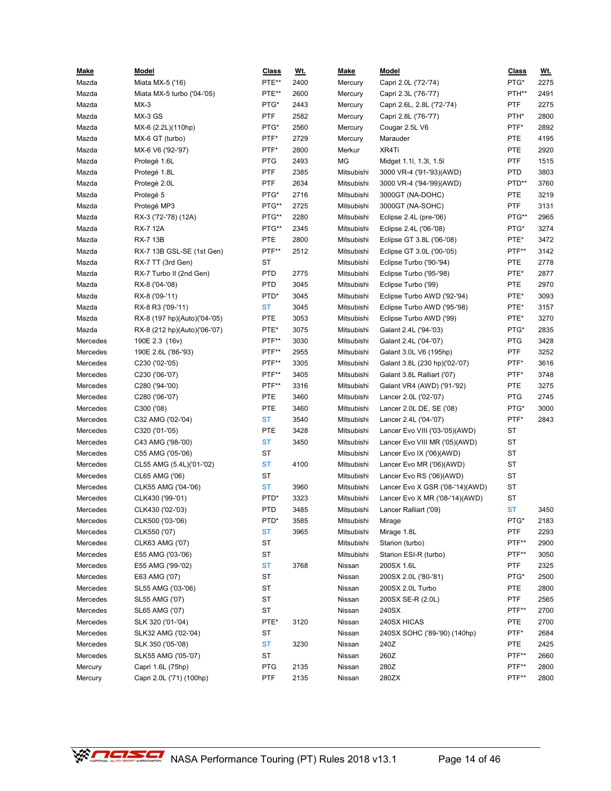| <u>Make</u>          | Model                        | <b>Class</b>    | <u>Wt.</u> | <u>Make</u>      | Model                           | <b>Class</b> | <u>Wt.</u> |
|----------------------|------------------------------|-----------------|------------|------------------|---------------------------------|--------------|------------|
| Mazda                | Miata MX-5 ('16)             | PTE**           | 2400       | Mercury          | Capri 2.0L ('72-'74)            | PTG*         | 2275       |
| Mazda                | Miata MX-5 turbo ('04-'05)   | PTE**           | 2600       | Mercury          | Capri 2.3L ('76-'77)            | PTH**        | 2491       |
| Mazda                | $MX-3$                       | PTG*            | 2443       | Mercury          | Capri 2.6L, 2.8L ('72-'74)      | PTF          | 2275       |
| Mazda                | MX-3 GS                      | <b>PTF</b>      | 2582       | Mercury          | Capri 2.8L ('76-'77)            | PTH*         | 2800       |
| Mazda                | MX-6 (2.2L)(110hp)           | PTG*            | 2560       | Mercury          | Cougar 2.5L V6                  | PTF*         | 2892       |
| Mazda                | MX-6 GT (turbo)              | PTF*            | 2729       | Mercury          | Marauder                        | PTE          | 4195       |
| Mazda                | MX-6 V6 ('92-'97)            | PTF*            | 2800       | Merkur           | XR4Ti                           | PTE          | 2920       |
| Mazda                | Protegé 1.6L                 | <b>PTG</b>      | 2493       | MG               | Midget 1.1l, 1.3l, 1.5l         | PTF          | 1515       |
| Mazda                | Protegé 1.8L                 | <b>PTF</b>      | 2385       | Mitsubishi       | 3000 VR-4 ('91-'93)(AWD)        | <b>PTD</b>   | 3803       |
| Mazda                | Protegé 2.0L                 | <b>PTF</b>      | 2634       | Mitsubishi       | 3000 VR-4 ('94-'99)(AWD)        | PTD**        | 3760       |
| Mazda                | Protegé 5                    | PTG*            | 2716       | Mitsubishi       | 3000GT (NA-DOHC)                | PTE          | 3219       |
| Mazda                | Protegé MP3                  | PTG**           | 2725       | Mitsubishi       | 3000GT (NA-SOHC)                | <b>PTF</b>   | 3131       |
| Mazda                | RX-3 ('72-'78) (12A)         | PTG**           | 2280       | Mitsubishi       | Eclipse 2.4L (pre-'06)          | PTG**        | 2965       |
| Mazda                | RX-7 12A                     | PTG**           | 2345       | Mitsubishi       | Eclipse 2.4L ('06-'08)          | PTG*         | 3274       |
| Mazda                | <b>RX-7 13B</b>              | PTE             | 2800       | Mitsubishi       | Eclipse GT 3.8L ('06-'08)       | PTE*         | 3472       |
| Mazda                | RX-7 13B GSL-SE (1st Gen)    | PTF**           | 2512       | Mitsubishi       | Eclipse GT 3.0L ('00-'05)       | PTF**        | 3142       |
| Mazda                | RX-7 TT (3rd Gen)            | ST              |            | Mitsubishi       | Eclipse Turbo ('90-'94)         | PTE          | 2778       |
| Mazda                | RX-7 Turbo II (2nd Gen)      | <b>PTD</b>      | 2775       | Mitsubishi       | Eclipse Turbo ('95-'98)         | PTE*         | 2877       |
| Mazda                | RX-8 ('04-'08)               | <b>PTD</b>      | 3045       | Mitsubishi       | Eclipse Turbo ('99)             | PTE          | 2970       |
| Mazda                | RX-8 ('09-'11)               | PTD*            | 3045       | Mitsubishi       | Eclipse Turbo AWD ('92-'94)     | PTE*         | 3093       |
| Mazda                | RX-8 R3 ('09-'11)            | <b>ST</b>       | 3045       | Mitsubishi       | Eclipse Turbo AWD ('95-'98)     | PTE*         | 3157       |
| Mazda                | RX-8 (197 hp)(Auto)('04-'05) | <b>PTE</b>      | 3053       | Mitsubishi       | Eclipse Turbo AWD ('99)         | PTE*         | 3270       |
| Mazda                | RX-8 (212 hp)(Auto)('06-'07) | PTE*            | 3075       | Mitsubishi       | Galant 2.4L ('94-'03)           | PTG*         | 2835       |
| Mercedes             | 190E 2.3 (16v)               | PTF**           | 3030       | Mitsubishi       | Galant 2.4L ('04-'07)           | <b>PTG</b>   | 3428       |
| Mercedes             | 190E 2.6L ('86-'93)          | PTF**           | 2955       | Mitsubishi       | Galant 3.0L V6 (195hp)          | PTF          | 3252       |
| Mercedes             | C230 ('02-'05)               | PTF**           | 3305       | Mitsubishi       | Galant 3.8L (230 hp)('02-'07)   | PTF*         | 3616       |
| Mercedes             | C230 ('06-'07)               | PTF**           | 3405       | Mitsubishi       | Galant 3.8L Ralliart ('07)      | PTF*         | 3748       |
| Mercedes             | C280 ('94-'00)               | PTF**           | 3316       | Mitsubishi       | Galant VR4 (AWD) ('91-'92)      | PTE          | 3275       |
| Mercedes             | C280 ('06-'07)               | <b>PTE</b>      | 3460       | Mitsubishi       | Lancer 2.0L ('02-'07)           | <b>PTG</b>   | 2745       |
| Mercedes             | C300 ('08)                   | PTE             | 3460       | Mitsubishi       | Lancer 2.0L DE, SE ('08)        | PTG*         | 3000       |
| Mercedes             | C32 AMG ('02-'04)            | <b>ST</b>       | 3540       | Mitsubishi       | Lancer 2.4L ('04-'07)           | PTF*         | 2843       |
| Mercedes             | C320 ('01-'05)               | PTE             | 3428       | Mitsubishi       | Lancer Evo VIII ('03-'05)(AWD)  | ST           |            |
| Mercedes             | C43 AMG ('98-'00)            | <b>ST</b>       | 3450       | Mitsubishi       | Lancer Evo VIII MR ('05)(AWD)   | ST           |            |
| Mercedes             | C55 AMG ('05-'06)            | ST              |            | Mitsubishi       | Lancer Evo IX ('06)(AWD)        | ST           |            |
| Mercedes             | CL55 AMG (5.4L)('01-'02)     | <b>ST</b>       | 4100       | Mitsubishi       | Lancer Evo MR ('06)(AWD)        | ST           |            |
| Mercedes             | CL65 AMG ('06)               | <b>ST</b>       |            | Mitsubishi       | Lancer Evo RS ('06)(AWD)        | ST           |            |
| Mercedes             | CLK55 AMG ('04-'06)          | <b>ST</b>       | 3960       | Mitsubishi       | Lancer Evo X GSR ('08-'14)(AWD) | ST           |            |
| Mercedes             | CLK430 ('99-'01)             | PTD*            | 3323       | Mitsubishi       | Lancer Evo X MR ('08-'14)(AWD)  | ST           |            |
| Mercedes             | CLK430 ('02-'03)             | <b>PTD</b>      | 3485       | Mitsubishi       | Lancer Ralliart ('09)           | <b>ST</b>    | 3450       |
| Mercedes             | CLK500 ('03-'06)             | PTD*            | 3585       | Mitsubishi       | Mirage                          | PTG*         | 2183       |
| Mercedes             | CLK550 ('07)                 | <b>ST</b>       | 3965       | Mitsubishi       | Mirage 1.8L                     | PTF          | 2293       |
| Mercedes             | CLK63 AMG ('07)              | <b>ST</b>       |            | Mitsubishi       | Starion (turbo)                 | PTF**        | 2900       |
| Mercedes             | E55 AMG ('03-'06)            | <b>ST</b>       |            | Mitsubishi       | Starion ESI-R (turbo)           | PTF**        | 3050       |
| Mercedes             | E55 AMG ('99-'02)            | <b>ST</b>       | 3768       | Nissan           | 200SX 1.6L                      | PTF          | 2325       |
| Mercedes             | E63 AMG ('07)                | ST              |            | Nissan           | 200SX 2.0L ('80-'81)            | PTG*         | 2500       |
| Mercedes             | SL55 AMG ('03-'06)           | <b>ST</b>       |            | Nissan           | 200SX 2.0L Turbo                | PTE          | 2800       |
| Mercedes             | SL55 AMG ('07)               | <b>ST</b>       |            | Nissan           | 200SX SE-R (2.0L)               | PTF          | 2565       |
|                      | SL65 AMG ('07)               | <b>ST</b>       |            |                  | 240SX                           | PTF**        | 2700       |
| Mercedes<br>Mercedes |                              | PTE*            |            | Nissan<br>Nissan | 240SX HICAS                     | PTE          | 2700       |
| Mercedes             | SLK 320 ('01-'04)            |                 | 3120       |                  |                                 | PTF*         | 2684       |
|                      | SLK32 AMG ('02-'04)          | SТ<br><b>ST</b> |            | Nissan           | 240SX SOHC ('89-'90) (140hp)    | PTE          | 2425       |
| Mercedes             | SLK 350 ('05-'08)            | <b>ST</b>       | 3230       | Nissan           | 240Z<br>260Z                    | PTF**        | 2660       |
| Mercedes             | SLK55 AMG ('05-'07)          |                 |            | Nissan           |                                 | PTF**        |            |
| Mercury              | Capri 1.6L (75hp)            | <b>PTG</b>      | 2135       | Nissan           | 280Z                            | PTF**        | 2800       |
| Mercury              | Capri 2.0L ('71) (100hp)     | PTF             | 2135       | Nissan           | 280ZX                           |              | 2800       |

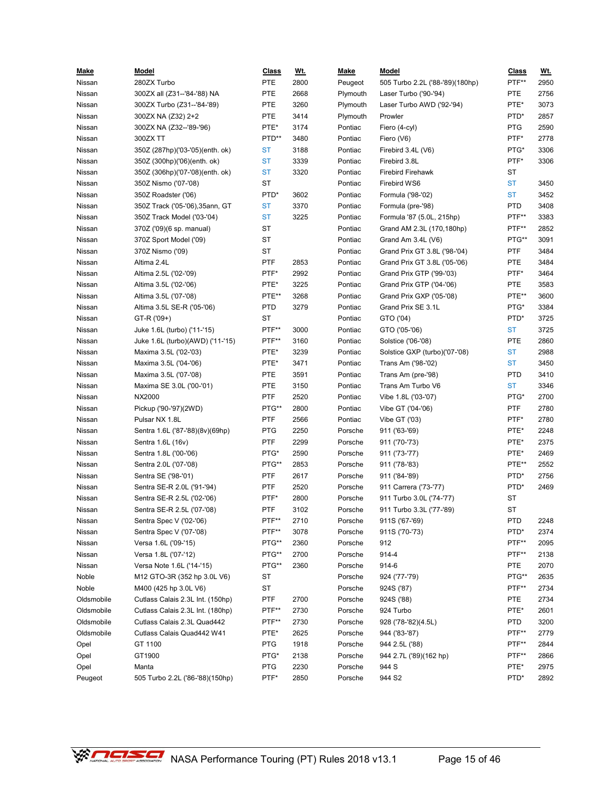| <u>Make</u> | Model                            | <b>Class</b> | <u>Wt.</u> | Make     | Model                                | <b>Class</b>        | <u>Wt.</u> |
|-------------|----------------------------------|--------------|------------|----------|--------------------------------------|---------------------|------------|
| Nissan      | 280ZX Turbo                      | PTE          | 2800       | Peugeot  | 505 Turbo 2.2L ('88-'89)(180hp)      | PTF**               | 2950       |
| Nissan      | 300ZX all (Z31--'84-'88) NA      | PTE          | 2668       | Plymouth | Laser Turbo ('90-'94)                | PTE                 | 2756       |
| Nissan      | 300ZX Turbo (Z31--'84-'89)       | PTE          | 3260       | Plymouth | Laser Turbo AWD ('92-'94)            | PTE*                | 3073       |
| Nissan      | 300ZX NA (Z32) 2+2               | PTE          | 3414       | Plymouth | Prowler                              | PTD*                | 2857       |
| Nissan      | 300ZX NA (Z32--'89-'96)          | PTE*         | 3174       | Pontiac  | Fiero (4-cyl)                        | <b>PTG</b>          | 2590       |
| Nissan      | 300ZX TT                         | PTD**        | 3480       | Pontiac  | Fiero (V6)                           | PTF*                | 2778       |
| Nissan      | 350Z (287hp)('03-'05)(enth. ok)  | <b>ST</b>    | 3188       | Pontiac  | Firebird 3.4L (V6)                   | PTG*                | 3306       |
| Nissan      | 350Z (300hp)('06)(enth. ok)      | <b>ST</b>    | 3339       | Pontiac  | Firebird 3.8L                        | PTF*                | 3306       |
| Nissan      | 350Z (306hp)('07-'08)(enth. ok)  | <b>ST</b>    | 3320       | Pontiac  | <b>Firebird Firehawk</b>             | ST                  |            |
| Nissan      | 350Z Nismo ('07-'08)             | ST           |            | Pontiac  | Firebird WS6                         | ST                  | 3450       |
| Nissan      | 350Z Roadster ('06)              | PTD*         | 3602       | Pontiac  | Formula ('98-'02)                    | <b>ST</b>           | 3452       |
| Nissan      | 350Z Track ('05-'06), 35ann, GT  | <b>ST</b>    | 3370       | Pontiac  | Formula (pre-'98)                    | <b>PTD</b>          | 3408       |
| Nissan      | 350Z Track Model ('03-'04)       | <b>ST</b>    | 3225       | Pontiac  | Formula '87 (5.0L, 215hp)            | PTF**               | 3383       |
| Nissan      | 370Z ('09)(6 sp. manual)         | ST           |            | Pontiac  | Grand AM 2.3L (170,180hp)            | PTF**               | 2852       |
| Nissan      | 370Z Sport Model ('09)           | ST           |            | Pontiac  | Grand Am $3.4L$ (V6)                 | PTG**               | 3091       |
| Nissan      | 370Z Nismo ('09)                 | ST           |            | Pontiac  | Grand Prix GT 3.8L ('98-'04)         | PTF                 | 3484       |
| Nissan      | Altima 2.4L                      | PTF          | 2853       | Pontiac  | Grand Prix GT 3.8L ('05-'06)         | PTE                 | 3484       |
| Nissan      | Altima 2.5L ('02-'09)            | PTF*         | 2992       | Pontiac  | Grand Prix GTP ('99-'03)             | PTF*                | 3464       |
| Nissan      | Altima 3.5L ('02-'06)            | PTE*         | 3225       | Pontiac  | Grand Prix GTP ('04-'06)             | PTE                 | 3583       |
| Nissan      | Altima 3.5L ('07-'08)            | PTE**        | 3268       | Pontiac  | Grand Prix GXP ('05-'08)             | PTE**               | 3600       |
| Nissan      | Altima 3.5L SE-R ('05-'06)       | <b>PTD</b>   | 3279       | Pontiac  | Grand Prix SE 3.1L                   | PTG*                | 3384       |
| Nissan      | GT-R ('09+)                      | ST           |            | Pontiac  | GTO ('04)                            | PTD*                | 3725       |
| Nissan      | Juke 1.6L (turbo) ('11-'15)      | PTF**        | 3000       | Pontiac  | GTO ('05-'06)                        | <b>ST</b>           | 3725       |
| Nissan      | Juke 1.6L (turbo)(AWD) ('11-'15) | PTF**        | 3160       | Pontiac  | Solstice ('06-'08)                   | PTE                 | 2860       |
| Nissan      | Maxima 3.5L ('02-'03)            | PTE*         | 3239       | Pontiac  | Solstice GXP (turbo)('07-'08)        | ST                  | 2988       |
| Nissan      | Maxima 3.5L ('04-'06)            | PTE*         | 3471       | Pontiac  | Trans Am ('98-'02)                   | ST                  | 3450       |
| Nissan      | Maxima 3.5L ('07-'08)            | PTE          | 3591       | Pontiac  | Trans Am (pre-'98)                   | <b>PTD</b>          | 3410       |
| Nissan      | Maxima SE 3.0L ('00-'01)         | PTE          | 3150       | Pontiac  | Trans Am Turbo V6                    | ST                  | 3346       |
| Nissan      | NX2000                           | <b>PTF</b>   | 2520       | Pontiac  | Vibe 1.8L ('03-'07)                  | PTG*                | 2700       |
| Nissan      | Pickup ('90-'97)(2WD)            | PTG**        | 2800       | Pontiac  | Vibe GT ('04-'06)                    | PTF                 | 2780       |
| Nissan      | Pulsar NX 1.8L                   | <b>PTF</b>   | 2566       | Pontiac  | Vibe GT ('03)                        | PTF*                | 2780       |
| Nissan      | Sentra 1.6L ('87-'88)(8v)(69hp)  | <b>PTG</b>   | 2250       | Porsche  | 911 ('63-'69)                        | PTE*                | 2248       |
| Nissan      | Sentra 1.6L (16v)                | <b>PTF</b>   | 2299       | Porsche  | 911 ('70-'73)                        | PTE*                | 2375       |
| Nissan      | Sentra 1.8L ('00-'06)            | PTG*         | 2590       | Porsche  | 911 ('73-'77)                        | PTE*                | 2469       |
| Nissan      | Sentra 2.0L ('07-'08)            | PTG**        | 2853       | Porsche  | 911 ('78-'83)                        | PTE**               | 2552       |
| Nissan      | Sentra SE ('98-'01)              | <b>PTF</b>   | 2617       | Porsche  | 911 ('84-'89)                        | PTD*                | 2756       |
| Nissan      | Sentra SE-R 2.0L ('91-'94)       | PTF          | 2520       | Porsche  | 911 Carrera ('73-'77)                | PTD*                | 2469       |
| Nissan      | Sentra SE-R 2.5L ('02-'06)       | PTF*         | 2800       | Porsche  | 911 Turbo 3.0L ('74-'77)             | ST                  |            |
| Nissan      | Sentra SE-R 2.5L ('07-'08)       | <b>PTF</b>   | 3102       | Porsche  | 911 Turbo 3.3L ('77-'89)             | ST                  |            |
| Nissan      | Sentra Spec V ('02-'06)          | PTF**        | 2710       | Porsche  | 911S ('67-'69)                       | <b>PTD</b>          | 2248       |
| Nissan      | Sentra Spec V ('07-'08)          | PTF**        | 3078       | Porsche  | 911S ('70-'73)                       | PTD*                | 2374       |
| Nissan      | Versa 1.6L ('09-'15)             | PTG**        | 2360       | Porsche  | 912                                  | PTF**               | 2095       |
| Nissan      | Versa 1.8L ('07-'12)             | PTG**        | 2700       | Porsche  | 914-4                                | PTF**               | 2138       |
| Nissan      | Versa Note 1.6L ('14-'15)        | PTG**        | 2360       | Porsche  | 914-6                                | PTE                 | 2070       |
| Noble       | M12 GTO-3R (352 hp 3.0L V6)      | ST           |            | Porsche  | 924 ('77-'79)                        | PTG**               | 2635       |
| Noble       | M400 (425 hp 3.0L V6)            | ST           |            | Porsche  | 924S ('87)                           | PTF**               | 2734       |
| Oldsmobile  | Cutlass Calais 2.3L Int. (150hp) | PTF          | 2700       | Porsche  | 924S ('88)                           | PTE                 | 2734       |
| Oldsmobile  | Cutlass Calais 2.3L Int. (180hp) | PTF**        |            | Porsche  | 924 Turbo                            | PTE*                | 2601       |
|             |                                  |              | 2730       |          |                                      |                     |            |
| Oldsmobile  | Cutlass Calais 2.3L Quad442      | PTF**        | 2730       | Porsche  | 928 ('78-'82)(4.5L)<br>944 ('83-'87) | <b>PTD</b><br>PTF** | 3200       |
| Oldsmobile  | Cutlass Calais Quad442 W41       | PTE*         | 2625       | Porsche  |                                      |                     | 2779       |
| Opel        | GT 1100                          | <b>PTG</b>   | 1918       | Porsche  | 944 2.5L ('88)                       | PTF**               | 2844       |
| Opel        | GT1900                           | PTG*         | 2138       | Porsche  | 944 2.7L ('89)(162 hp)               | PTF**               | 2866       |
| Opel        | Manta                            | <b>PTG</b>   | 2230       | Porsche  | 944 S                                | PTE*                | 2975       |
| Peugeot     | 505 Turbo 2.2L ('86-'88)(150hp)  | PTF*         | 2850       | Porsche  | 944 S2                               | PTD*                | 2892       |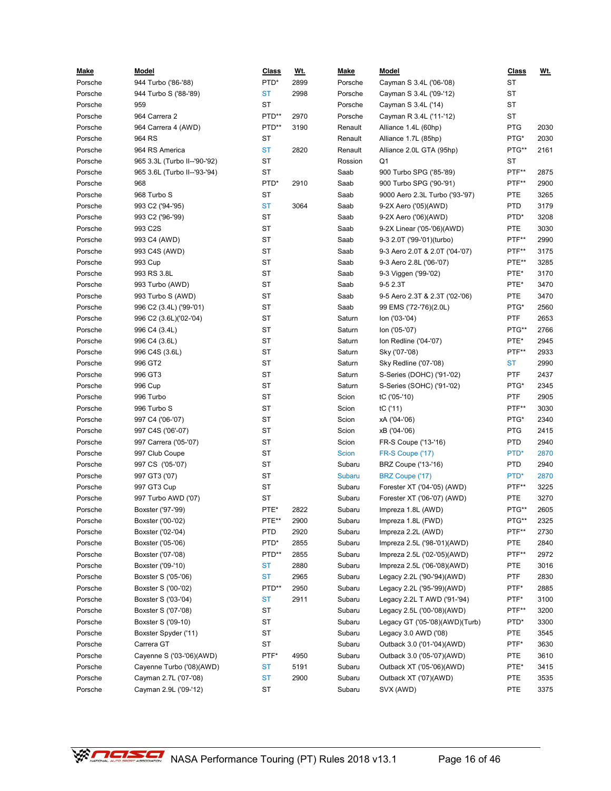| <u>Make</u> | <b>Model</b>                          | <u>Class</u> | <u>Wt.</u> | <u>Make</u>  | <u>Model</u>                   | <b>Class</b> | <u>Wt.</u> |
|-------------|---------------------------------------|--------------|------------|--------------|--------------------------------|--------------|------------|
| Porsche     | 944 Turbo ('86-'88)                   | PTD*         | 2899       | Porsche      | Cayman S 3.4L ('06-'08)        | <b>ST</b>    |            |
| Porsche     | 944 Turbo S ('88-'89)                 | <b>ST</b>    | 2998       | Porsche      | Cayman S 3.4L ('09-'12)        | <b>ST</b>    |            |
| Porsche     | 959                                   | ST           |            | Porsche      | Cayman S 3.4L ('14)            | ST           |            |
| Porsche     | 964 Carrera 2                         | PTD**        | 2970       | Porsche      | Cayman R 3.4L ('11-'12)        | ST           |            |
| Porsche     | 964 Carrera 4 (AWD)                   | PTD**        | 3190       | Renault      | Alliance 1.4L (60hp)           | <b>PTG</b>   | 2030       |
| Porsche     | 964 RS                                | ST           |            | Renault      | Alliance 1.7L (85hp)           | PTG*         | 2030       |
| Porsche     | 964 RS America                        | <b>ST</b>    | 2820       | Renault      | Alliance 2.0L GTA (95hp)       | PTG**        | 2161       |
| Porsche     | 965 3.3L (Turbo II--'90-'92)          | ST           |            | Rossion      | Q1                             | ST           |            |
| Porsche     | 965 3.6L (Turbo II--'93-'94)          | ST           |            | Saab         | 900 Turbo SPG ('85-'89)        | PTF**        | 2875       |
| Porsche     | 968                                   | PTD*         | 2910       | Saab         | 900 Turbo SPG ('90-'91)        | PTF**        | 2900       |
| Porsche     | 968 Turbo S                           | ST           |            | Saab         | 9000 Aero 2.3L Turbo ('93-'97) | PTE          | 3265       |
| Porsche     | 993 C2 ('94-'95)                      | <b>ST</b>    | 3064       | Saab         | 9-2X Aero ('05)(AWD)           | <b>PTD</b>   | 3179       |
| Porsche     | 993 C2 ('96-'99)                      | ST           |            | Saab         | 9-2X Aero ('06)(AWD)           | PTD*         | 3208       |
| Porsche     | 993 C2S                               | <b>ST</b>    |            | Saab         | 9-2X Linear ('05-'06)(AWD)     | PTE          | 3030       |
| Porsche     | 993 C4 (AWD)                          | ST           |            | Saab         | 9-3 2.0T ('99-'01)(turbo)      | PTF**        | 2990       |
| Porsche     | 993 C4S (AWD)                         | <b>ST</b>    |            | Saab         | 9-3 Aero 2.0T & 2.0T ('04-'07) | PTF**        | 3175       |
| Porsche     | 993 Cup                               | ST           |            | Saab         | 9-3 Aero 2.8L ('06-'07)        | PTE**        | 3285       |
| Porsche     | 993 RS 3.8L                           | <b>ST</b>    |            | Saab         | 9-3 Viggen ('99-'02)           | PTE*         | 3170       |
| Porsche     | 993 Turbo (AWD)                       | ST           |            | Saab         | 9-5 2.3T                       | PTE*         | 3470       |
| Porsche     | 993 Turbo S (AWD)                     | ST           |            | Saab         | 9-5 Aero 2.3T & 2.3T ('02-'06) | PTE          | 3470       |
| Porsche     | 996 C2 (3.4L) ('99-'01)               | ST           |            | Saab         | 99 EMS ('72-'76)(2.0L)         | PTG*         | 2560       |
| Porsche     | 996 C2 (3.6L)('02-'04)                | ST           |            | Saturn       | lon ('03-'04)                  | <b>PTF</b>   | 2653       |
| Porsche     | 996 C4 (3.4L)                         | ST           |            | Saturn       | lon ('05-'07)                  | PTG**        | 2766       |
| Porsche     | 996 C4 (3.6L)                         | ST           |            | Saturn       | Ion Redline ('04-'07)          | PTE*         | 2945       |
| Porsche     | 996 C4S (3.6L)                        | ST           |            | Saturn       | Sky ('07-'08)                  | PTF**        | 2933       |
| Porsche     | 996 GT2                               | <b>ST</b>    |            | Saturn       | Sky Redline ('07-'08)          | ST           | 2990       |
| Porsche     | 996 GT3                               | ST           |            | Saturn       | S-Series (DOHC) ('91-'02)      | <b>PTF</b>   | 2437       |
| Porsche     | 996 Cup                               | ST           |            | Saturn       | S-Series (SOHC) ('91-'02)      | PTG*         | 2345       |
| Porsche     | 996 Turbo                             | ST           |            | Scion        | tC ('05-'10)                   | <b>PTF</b>   | 2905       |
| Porsche     | 996 Turbo S                           | <b>ST</b>    |            | Scion        | tC ('11)                       | PTF**        | 3030       |
| Porsche     |                                       | ST           |            | Scion        |                                | PTG*         | 2340       |
| Porsche     | 997 C4 ('06-'07)<br>997 C4S ('06'-07) | <b>ST</b>    |            |              | xA ('04-'06)<br>xB ('04-'06)   | <b>PTG</b>   | 2415       |
|             |                                       | ST           |            | Scion        |                                | <b>PTD</b>   | 2940       |
| Porsche     | 997 Carrera ('05-'07)                 | <b>ST</b>    |            | Scion        | FR-S Coupe ('13-'16)           | PTD*         |            |
| Porsche     | 997 Club Coupe                        |              |            | <b>Scion</b> | FR-S Coupe ('17)               |              | 2870       |
| Porsche     | 997 CS ('05-'07)                      | ST           |            | Subaru       | BRZ Coupe ('13-'16)            | <b>PTD</b>   | 2940       |
| Porsche     | 997 GT3 ('07)                         | ST           |            | Subaru       | BRZ Coupe ('17)                | PTD*         | 2870       |
| Porsche     | 997 GT3 Cup                           | ST           |            | Subaru       | Forester XT ('04-'05) (AWD)    | PTF**        | 3225       |
| Porsche     | 997 Turbo AWD ('07)                   | ST           |            | Subaru       | Forester XT ('06-'07) (AWD)    | PTE          | 3270       |
| Porsche     | Boxster ('97-'99)                     | PTE*         | 2822       | Subaru       | Impreza 1.8L (AWD)             | PTG**        | 2605       |
| Porsche     | Boxster ('00-'02)                     | PTE**        | 2900       | Subaru       | Impreza 1.8L (FWD)             | PTG**        | 2325       |
| Porsche     | Boxster ('02-'04)                     | <b>PTD</b>   | 2920       | Subaru       | Impreza 2.2L (AWD)             | PTF**        | 2730       |
| Porsche     | Boxster ('05-'06)                     | PTD*         | 2855       | Subaru       | Impreza 2.5L ('98-'01)(AWD)    | PTE          | 2840       |
| Porsche     | Boxster ('07-'08)                     | PTD**        | 2855       | Subaru       | Impreza 2.5L ('02-'05)(AWD)    | PTF**        | 2972       |
| Porsche     | Boxster ('09-'10)                     | <b>ST</b>    | 2880       | Subaru       | Impreza 2.5L ('06-'08)(AWD)    | PTE          | 3016       |
| Porsche     | Boxster S ('05-'06)                   | <b>ST</b>    | 2965       | Subaru       | Legacy 2.2L ('90-'94)(AWD)     | PTF          | 2830       |
| Porsche     | Boxster S ('00-'02)                   | PTD**        | 2950       | Subaru       | Legacy 2.2L ('95-'99)(AWD)     | PTF*         | 2885       |
| Porsche     | Boxster S ('03-'04)                   | ST           | 2911       | Subaru       | Legacy 2.2L T AWD ('91-'94)    | PTF*         | 3100       |
| Porsche     | Boxster S ('07-'08)                   | ST           |            | Subaru       | Legacy 2.5L ('00-'08)(AWD)     | PTF**        | 3200       |
| Porsche     | Boxster S ('09-10)                    | ST           |            | Subaru       | Legacy GT ('05-'08)(AWD)(Turb) | PTD*         | 3300       |
| Porsche     | Boxster Spyder ('11)                  | ST           |            | Subaru       | Legacy 3.0 AWD ('08)           | PTE          | 3545       |
| Porsche     | Carrera GT                            | ST           |            | Subaru       | Outback 3.0 ('01-'04)(AWD)     | PTF*         | 3630       |
| Porsche     | Cayenne S ('03-'06)(AWD)              | PTF*         | 4950       | Subaru       | Outback 3.0 ('05-'07)(AWD)     | PTE          | 3610       |
| Porsche     | Cayenne Turbo ('08)(AWD)              | ST           | 5191       | Subaru       | Outback XT ('05-'06)(AWD)      | PTE*         | 3415       |
| Porsche     | Cayman 2.7L ('07-'08)                 | <b>ST</b>    | 2900       | Subaru       | Outback XT ('07)(AWD)          | PTE          | 3535       |
| Porsche     | Cayman 2.9L ('09-'12)                 | ST           |            | Subaru       | SVX (AWD)                      | PTE          | 3375       |

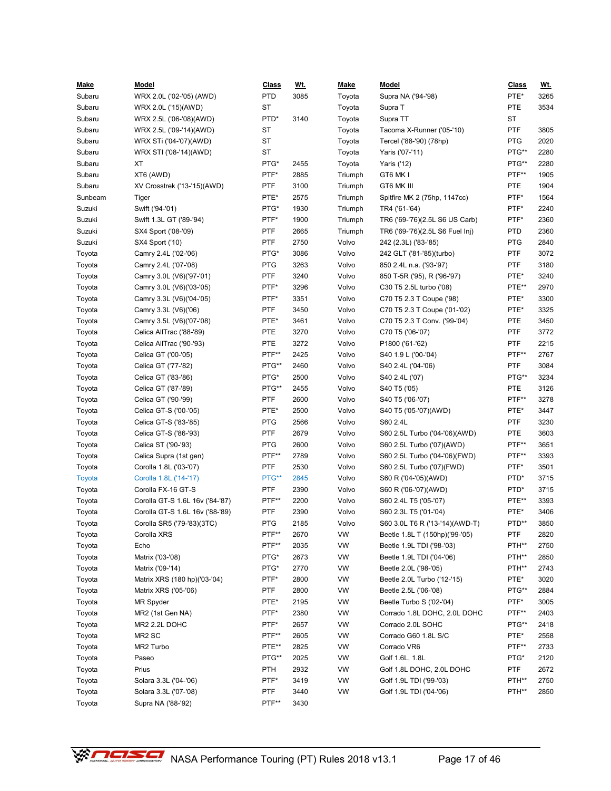| <u>Make</u> | <u>Model</u>                    | <b>Class</b> | <u>Wt.</u> | <b>Make</b> | <b>Model</b>                    | <b>Class</b> | <u>Wt.</u> |
|-------------|---------------------------------|--------------|------------|-------------|---------------------------------|--------------|------------|
| Subaru      | WRX 2.0L ('02-'05) (AWD)        | <b>PTD</b>   | 3085       | Toyota      | Supra NA ('94-'98)              | PTE*         | 3265       |
| Subaru      | WRX 2.0L ('15)(AWD)             | <b>ST</b>    |            | Toyota      | Supra T                         | PTE          | 3534       |
| Subaru      | WRX 2.5L ('06-'08)(AWD)         | PTD*         | 3140       | Toyota      | Supra TT                        | ST           |            |
| Subaru      | WRX 2.5L ('09-'14)(AWD)         | ST           |            | Toyota      | Tacoma X-Runner ('05-'10)       | PTF          | 3805       |
| Subaru      | WRX STi ('04-'07)(AWD)          | ST           |            | Toyota      | Tercel ('88-'90) (78hp)         | <b>PTG</b>   | 2020       |
| Subaru      | WRX STI ('08-'14)(AWD)          | <b>ST</b>    |            | Toyota      | Yaris ('07-'11)                 | PTG**        | 2280       |
| Subaru      | XT                              | PTG*         | 2455       | Toyota      | Yaris ('12)                     | PTG**        | 2280       |
| Subaru      | XT6 (AWD)                       | PTF*         | 2885       | Triumph     | GT6 MK I                        | PTF**        | 1905       |
| Subaru      | XV Crosstrek ('13-'15)(AWD)     | <b>PTF</b>   | 3100       | Triumph     | GT6 MK III                      | PTE          | 1904       |
| Sunbeam     | Tiger                           | PTE*         | 2575       | Triumph     | Spitfire MK 2 (75hp, 1147cc)    | PTF*         | 1564       |
| Suzuki      | Swift ('94-'01)                 | PTG*         | 1930       | Triumph     | TR4 ('61-'64)                   | PTF*         | 2240       |
| Suzuki      | Swift 1.3L GT ('89-'94)         | PTF*         | 1900       | Triumph     | TR6 ('69-'76)(2.5L S6 US Carb)  | PTF*         | 2360       |
| Suzuki      | SX4 Sport ('08-'09)             | PTF          | 2665       | Triumph     | TR6 ('69-'76)(2.5L S6 Fuel Inj) | PTD          | 2360       |
| Suzuki      | SX4 Sport ('10)                 | PTF          | 2750       | Volvo       | 242 (2.3L) ('83-'85)            | PTG          | 2840       |
| Toyota      | Camry 2.4L ('02-'06)            | PTG*         | 3086       | Volvo       | 242 GLT ('81-'85)(turbo)        | PTF          | 3072       |
| Toyota      | Camry 2.4L ('07-'08)            | <b>PTG</b>   | 3263       | Volvo       | 850 2.4L n.a. ('93-'97)         | PTF          | 3180       |
| Toyota      | Camry 3.0L (V6)('97-'01)        | <b>PTF</b>   | 3240       | Volvo       | 850 T-5R ('95), R ('96-'97)     | PTE*         | 3240       |
| Toyota      | Camry 3.0L (V6)('03-'05)        | PTF*         | 3296       | Volvo       | C30 T5 2.5L turbo ('08)         | PTE**        | 2970       |
| Toyota      | Camry 3.3L (V6)('04-'05)        | PTF*         | 3351       | Volvo       | C70 T5 2.3 T Coupe ('98)        | PTE*         | 3300       |
| Toyota      | Camry 3.3L (V6)('06)            | <b>PTF</b>   | 3450       | Volvo       | C70 T5 2.3 T Coupe ('01-'02)    | PTE*         | 3325       |
| Toyota      | Camry 3.5L (V6)('07-'08)        | PTE*         | 3461       | Volvo       | C70 T5 2.3 T Conv. ('99-'04)    | PTE          | 3450       |
| Toyota      | Celica AllTrac ('88-'89)        | <b>PTE</b>   | 3270       | Volvo       | C70 T5 ('06-'07)                | PTF          | 3772       |
| Toyota      | Celica AllTrac ('90-'93)        | <b>PTE</b>   | 3272       | Volvo       | P1800 ('61-'62)                 | PTF          | 2215       |
| Toyota      | Celica GT ('00-'05)             | PTF**        | 2425       | Volvo       | S40 1.9 L ('00-'04)             | PTF**        | 2767       |
| Toyota      | Celica GT ('77-'82)             | PTG**        | 2460       | Volvo       | S40 2.4L ('04-'06)              | PTF          | 3084       |
| Toyota      | Celica GT ('83-'86)             | PTG*         | 2500       | Volvo       | S40 2.4L ('07)                  | PTG**        | 3234       |
| Toyota      | Celica GT ('87-'89)             | PTG**        | 2455       | Volvo       | S40 T5 ('05)                    | PTE          | 3126       |
| Toyota      | Celica GT ('90-'99)             | <b>PTF</b>   | 2600       | Volvo       | S40 T5 ('06-'07)                | PTF**        | 3278       |
| Toyota      | Celica GT-S ('00-'05)           | PTE*         | 2500       | Volvo       | S40 T5 ('05-'07)(AWD)           | PTE*         | 3447       |
| Toyota      | Celica GT-S ('83-'85)           | <b>PTG</b>   | 2566       | Volvo       | S60 2.4L                        | PTF          | 3230       |
| Toyota      | Celica GT-S ('86-'93)           | <b>PTF</b>   | 2679       | Volvo       | S60 2.5L Turbo ('04-'06)(AWD)   | <b>PTE</b>   | 3603       |
| Toyota      | Celica ST ('90-'93)             | <b>PTG</b>   | 2600       | Volvo       | S60 2.5L Turbo ('07)(AWD)       | PTF**        | 3651       |
| Toyota      | Celica Supra (1st gen)          | PTF**        | 2789       | Volvo       | S60 2.5L Turbo ('04-'06)(FWD)   | PTF**        | 3393       |
| Toyota      | Corolla 1.8L ('03-'07)          | <b>PTF</b>   | 2530       | Volvo       | S60 2.5L Turbo ('07)(FWD)       | PTF*         | 3501       |
| Toyota      | Corolla 1.8L ('14-'17)          | PTG**        | 2845       | Volvo       | S60 R ('04-'05)(AWD)            | PTD*         | 3715       |
| Toyota      | Corolla FX-16 GT-S              | <b>PTF</b>   | 2390       | Volvo       | S60 R ('06-'07)(AWD)            | PTD*         | 3715       |
| Toyota      | Corolla GT-S 1.6L 16v ('84-'87) | PTF**        | 2200       | Volvo       | S60 2.4L T5 ('05-'07)           | PTE**        | 3393       |
| Toyota      | Corolla GT-S 1.6L 16v ('88-'89) | PTF          | 2390       | Volvo       | S60 2.3L T5 ('01-'04)           | PTE*         | 3406       |
| Toyota      | Corolla SR5 ('79-'83)(3TC)      | <b>PTG</b>   | 2185       | Volvo       | S60 3.0L T6 R ('13-'14)(AWD-T)  | PTD**        | 3850       |
| Toyota      | Corolla XRS                     | PTF**        | 2670       | <b>VW</b>   | Beetle 1.8L T (150hp)('99-'05)  | PTF          | 2820       |
| Toyota      | Echo                            | PTF**        | 2035       | <b>VW</b>   | Beetle 1.9L TDI ('98-'03)       | PTH**        | 2750       |
| Toyota      | Matrix ('03-'08)                | PTG*         | 2673       | <b>VW</b>   | Beetle 1.9L TDI ('04-'06)       | PTH**        | 2850       |
| Toyota      | Matrix ('09-'14)                | PTG*         | 2770       | VW          | Beetle 2.0L ('98-'05)           | PTH**        | 2743       |
| Toyota      | Matrix XRS (180 hp)('03-'04)    | PTF*         | 2800       | VW          | Beetle 2.0L Turbo ('12-'15)     | PTE*         | 3020       |
| Toyota      | Matrix XRS ('05-'06)            | <b>PTF</b>   | 2800       | VW          | Beetle 2.5L ('06-'08)           | PTG**        | 2884       |
| Toyota      | <b>MR Spyder</b>                | PTE*         | 2195       | VW          | Beetle Turbo S ('02-'04)        | PTF*         | 3005       |
| Toyota      | MR2 (1st Gen NA)                | PTF*         | 2380       | VW          | Corrado 1.8L DOHC, 2.0L DOHC    | PTF**        | 2403       |
| Toyota      | MR2 2.2L DOHC                   | PTF*         | 2657       | VW          | Corrado 2.0L SOHC               | PTG**        | 2418       |
| Toyota      | MR <sub>2</sub> SC              | PTF**        | 2605       | VW          | Corrado G60 1.8L S/C            | PTE*         | 2558       |
| Toyota      | MR2 Turbo                       | PTE**        | 2825       | VW          | Corrado VR6                     | PTF**        | 2733       |
| Toyota      | Paseo                           | PTG**        | 2025       | VW          | Golf 1.6L, 1.8L                 | PTG*         | 2120       |
| Toyota      | Prius                           | <b>PTH</b>   | 2932       | VW          | Golf 1.8L DOHC, 2.0L DOHC       | PTF          | 2672       |
| Toyota      | Solara 3.3L ('04-'06)           | PTF*         | 3419       | VW          | Golf 1.9L TDI ('99-'03)         | PTH**        | 2750       |
| Toyota      | Solara 3.3L ('07-'08)           | PTF          | 3440       | VW          | Golf 1.9L TDI ('04-'06)         | PTH**        | 2850       |
| Toyota      | Supra NA ('88-'92)              | PTF**        | 3430       |             |                                 |              |            |

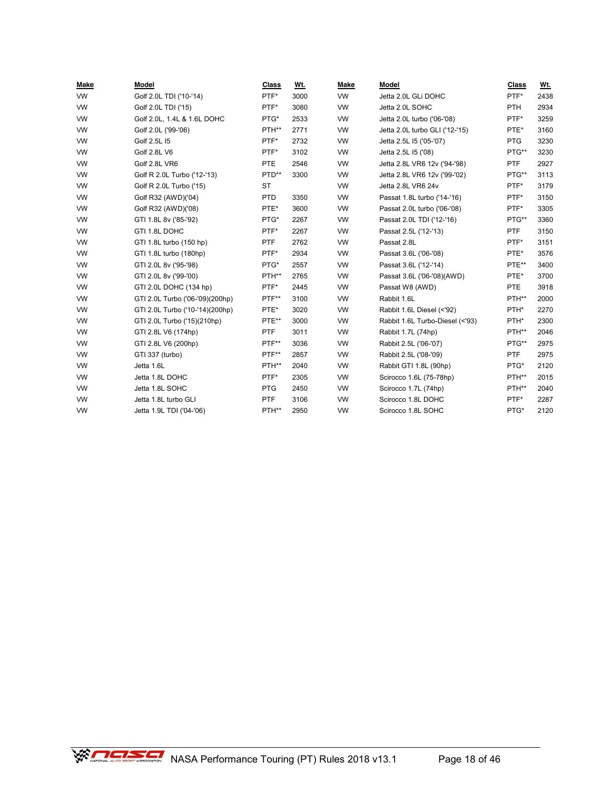| Make      | Model                           | <b>Class</b> | Wt.  | Make      | Model                           | Class      | <u>Wt.</u> |
|-----------|---------------------------------|--------------|------|-----------|---------------------------------|------------|------------|
| <b>VW</b> | Golf 2.0L TDI ('10-'14)         | PTF*         | 3000 | <b>VW</b> | Jetta 2.0L GLi DOHC             | PTF*       | 2438       |
| <b>VW</b> | Golf 2.0L TDI ('15)             | PTF*         | 3080 | <b>VW</b> | Jetta 2.0L SOHC                 | <b>PTH</b> | 2934       |
| <b>VW</b> | Golf 2.0L, 1.4L & 1.6L DOHC     | PTG*         | 2533 | <b>VW</b> | Jetta 2.0L turbo ('06-'08)      | PTF*       | 3259       |
| <b>VW</b> | Golf 2.0L ('99-'06)             | PTH**        | 2771 | <b>VW</b> | Jetta 2.0L turbo GLI ('12-'15)  | PTE*       | 3160       |
| <b>VW</b> | Golf 2.5L 15                    | PTF*         | 2732 | <b>VW</b> | Jetta 2.5L I5 ('05-'07)         | <b>PTG</b> | 3230       |
| <b>VW</b> | Golf 2.8L V6                    | PTF*         | 3102 | <b>VW</b> | Jetta 2.5L 15 ('08)             | PTG**      | 3230       |
| <b>VW</b> | Golf 2.8L VR6                   | PTE          | 2546 | <b>VW</b> | Jetta 2.8L VR6 12v ('94-'98)    | <b>PTF</b> | 2927       |
| <b>VW</b> | Golf R 2.0L Turbo ('12-'13)     | PTD**        | 3300 | <b>VW</b> | Jetta 2.8L VR6 12v ('99-'02)    | PTG**      | 3113       |
| <b>VW</b> | Golf R 2.0L Turbo ('15)         | <b>ST</b>    |      | <b>VW</b> | Jetta 2.8L VR6 24v              | PTF*       | 3179       |
| VW        | Golf R32 (AWD)('04)             | <b>PTD</b>   | 3350 | <b>VW</b> | Passat 1.8L turbo ('14-'16)     | PTF*       | 3150       |
| <b>VW</b> | Golf R32 (AWD)('08)             | PTE*         | 3600 | <b>VW</b> | Passat 2.0L turbo ('06-'08)     | PTF*       | 3305       |
| <b>VW</b> | GTI 1.8L 8v ('85-'92)           | PTG*         | 2267 | <b>VW</b> | Passat 2.0L TDI ('12-'16)       | PTG**      | 3360       |
| <b>VW</b> | GTI 1.8L DOHC                   | PTF*         | 2267 | <b>VW</b> | Passat 2.5L ('12-'13)           | <b>PTF</b> | 3150       |
| <b>VW</b> | GTI 1.8L turbo (150 hp)         | <b>PTF</b>   | 2762 | <b>VW</b> | Passat 2.8L                     | PTF*       | 3151       |
| <b>VW</b> | GTI 1.8L turbo (180hp)          | PTF*         | 2934 | <b>VW</b> | Passat 3.6L ('06-'08)           | PTE*       | 3576       |
| <b>VW</b> | GTI 2.0L 8v ('95-'98)           | PTG*         | 2557 | <b>VW</b> | Passat 3.6L ('12-'14)           | PTE**      | 3400       |
| <b>VW</b> | GTI 2.0L 8v ('99-'00)           | PTH**        | 2765 | <b>VW</b> | Passat 3.6L ('06-'08)(AWD)      | PTE*       | 3700       |
| VW        | GTI 2.0L DOHC (134 hp)          | PTF*         | 2445 | <b>VW</b> | Passat W8 (AWD)                 | <b>PTE</b> | 3918       |
| <b>VW</b> | GTI 2.0L Turbo ('06-'09)(200hp) | PTF**        | 3100 | <b>VW</b> | Rabbit 1.6L                     | PTH**      | 2000       |
| <b>VW</b> | GTI 2.0L Turbo ('10-'14)(200hp) | PTE*         | 3020 | <b>VW</b> | Rabbit 1.6L Diesel (<'92)       | PTH*       | 2270       |
| <b>VW</b> | GTI 2.0L Turbo ('15)(210hp)     | PTE**        | 3000 | <b>VW</b> | Rabbit 1.6L Turbo-Diesel (<'93) | PTH*       | 2300       |
| <b>VW</b> | GTI 2.8L V6 (174hp)             | <b>PTF</b>   | 3011 | <b>VW</b> | Rabbit 1.7L (74hp)              | PTH**      | 2046       |
| <b>VW</b> | GTI 2.8L V6 (200hp)             | PTF**        | 3036 | <b>VW</b> | Rabbit 2.5L ('06-'07)           | PTG**      | 2975       |
| <b>VW</b> | GTI 337 (turbo)                 | PTF**        | 2857 | <b>VW</b> | Rabbit 2.5L ('08-'09)           | <b>PTF</b> | 2975       |
| <b>VW</b> | Jetta 1.6L                      | PTH**        | 2040 | <b>VW</b> | Rabbit GTI 1.8L (90hp)          | PTG*       | 2120       |
| <b>VW</b> | Jetta 1.8L DOHC                 | PTF*         | 2305 | <b>VW</b> | Scirocco 1.6L (75-78hp)         | PTH**      | 2015       |
| <b>VW</b> | Jetta 1.8L SOHC                 | <b>PTG</b>   | 2450 | <b>VW</b> | Scirocco 1.7L (74hp)            | PTH**      | 2040       |
| <b>VW</b> | Jetta 1.8L turbo GLI            | PTF          | 3106 | <b>VW</b> | Scirocco 1.8L DOHC              | PTF*       | 2287       |
| <b>VW</b> | Jetta 1.9L TDI ('04-'06)        | PTH**        | 2950 | <b>VW</b> | Scirocco 1.8L SOHC              | PTG*       | 2120       |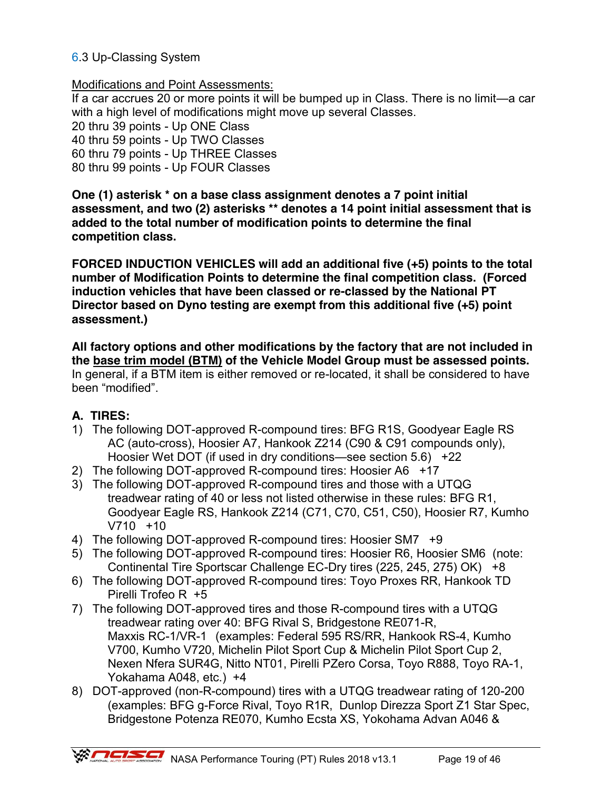### 6.3 Up-Classing System

#### Modifications and Point Assessments:

If a car accrues 20 or more points it will be bumped up in Class. There is no limit—a car with a high level of modifications might move up several Classes.

20 thru 39 points - Up ONE Class

40 thru 59 points - Up TWO Classes

60 thru 79 points - Up THREE Classes

80 thru 99 points - Up FOUR Classes

**One (1) asterisk \* on a base class assignment denotes a 7 point initial assessment, and two (2) asterisks \*\* denotes a 14 point initial assessment that is added to the total number of modification points to determine the final competition class.**

**FORCED INDUCTION VEHICLES will add an additional five (+5) points to the total number of Modification Points to determine the final competition class. (Forced induction vehicles that have been classed or re-classed by the National PT Director based on Dyno testing are exempt from this additional five (+5) point assessment.)** 

**All factory options and other modifications by the factory that are not included in the base trim model (BTM) of the Vehicle Model Group must be assessed points.**  In general, if a BTM item is either removed or re-located, it shall be considered to have been "modified".

### **A. TIRES:**

- 1) The following DOT-approved R-compound tires: BFG R1S, Goodyear Eagle RS AC (auto-cross), Hoosier A7, Hankook Z214 (C90 & C91 compounds only), Hoosier Wet DOT (if used in dry conditions—see section 5.6) +22
- 2) The following DOT-approved R-compound tires: Hoosier A6 +17
- 3) The following DOT-approved R-compound tires and those with a UTQG treadwear rating of 40 or less not listed otherwise in these rules: BFG R1, Goodyear Eagle RS, Hankook Z214 (C71, C70, C51, C50), Hoosier R7, Kumho V710 +10
- 4) The following DOT-approved R-compound tires: Hoosier SM7 +9
- 5) The following DOT-approved R-compound tires: Hoosier R6, Hoosier SM6 (note: Continental Tire Sportscar Challenge EC-Dry tires (225, 245, 275) OK) +8
- 6) The following DOT-approved R-compound tires: Toyo Proxes RR, Hankook TD Pirelli Trofeo R +5
- 7) The following DOT-approved tires and those R-compound tires with a UTQG treadwear rating over 40: BFG Rival S, Bridgestone RE071-R, Maxxis RC-1/VR-1 (examples: Federal 595 RS/RR, Hankook RS-4, Kumho V700, Kumho V720, Michelin Pilot Sport Cup & Michelin Pilot Sport Cup 2, Nexen Nfera SUR4G, Nitto NT01, Pirelli PZero Corsa, Toyo R888, Toyo RA-1, Yokahama A048, etc.) +4
- 8) DOT-approved (non-R-compound) tires with a UTQG treadwear rating of 120-200 (examples: BFG g-Force Rival, Toyo R1R, Dunlop Direzza Sport Z1 Star Spec, Bridgestone Potenza RE070, Kumho Ecsta XS, Yokohama Advan A046 &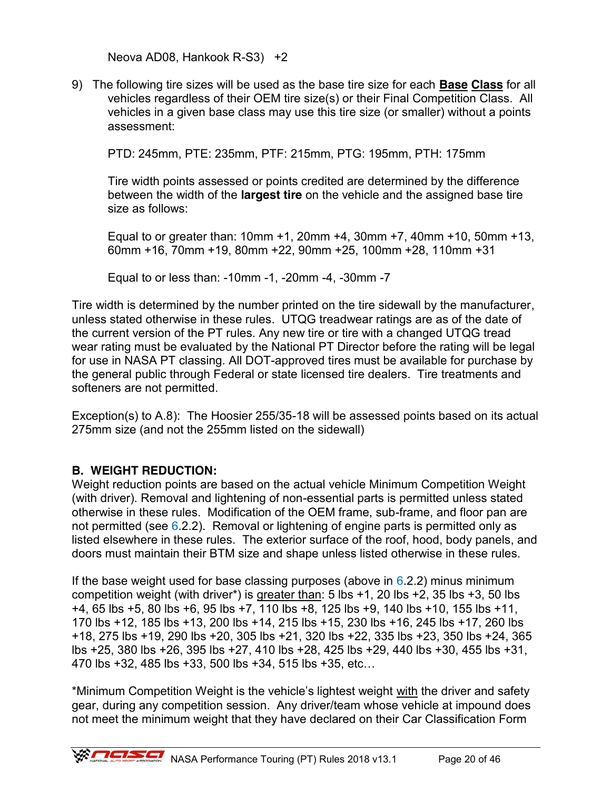Neova AD08, Hankook R-S3) +2

9) The following tire sizes will be used as the base tire size for each **Base Class** for all vehicles regardless of their OEM tire size(s) or their Final Competition Class. All vehicles in a given base class may use this tire size (or smaller) without a points assessment:

PTD: 245mm, PTE: 235mm, PTF: 215mm, PTG: 195mm, PTH: 175mm

 Tire width points assessed or points credited are determined by the difference between the width of the **largest tire** on the vehicle and the assigned base tire size as follows:

 Equal to or greater than: 10mm +1, 20mm +4, 30mm +7, 40mm +10, 50mm +13, 60mm +16, 70mm +19, 80mm +22, 90mm +25, 100mm +28, 110mm +31

Equal to or less than: -10mm -1, -20mm -4, -30mm -7

Tire width is determined by the number printed on the tire sidewall by the manufacturer, unless stated otherwise in these rules. UTQG treadwear ratings are as of the date of the current version of the PT rules. Any new tire or tire with a changed UTQG tread wear rating must be evaluated by the National PT Director before the rating will be legal for use in NASA PT classing. All DOT-approved tires must be available for purchase by the general public through Federal or state licensed tire dealers. Tire treatments and softeners are not permitted.

Exception(s) to A.8): The Hoosier 255/35-18 will be assessed points based on its actual 275mm size (and not the 255mm listed on the sidewall)

### **B. WEIGHT REDUCTION:**

Weight reduction points are based on the actual vehicle Minimum Competition Weight (with driver). Removal and lightening of non-essential parts is permitted unless stated otherwise in these rules. Modification of the OEM frame, sub-frame, and floor pan are not permitted (see  $6.2.2$ ). Removal or lightening of engine parts is permitted only as listed elsewhere in these rules. The exterior surface of the roof, hood, body panels, and doors must maintain their BTM size and shape unless listed otherwise in these rules.

If the base weight used for base classing purposes (above in  $6.2.2$ ) minus minimum competition weight (with driver<sup>\*</sup>) is greater than: 5 lbs  $+1$ , 20 lbs  $+2$ , 35 lbs  $+3$ , 50 lbs +4, 65 lbs +5, 80 lbs +6, 95 lbs +7, 110 lbs +8, 125 lbs +9, 140 lbs +10, 155 lbs +11, 170 lbs +12, 185 lbs +13, 200 lbs +14, 215 lbs +15, 230 lbs +16, 245 lbs +17, 260 lbs +18, 275 lbs +19, 290 lbs +20, 305 lbs +21, 320 lbs +22, 335 lbs +23, 350 lbs +24, 365 lbs +25, 380 lbs +26, 395 lbs +27, 410 lbs +28, 425 lbs +29, 440 lbs +30, 455 lbs +31, 470 lbs +32, 485 lbs +33, 500 lbs +34, 515 lbs +35, etc…

\*Minimum Competition Weight is the vehicle's lightest weight with the driver and safety gear, during any competition session. Any driver/team whose vehicle at impound does not meet the minimum weight that they have declared on their Car Classification Form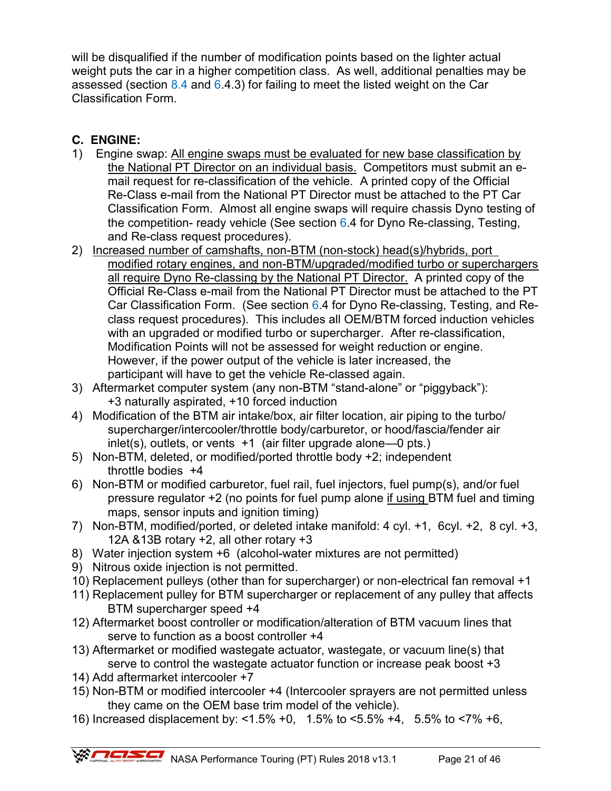will be disqualified if the number of modification points based on the lighter actual weight puts the car in a higher competition class. As well, additional penalties may be assessed (section  $8.4$  and  $6.4.3$ ) for failing to meet the listed weight on the Car Classification Form.

# **C. ENGINE:**

- 1) Engine swap: All engine swaps must be evaluated for new base classification by the National PT Director on an individual basis. Competitors must submit an email request for re-classification of the vehicle. A printed copy of the Official Re-Class e-mail from the National PT Director must be attached to the PT Car Classification Form. Almost all engine swaps will require chassis Dyno testing of the competition- ready vehicle (See section 6.4 for Dyno Re-classing, Testing, and Re-class request procedures).
- 2) Increased number of camshafts, non-BTM (non-stock) head(s)/hybrids, port modified rotary engines, and non-BTM/upgraded/modified turbo or superchargers all require Dyno Re-classing by the National PT Director. A printed copy of the Official Re-Class e-mail from the National PT Director must be attached to the PT Car Classification Form. (See section 6.4 for Dyno Re-classing, Testing, and Reclass request procedures). This includes all OEM/BTM forced induction vehicles with an upgraded or modified turbo or supercharger. After re-classification, Modification Points will not be assessed for weight reduction or engine. However, if the power output of the vehicle is later increased, the participant will have to get the vehicle Re-classed again.
- 3) Aftermarket computer system (any non-BTM "stand-alone" or "piggyback"): +3 naturally aspirated, +10 forced induction
- 4) Modification of the BTM air intake/box, air filter location, air piping to the turbo/ supercharger/intercooler/throttle body/carburetor, or hood/fascia/fender air inlet(s), outlets, or vents +1 (air filter upgrade alone—0 pts.)
- 5) Non-BTM, deleted, or modified/ported throttle body +2; independent throttle bodies +4
- 6) Non-BTM or modified carburetor, fuel rail, fuel injectors, fuel pump(s), and/or fuel pressure regulator +2 (no points for fuel pump alone if using BTM fuel and timing maps, sensor inputs and ignition timing)
- 7) Non-BTM, modified/ported, or deleted intake manifold: 4 cyl. +1, 6cyl. +2, 8 cyl. +3, 12A &13B rotary +2, all other rotary +3
- 8) Water injection system +6 (alcohol-water mixtures are not permitted)
- 9) Nitrous oxide injection is not permitted.
- 10) Replacement pulleys (other than for supercharger) or non-electrical fan removal +1
- 11) Replacement pulley for BTM supercharger or replacement of any pulley that affects BTM supercharger speed +4
- 12) Aftermarket boost controller or modification/alteration of BTM vacuum lines that serve to function as a boost controller +4
- 13) Aftermarket or modified wastegate actuator, wastegate, or vacuum line(s) that serve to control the wastegate actuator function or increase peak boost +3
- 14) Add aftermarket intercooler +7
- 15) Non-BTM or modified intercooler +4 (Intercooler sprayers are not permitted unless they came on the OEM base trim model of the vehicle).
- 16) Increased displacement by: <1.5% +0, 1.5% to <5.5% +4, 5.5% to <7% +6,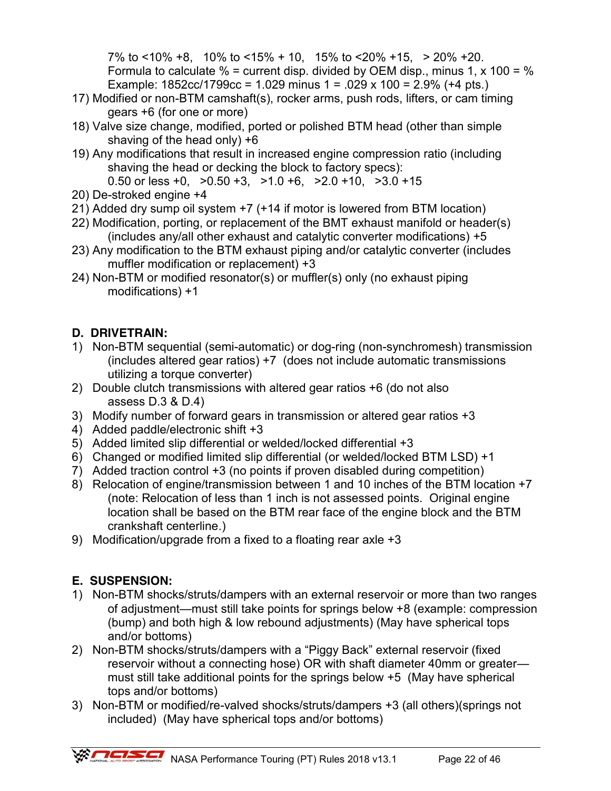7% to <10% +8, 10% to <15% + 10, 15% to <20% +15, > 20% +20. Formula to calculate  $%$  = current disp. divided by OEM disp., minus 1, x 100 =  $%$ Example: 1852cc/1799cc = 1.029 minus 1 = .029 x 100 = 2.9% (+4 pts.)

- 17) Modified or non-BTM camshaft(s), rocker arms, push rods, lifters, or cam timing gears +6 (for one or more)
- 18) Valve size change, modified, ported or polished BTM head (other than simple shaving of the head only) +6
- 19) Any modifications that result in increased engine compression ratio (including shaving the head or decking the block to factory specs):
	- 0.50 or less +0,  $>0.50 +3$ ,  $>1.0 +6$ ,  $>2.0 +10$ ,  $>3.0 +15$
- 20) De-stroked engine +4
- 21) Added dry sump oil system +7 (+14 if motor is lowered from BTM location)
- 22) Modification, porting, or replacement of the BMT exhaust manifold or header(s) (includes any/all other exhaust and catalytic converter modifications) +5
- 23) Any modification to the BTM exhaust piping and/or catalytic converter (includes muffler modification or replacement) +3
- 24) Non-BTM or modified resonator(s) or muffler(s) only (no exhaust piping modifications) +1

# **D. DRIVETRAIN:**

- 1) Non-BTM sequential (semi-automatic) or dog-ring (non-synchromesh) transmission (includes altered gear ratios) +7 (does not include automatic transmissions utilizing a torque converter)
- 2) Double clutch transmissions with altered gear ratios +6 (do not also assess D.3 & D.4)
- 3) Modify number of forward gears in transmission or altered gear ratios +3
- 4) Added paddle/electronic shift +3
- 5) Added limited slip differential or welded/locked differential +3
- 6) Changed or modified limited slip differential (or welded/locked BTM LSD) +1
- 7) Added traction control +3 (no points if proven disabled during competition)
- 8) Relocation of engine/transmission between 1 and 10 inches of the BTM location +7 (note: Relocation of less than 1 inch is not assessed points. Original engine location shall be based on the BTM rear face of the engine block and the BTM crankshaft centerline.)
- 9) Modification/upgrade from a fixed to a floating rear axle +3

# **E. SUSPENSION:**

- 1) Non-BTM shocks/struts/dampers with an external reservoir or more than two ranges of adjustment—must still take points for springs below +8 (example: compression (bump) and both high & low rebound adjustments) (May have spherical tops and/or bottoms)
- 2) Non-BTM shocks/struts/dampers with a "Piggy Back" external reservoir (fixed reservoir without a connecting hose) OR with shaft diameter 40mm or greater must still take additional points for the springs below +5 (May have spherical tops and/or bottoms)
- 3) Non-BTM or modified/re-valved shocks/struts/dampers +3 (all others)(springs not included) (May have spherical tops and/or bottoms)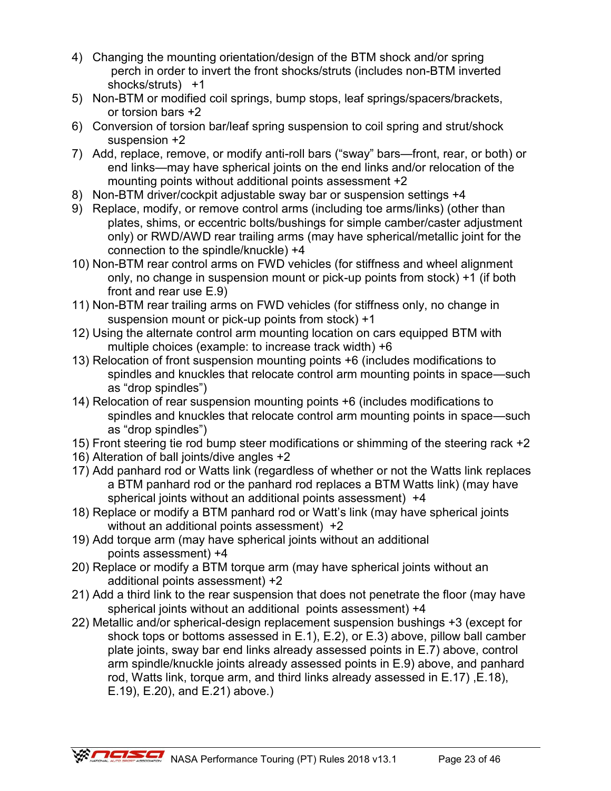- 4) Changing the mounting orientation/design of the BTM shock and/or spring perch in order to invert the front shocks/struts (includes non-BTM inverted shocks/struts) +1
- 5) Non-BTM or modified coil springs, bump stops, leaf springs/spacers/brackets, or torsion bars +2
- 6) Conversion of torsion bar/leaf spring suspension to coil spring and strut/shock suspension +2
- 7) Add, replace, remove, or modify anti-roll bars ("sway" bars—front, rear, or both) or end links—may have spherical joints on the end links and/or relocation of the mounting points without additional points assessment +2
- 8) Non-BTM driver/cockpit adjustable sway bar or suspension settings +4
- 9) Replace, modify, or remove control arms (including toe arms/links) (other than plates, shims, or eccentric bolts/bushings for simple camber/caster adjustment only) or RWD/AWD rear trailing arms (may have spherical/metallic joint for the connection to the spindle/knuckle) +4
- 10) Non-BTM rear control arms on FWD vehicles (for stiffness and wheel alignment only, no change in suspension mount or pick-up points from stock) +1 (if both front and rear use E.9)
- 11) Non-BTM rear trailing arms on FWD vehicles (for stiffness only, no change in suspension mount or pick-up points from stock) +1
- 12) Using the alternate control arm mounting location on cars equipped BTM with multiple choices (example: to increase track width) +6
- 13) Relocation of front suspension mounting points +6 (includes modifications to spindles and knuckles that relocate control arm mounting points in space—such as "drop spindles")
- 14) Relocation of rear suspension mounting points +6 (includes modifications to spindles and knuckles that relocate control arm mounting points in space—such as "drop spindles")
- 15) Front steering tie rod bump steer modifications or shimming of the steering rack +2
- 16) Alteration of ball joints/dive angles +2
- 17) Add panhard rod or Watts link (regardless of whether or not the Watts link replaces a BTM panhard rod or the panhard rod replaces a BTM Watts link) (may have spherical joints without an additional points assessment) +4
- 18) Replace or modify a BTM panhard rod or Watt's link (may have spherical joints without an additional points assessment) +2
- 19) Add torque arm (may have spherical joints without an additional points assessment) +4
- 20) Replace or modify a BTM torque arm (may have spherical joints without an additional points assessment) +2
- 21) Add a third link to the rear suspension that does not penetrate the floor (may have spherical joints without an additional points assessment) +4
- 22) Metallic and/or spherical-design replacement suspension bushings +3 (except for shock tops or bottoms assessed in E.1), E.2), or E.3) above, pillow ball camber plate joints, sway bar end links already assessed points in E.7) above, control arm spindle/knuckle joints already assessed points in E.9) above, and panhard rod, Watts link, torque arm, and third links already assessed in E.17) ,E.18), E.19), E.20), and E.21) above.)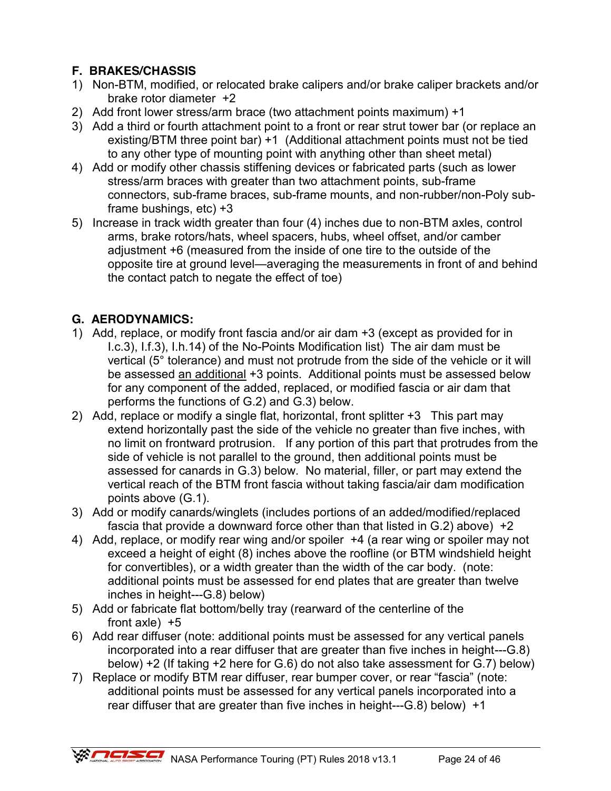# **F. BRAKES/CHASSIS**

- 1) Non-BTM, modified, or relocated brake calipers and/or brake caliper brackets and/or brake rotor diameter +2
- 2) Add front lower stress/arm brace (two attachment points maximum) +1
- 3) Add a third or fourth attachment point to a front or rear strut tower bar (or replace an existing/BTM three point bar) +1 (Additional attachment points must not be tied to any other type of mounting point with anything other than sheet metal)
- 4) Add or modify other chassis stiffening devices or fabricated parts (such as lower stress/arm braces with greater than two attachment points, sub-frame connectors, sub-frame braces, sub-frame mounts, and non-rubber/non-Poly subframe bushings, etc) +3
- 5) Increase in track width greater than four (4) inches due to non-BTM axles, control arms, brake rotors/hats, wheel spacers, hubs, wheel offset, and/or camber adjustment +6 (measured from the inside of one tire to the outside of the opposite tire at ground level—averaging the measurements in front of and behind the contact patch to negate the effect of toe)

# **G. AERODYNAMICS:**

- 1) Add, replace, or modify front fascia and/or air dam +3 (except as provided for in I.c.3), I.f.3), I.h.14) of the No-Points Modification list) The air dam must be vertical (5° tolerance) and must not protrude from the side of the vehicle or it will be assessed an additional +3 points. Additional points must be assessed below for any component of the added, replaced, or modified fascia or air dam that performs the functions of G.2) and G.3) below.
- 2) Add, replace or modify a single flat, horizontal, front splitter +3 This part may extend horizontally past the side of the vehicle no greater than five inches, with no limit on frontward protrusion. If any portion of this part that protrudes from the side of vehicle is not parallel to the ground, then additional points must be assessed for canards in G.3) below. No material, filler, or part may extend the vertical reach of the BTM front fascia without taking fascia/air dam modification points above (G.1).
- 3) Add or modify canards/winglets (includes portions of an added/modified/replaced fascia that provide a downward force other than that listed in G.2) above) +2
- 4) Add, replace, or modify rear wing and/or spoiler +4 (a rear wing or spoiler may not exceed a height of eight (8) inches above the roofline (or BTM windshield height for convertibles), or a width greater than the width of the car body. (note: additional points must be assessed for end plates that are greater than twelve inches in height---G.8) below)
- 5) Add or fabricate flat bottom/belly tray (rearward of the centerline of the front  $axle$  +5
- 6) Add rear diffuser (note: additional points must be assessed for any vertical panels incorporated into a rear diffuser that are greater than five inches in height---G.8) below) +2 (If taking +2 here for G.6) do not also take assessment for G.7) below)
- 7) Replace or modify BTM rear diffuser, rear bumper cover, or rear "fascia" (note: additional points must be assessed for any vertical panels incorporated into a rear diffuser that are greater than five inches in height---G.8) below) +1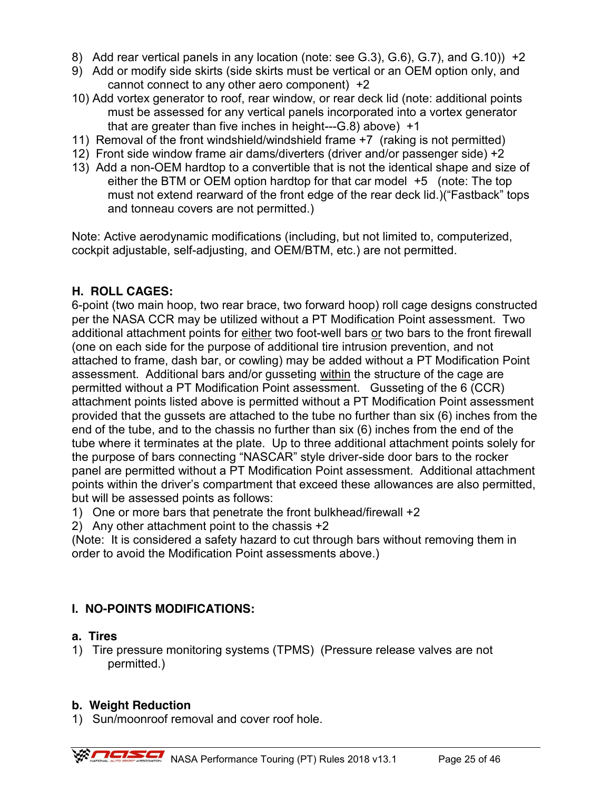- 8) Add rear vertical panels in any location (note: see G.3), G.6), G.7), and G.10)) +2
- 9) Add or modify side skirts (side skirts must be vertical or an OEM option only, and cannot connect to any other aero component) +2
- 10) Add vortex generator to roof, rear window, or rear deck lid (note: additional points must be assessed for any vertical panels incorporated into a vortex generator that are greater than five inches in height---G.8) above) +1
- 11) Removal of the front windshield/windshield frame +7 (raking is not permitted)
- 12) Front side window frame air dams/diverters (driver and/or passenger side) +2
- 13) Add a non-OEM hardtop to a convertible that is not the identical shape and size of either the BTM or OEM option hardtop for that car model +5 (note: The top must not extend rearward of the front edge of the rear deck lid.)("Fastback" tops and tonneau covers are not permitted.)

Note: Active aerodynamic modifications (including, but not limited to, computerized, cockpit adjustable, self-adjusting, and OEM/BTM, etc.) are not permitted.

### **H. ROLL CAGES:**

6-point (two main hoop, two rear brace, two forward hoop) roll cage designs constructed per the NASA CCR may be utilized without a PT Modification Point assessment. Two additional attachment points for either two foot-well bars or two bars to the front firewall (one on each side for the purpose of additional tire intrusion prevention, and not attached to frame, dash bar, or cowling) may be added without a PT Modification Point assessment. Additional bars and/or gusseting within the structure of the cage are permitted without a PT Modification Point assessment. Gusseting of the 6 (CCR) attachment points listed above is permitted without a PT Modification Point assessment provided that the gussets are attached to the tube no further than six (6) inches from the end of the tube, and to the chassis no further than six (6) inches from the end of the tube where it terminates at the plate. Up to three additional attachment points solely for the purpose of bars connecting "NASCAR" style driver-side door bars to the rocker panel are permitted without a PT Modification Point assessment. Additional attachment points within the driver's compartment that exceed these allowances are also permitted, but will be assessed points as follows:

- 1) One or more bars that penetrate the front bulkhead/firewall +2
- 2) Any other attachment point to the chassis +2

(Note: It is considered a safety hazard to cut through bars without removing them in order to avoid the Modification Point assessments above.)

### **I. NO-POINTS MODIFICATIONS:**

#### **a. Tires**

1) Tire pressure monitoring systems (TPMS) (Pressure release valves are not permitted.)

#### **b. Weight Reduction**

1) Sun/moonroof removal and cover roof hole.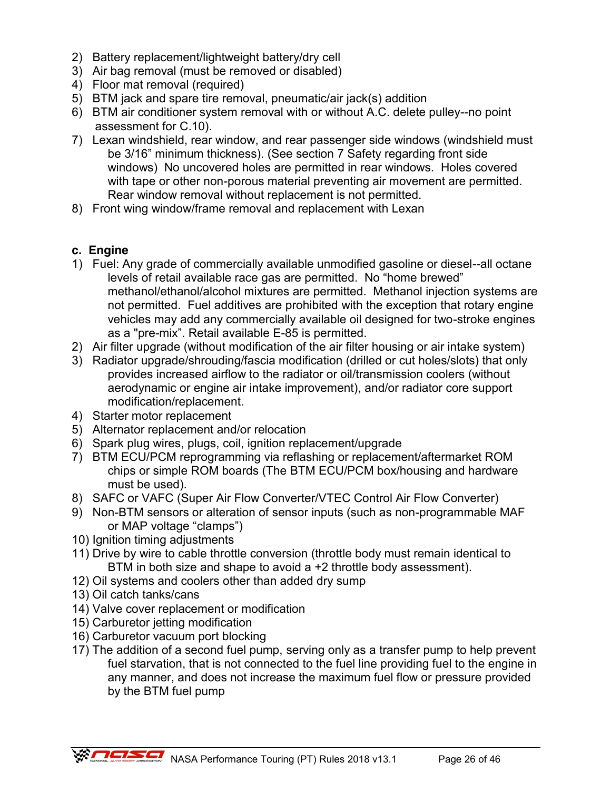- 2) Battery replacement/lightweight battery/dry cell
- 3) Air bag removal (must be removed or disabled)
- 4) Floor mat removal (required)
- 5) BTM jack and spare tire removal, pneumatic/air jack(s) addition
- 6) BTM air conditioner system removal with or without A.C. delete pulley--no point assessment for C.10).
- 7) Lexan windshield, rear window, and rear passenger side windows (windshield must be 3/16" minimum thickness). (See section 7 Safety regarding front side windows) No uncovered holes are permitted in rear windows. Holes covered with tape or other non-porous material preventing air movement are permitted. Rear window removal without replacement is not permitted.
- 8) Front wing window/frame removal and replacement with Lexan

### **c. Engine**

- 1) Fuel: Any grade of commercially available unmodified gasoline or diesel--all octane levels of retail available race gas are permitted. No "home brewed" methanol/ethanol/alcohol mixtures are permitted. Methanol injection systems are not permitted. Fuel additives are prohibited with the exception that rotary engine vehicles may add any commercially available oil designed for two-stroke engines as a "pre-mix". Retail available E-85 is permitted.
- 2) Air filter upgrade (without modification of the air filter housing or air intake system)
- 3) Radiator upgrade/shrouding/fascia modification (drilled or cut holes/slots) that only provides increased airflow to the radiator or oil/transmission coolers (without aerodynamic or engine air intake improvement), and/or radiator core support modification/replacement.
- 4) Starter motor replacement
- 5) Alternator replacement and/or relocation
- 6) Spark plug wires, plugs, coil, ignition replacement/upgrade
- 7) BTM ECU/PCM reprogramming via reflashing or replacement/aftermarket ROM chips or simple ROM boards (The BTM ECU/PCM box/housing and hardware must be used).
- 8) SAFC or VAFC (Super Air Flow Converter/VTEC Control Air Flow Converter)
- 9) Non-BTM sensors or alteration of sensor inputs (such as non-programmable MAF or MAP voltage "clamps")
- 10) Ignition timing adjustments
- 11) Drive by wire to cable throttle conversion (throttle body must remain identical to BTM in both size and shape to avoid a +2 throttle body assessment).
- 12) Oil systems and coolers other than added dry sump
- 13) Oil catch tanks/cans
- 14) Valve cover replacement or modification
- 15) Carburetor jetting modification
- 16) Carburetor vacuum port blocking
- 17) The addition of a second fuel pump, serving only as a transfer pump to help prevent fuel starvation, that is not connected to the fuel line providing fuel to the engine in any manner, and does not increase the maximum fuel flow or pressure provided by the BTM fuel pump

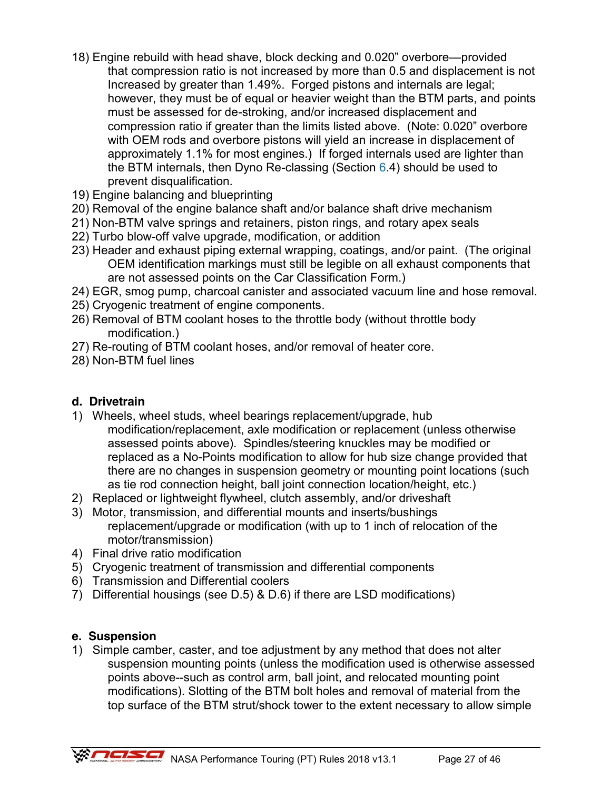- 18) Engine rebuild with head shave, block decking and 0.020" overbore—provided that compression ratio is not increased by more than 0.5 and displacement is not Increased by greater than 1.49%. Forged pistons and internals are legal; however, they must be of equal or heavier weight than the BTM parts, and points must be assessed for de-stroking, and/or increased displacement and compression ratio if greater than the limits listed above. (Note: 0.020" overbore with OEM rods and overbore pistons will yield an increase in displacement of approximately 1.1% for most engines.) If forged internals used are lighter than the BTM internals, then Dyno Re-classing (Section  $6.4$ ) should be used to prevent disqualification.
- 19) Engine balancing and blueprinting
- 20) Removal of the engine balance shaft and/or balance shaft drive mechanism
- 21) Non-BTM valve springs and retainers, piston rings, and rotary apex seals
- 22) Turbo blow-off valve upgrade, modification, or addition
- 23) Header and exhaust piping external wrapping, coatings, and/or paint. (The original OEM identification markings must still be legible on all exhaust components that are not assessed points on the Car Classification Form.)
- 24) EGR, smog pump, charcoal canister and associated vacuum line and hose removal.
- 25) Cryogenic treatment of engine components.
- 26) Removal of BTM coolant hoses to the throttle body (without throttle body modification.)
- 27) Re-routing of BTM coolant hoses, and/or removal of heater core.
- 28) Non-BTM fuel lines

### **d. Drivetrain**

- 1) Wheels, wheel studs, wheel bearings replacement/upgrade, hub modification/replacement, axle modification or replacement (unless otherwise assessed points above). Spindles/steering knuckles may be modified or replaced as a No-Points modification to allow for hub size change provided that there are no changes in suspension geometry or mounting point locations (such as tie rod connection height, ball joint connection location/height, etc.)
- 2) Replaced or lightweight flywheel, clutch assembly, and/or driveshaft
- 3) Motor, transmission, and differential mounts and inserts/bushings replacement/upgrade or modification (with up to 1 inch of relocation of the motor/transmission)
- 4) Final drive ratio modification
- 5) Cryogenic treatment of transmission and differential components
- 6) Transmission and Differential coolers
- 7) Differential housings (see D.5) & D.6) if there are LSD modifications)

### **e. Suspension**

1) Simple camber, caster, and toe adjustment by any method that does not alter suspension mounting points (unless the modification used is otherwise assessed points above--such as control arm, ball joint, and relocated mounting point modifications). Slotting of the BTM bolt holes and removal of material from the top surface of the BTM strut/shock tower to the extent necessary to allow simple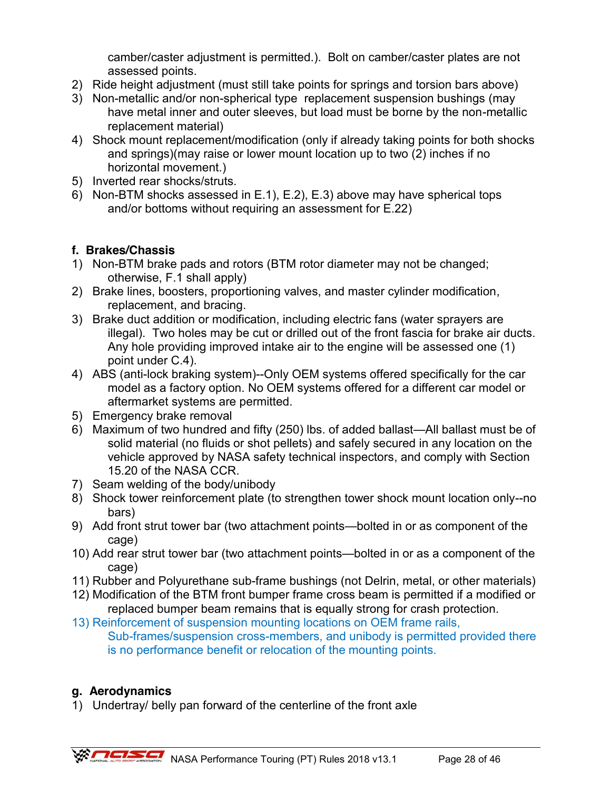camber/caster adjustment is permitted.). Bolt on camber/caster plates are not assessed points.

- 2) Ride height adjustment (must still take points for springs and torsion bars above)
- 3) Non-metallic and/or non-spherical type replacement suspension bushings (may have metal inner and outer sleeves, but load must be borne by the non-metallic replacement material)
- 4) Shock mount replacement/modification (only if already taking points for both shocks and springs)(may raise or lower mount location up to two (2) inches if no horizontal movement.)
- 5) Inverted rear shocks/struts.
- 6) Non-BTM shocks assessed in E.1), E.2), E.3) above may have spherical tops and/or bottoms without requiring an assessment for E.22)

# **f. Brakes/Chassis**

- 1) Non-BTM brake pads and rotors (BTM rotor diameter may not be changed; otherwise, F.1 shall apply)
- 2) Brake lines, boosters, proportioning valves, and master cylinder modification, replacement, and bracing.
- 3) Brake duct addition or modification, including electric fans (water sprayers are illegal). Two holes may be cut or drilled out of the front fascia for brake air ducts. Any hole providing improved intake air to the engine will be assessed one (1) point under C.4).
- 4) ABS (anti-lock braking system)--Only OEM systems offered specifically for the car model as a factory option. No OEM systems offered for a different car model or aftermarket systems are permitted.
- 5) Emergency brake removal
- 6) Maximum of two hundred and fifty (250) lbs. of added ballast—All ballast must be of solid material (no fluids or shot pellets) and safely secured in any location on the vehicle approved by NASA safety technical inspectors, and comply with Section 15.20 of the NASA CCR.
- 7) Seam welding of the body/unibody
- 8) Shock tower reinforcement plate (to strengthen tower shock mount location only--no bars)
- 9) Add front strut tower bar (two attachment points—bolted in or as component of the cage)
- 10) Add rear strut tower bar (two attachment points—bolted in or as a component of the cage)
- 11) Rubber and Polyurethane sub-frame bushings (not Delrin, metal, or other materials)
- 12) Modification of the BTM front bumper frame cross beam is permitted if a modified or replaced bumper beam remains that is equally strong for crash protection.
- 13) Reinforcement of suspension mounting locations on OEM frame rails, Sub-frames/suspension cross-members, and unibody is permitted provided there is no performance benefit or relocation of the mounting points.

# **g. Aerodynamics**

1) Undertray/ belly pan forward of the centerline of the front axle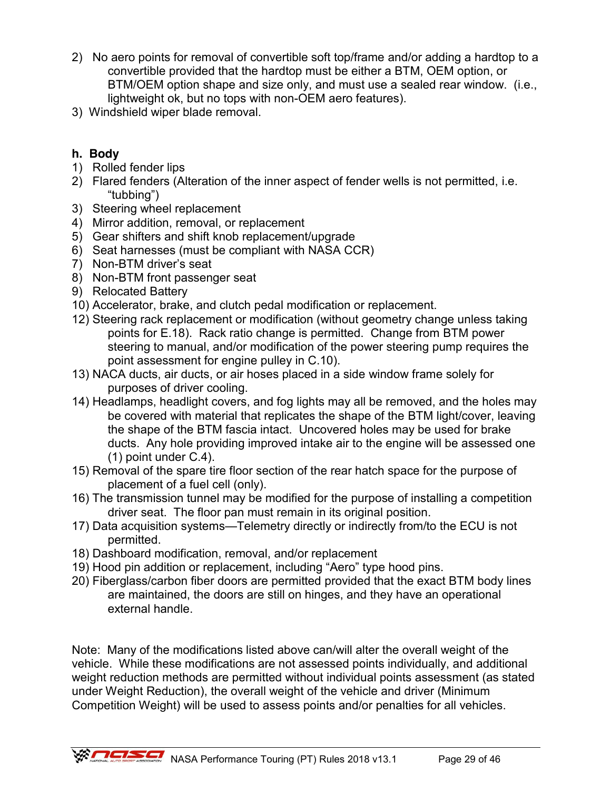- 2) No aero points for removal of convertible soft top/frame and/or adding a hardtop to a convertible provided that the hardtop must be either a BTM, OEM option, or BTM/OEM option shape and size only, and must use a sealed rear window. (i.e., lightweight ok, but no tops with non-OEM aero features).
- 3) Windshield wiper blade removal.

# **h. Body**

- 1) Rolled fender lips
- 2) Flared fenders (Alteration of the inner aspect of fender wells is not permitted, i.e. "tubbing")
- 3) Steering wheel replacement
- 4) Mirror addition, removal, or replacement
- 5) Gear shifters and shift knob replacement/upgrade
- 6) Seat harnesses (must be compliant with NASA CCR)
- 7) Non-BTM driver's seat
- 8) Non-BTM front passenger seat
- 9) Relocated Battery
- 10) Accelerator, brake, and clutch pedal modification or replacement.
- 12) Steering rack replacement or modification (without geometry change unless taking points for E.18). Rack ratio change is permitted. Change from BTM power steering to manual, and/or modification of the power steering pump requires the point assessment for engine pulley in C.10).
- 13) NACA ducts, air ducts, or air hoses placed in a side window frame solely for purposes of driver cooling.
- 14) Headlamps, headlight covers, and fog lights may all be removed, and the holes may be covered with material that replicates the shape of the BTM light/cover, leaving the shape of the BTM fascia intact. Uncovered holes may be used for brake ducts. Any hole providing improved intake air to the engine will be assessed one (1) point under C.4).
- 15) Removal of the spare tire floor section of the rear hatch space for the purpose of placement of a fuel cell (only).
- 16) The transmission tunnel may be modified for the purpose of installing a competition driver seat. The floor pan must remain in its original position.
- 17) Data acquisition systems—Telemetry directly or indirectly from/to the ECU is not permitted.
- 18) Dashboard modification, removal, and/or replacement
- 19) Hood pin addition or replacement, including "Aero" type hood pins.
- 20) Fiberglass/carbon fiber doors are permitted provided that the exact BTM body lines are maintained, the doors are still on hinges, and they have an operational external handle.

Note: Many of the modifications listed above can/will alter the overall weight of the vehicle. While these modifications are not assessed points individually, and additional weight reduction methods are permitted without individual points assessment (as stated under Weight Reduction), the overall weight of the vehicle and driver (Minimum Competition Weight) will be used to assess points and/or penalties for all vehicles.

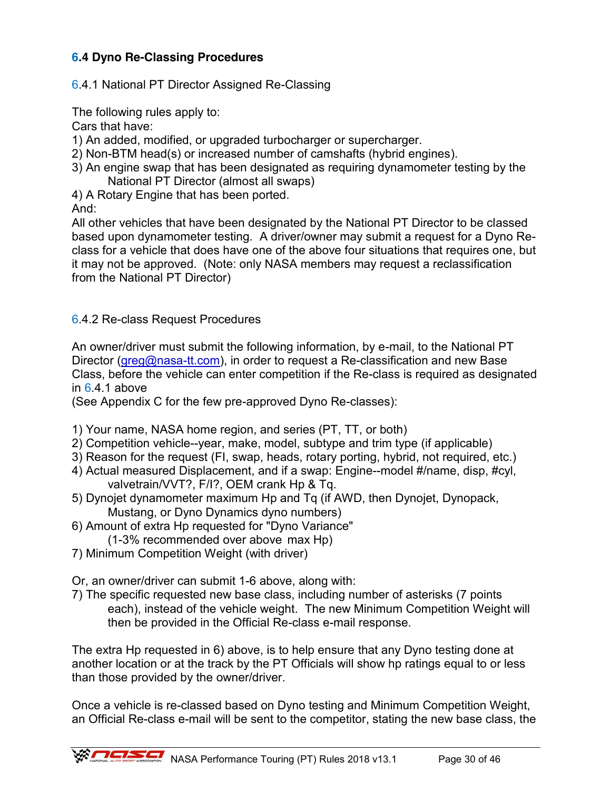# **6.4 Dyno Re-Classing Procedures**

### 6.4.1 National PT Director Assigned Re-Classing

The following rules apply to:

Cars that have:

- 1) An added, modified, or upgraded turbocharger or supercharger.
- 2) Non-BTM head(s) or increased number of camshafts (hybrid engines).
- 3) An engine swap that has been designated as requiring dynamometer testing by the National PT Director (almost all swaps)
- 4) A Rotary Engine that has been ported.

And:

All other vehicles that have been designated by the National PT Director to be classed based upon dynamometer testing. A driver/owner may submit a request for a Dyno Reclass for a vehicle that does have one of the above four situations that requires one, but it may not be approved. (Note: only NASA members may request a reclassification from the National PT Director)

### 6.4.2 Re-class Request Procedures

An owner/driver must submit the following information, by e-mail, to the National PT Director [\(greg@nasa-tt.com\)](mailto:greg@nasa-tt.com), in order to request a Re-classification and new Base Class, before the vehicle can enter competition if the Re-class is required as designated in  $6.4.1$  above

(See Appendix C for the few pre-approved Dyno Re-classes):

- 1) Your name, NASA home region, and series (PT, TT, or both)
- 2) Competition vehicle--year, make, model, subtype and trim type (if applicable)
- 3) Reason for the request (FI, swap, heads, rotary porting, hybrid, not required, etc.)
- 4) Actual measured Displacement, and if a swap: Engine--model #/name, disp, #cyl, valvetrain/VVT?, F/I?, OEM crank Hp & Tq.
- 5) Dynojet dynamometer maximum Hp and Tq (if AWD, then Dynojet, Dynopack, Mustang, or Dyno Dynamics dyno numbers)
- 6) Amount of extra Hp requested for "Dyno Variance"
- (1-3% recommended over above max Hp)
- 7) Minimum Competition Weight (with driver)

Or, an owner/driver can submit 1-6 above, along with:

7) The specific requested new base class, including number of asterisks (7 points each), instead of the vehicle weight. The new Minimum Competition Weight will then be provided in the Official Re-class e-mail response.

The extra Hp requested in 6) above, is to help ensure that any Dyno testing done at another location or at the track by the PT Officials will show hp ratings equal to or less than those provided by the owner/driver.

Once a vehicle is re-classed based on Dyno testing and Minimum Competition Weight, an Official Re-class e-mail will be sent to the competitor, stating the new base class, the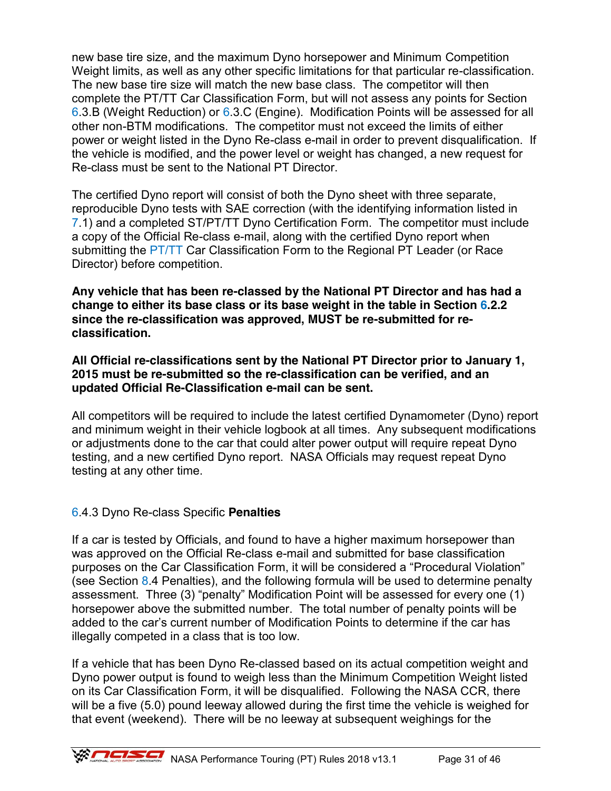new base tire size, and the maximum Dyno horsepower and Minimum Competition Weight limits, as well as any other specific limitations for that particular re-classification. The new base tire size will match the new base class. The competitor will then complete the PT/TT Car Classification Form, but will not assess any points for Section 6.3.B (Weight Reduction) or 6.3.C (Engine). Modification Points will be assessed for all other non-BTM modifications. The competitor must not exceed the limits of either power or weight listed in the Dyno Re-class e-mail in order to prevent disqualification. If the vehicle is modified, and the power level or weight has changed, a new request for Re-class must be sent to the National PT Director.

The certified Dyno report will consist of both the Dyno sheet with three separate, reproducible Dyno tests with SAE correction (with the identifying information listed in 7.1) and a completed ST/PT/TT Dyno Certification Form. The competitor must include a copy of the Official Re-class e-mail, along with the certified Dyno report when submitting the PT/TT Car Classification Form to the Regional PT Leader (or Race Director) before competition.

**Any vehicle that has been re-classed by the National PT Director and has had a change to either its base class or its base weight in the table in Section 6.2.2 since the re-classification was approved, MUST be re-submitted for reclassification.** 

**All Official re-classifications sent by the National PT Director prior to January 1, 2015 must be re-submitted so the re-classification can be verified, and an updated Official Re-Classification e-mail can be sent.**

All competitors will be required to include the latest certified Dynamometer (Dyno) report and minimum weight in their vehicle logbook at all times. Any subsequent modifications or adjustments done to the car that could alter power output will require repeat Dyno testing, and a new certified Dyno report. NASA Officials may request repeat Dyno testing at any other time.

### 6.4.3 Dyno Re-class Specific **Penalties**

If a car is tested by Officials, and found to have a higher maximum horsepower than was approved on the Official Re-class e-mail and submitted for base classification purposes on the Car Classification Form, it will be considered a "Procedural Violation" (see Section 8.4 Penalties), and the following formula will be used to determine penalty assessment. Three (3) "penalty" Modification Point will be assessed for every one (1) horsepower above the submitted number. The total number of penalty points will be added to the car's current number of Modification Points to determine if the car has illegally competed in a class that is too low.

If a vehicle that has been Dyno Re-classed based on its actual competition weight and Dyno power output is found to weigh less than the Minimum Competition Weight listed on its Car Classification Form, it will be disqualified. Following the NASA CCR, there will be a five (5.0) pound leeway allowed during the first time the vehicle is weighed for that event (weekend). There will be no leeway at subsequent weighings for the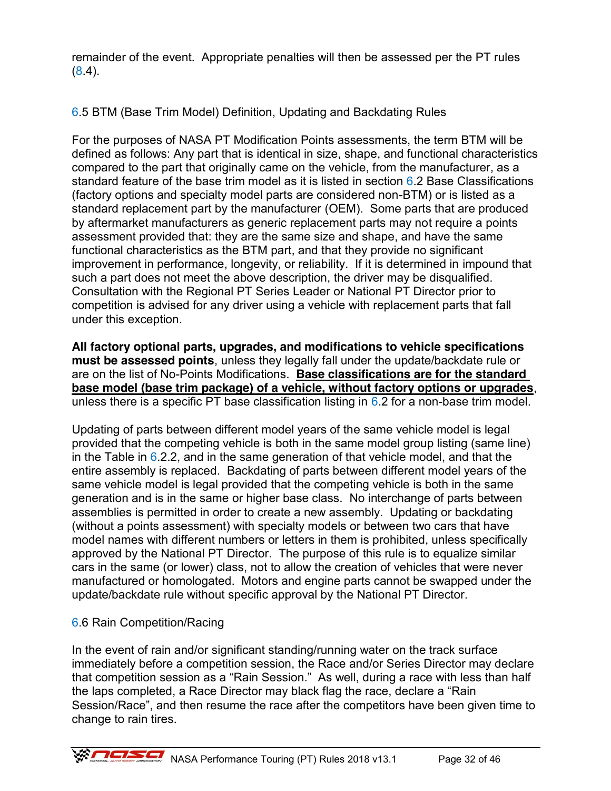remainder of the event. Appropriate penalties will then be assessed per the PT rules (8.4).

6.5 BTM (Base Trim Model) Definition, Updating and Backdating Rules

For the purposes of NASA PT Modification Points assessments, the term BTM will be defined as follows: Any part that is identical in size, shape, and functional characteristics compared to the part that originally came on the vehicle, from the manufacturer, as a standard feature of the base trim model as it is listed in section 6.2 Base Classifications (factory options and specialty model parts are considered non-BTM) or is listed as a standard replacement part by the manufacturer (OEM). Some parts that are produced by aftermarket manufacturers as generic replacement parts may not require a points assessment provided that: they are the same size and shape, and have the same functional characteristics as the BTM part, and that they provide no significant improvement in performance, longevity, or reliability. If it is determined in impound that such a part does not meet the above description, the driver may be disqualified. Consultation with the Regional PT Series Leader or National PT Director prior to competition is advised for any driver using a vehicle with replacement parts that fall under this exception.

**All factory optional parts, upgrades, and modifications to vehicle specifications must be assessed points**, unless they legally fall under the update/backdate rule or are on the list of No-Points Modifications. **Base classifications are for the standard base model (base trim package) of a vehicle, without factory options or upgrades**, unless there is a specific PT base classification listing in  $6.2$  for a non-base trim model.

Updating of parts between different model years of the same vehicle model is legal provided that the competing vehicle is both in the same model group listing (same line) in the Table in  $6.2.2$ , and in the same generation of that vehicle model, and that the entire assembly is replaced. Backdating of parts between different model years of the same vehicle model is legal provided that the competing vehicle is both in the same generation and is in the same or higher base class. No interchange of parts between assemblies is permitted in order to create a new assembly. Updating or backdating (without a points assessment) with specialty models or between two cars that have model names with different numbers or letters in them is prohibited, unless specifically approved by the National PT Director. The purpose of this rule is to equalize similar cars in the same (or lower) class, not to allow the creation of vehicles that were never manufactured or homologated. Motors and engine parts cannot be swapped under the update/backdate rule without specific approval by the National PT Director.

# 6.6 Rain Competition/Racing

In the event of rain and/or significant standing/running water on the track surface immediately before a competition session, the Race and/or Series Director may declare that competition session as a "Rain Session." As well, during a race with less than half the laps completed, a Race Director may black flag the race, declare a "Rain Session/Race", and then resume the race after the competitors have been given time to change to rain tires.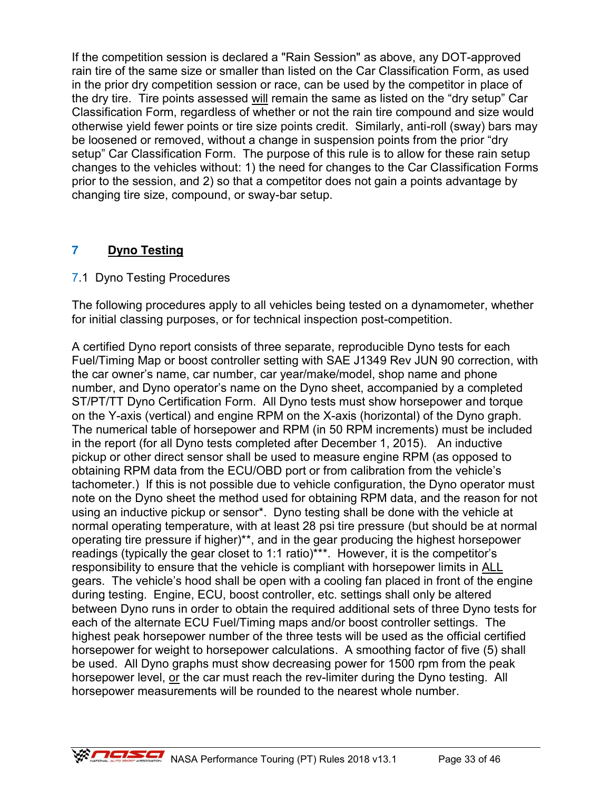If the competition session is declared a "Rain Session" as above, any DOT-approved rain tire of the same size or smaller than listed on the Car Classification Form, as used in the prior dry competition session or race, can be used by the competitor in place of the dry tire. Tire points assessed will remain the same as listed on the "dry setup" Car Classification Form, regardless of whether or not the rain tire compound and size would otherwise yield fewer points or tire size points credit. Similarly, anti-roll (sway) bars may be loosened or removed, without a change in suspension points from the prior "dry setup" Car Classification Form. The purpose of this rule is to allow for these rain setup changes to the vehicles without: 1) the need for changes to the Car Classification Forms prior to the session, and 2) so that a competitor does not gain a points advantage by changing tire size, compound, or sway-bar setup.

# **7 Dyno Testing**

# 7.1 Dyno Testing Procedures

The following procedures apply to all vehicles being tested on a dynamometer, whether for initial classing purposes, or for technical inspection post-competition.

A certified Dyno report consists of three separate, reproducible Dyno tests for each Fuel/Timing Map or boost controller setting with SAE J1349 Rev JUN 90 correction, with the car owner's name, car number, car year/make/model, shop name and phone number, and Dyno operator's name on the Dyno sheet, accompanied by a completed ST/PT/TT Dyno Certification Form. All Dyno tests must show horsepower and torque on the Y-axis (vertical) and engine RPM on the X-axis (horizontal) of the Dyno graph. The numerical table of horsepower and RPM (in 50 RPM increments) must be included in the report (for all Dyno tests completed after December 1, 2015). An inductive pickup or other direct sensor shall be used to measure engine RPM (as opposed to obtaining RPM data from the ECU/OBD port or from calibration from the vehicle's tachometer.) If this is not possible due to vehicle configuration, the Dyno operator must note on the Dyno sheet the method used for obtaining RPM data, and the reason for not using an inductive pickup or sensor\*. Dyno testing shall be done with the vehicle at normal operating temperature, with at least 28 psi tire pressure (but should be at normal operating tire pressure if higher)\*\*, and in the gear producing the highest horsepower readings (typically the gear closet to 1:1 ratio)\*\*\*. However, it is the competitor's responsibility to ensure that the vehicle is compliant with horsepower limits in ALL gears. The vehicle's hood shall be open with a cooling fan placed in front of the engine during testing. Engine, ECU, boost controller, etc. settings shall only be altered between Dyno runs in order to obtain the required additional sets of three Dyno tests for each of the alternate ECU Fuel/Timing maps and/or boost controller settings. The highest peak horsepower number of the three tests will be used as the official certified horsepower for weight to horsepower calculations. A smoothing factor of five (5) shall be used. All Dyno graphs must show decreasing power for 1500 rpm from the peak horsepower level, or the car must reach the rev-limiter during the Dyno testing. All horsepower measurements will be rounded to the nearest whole number.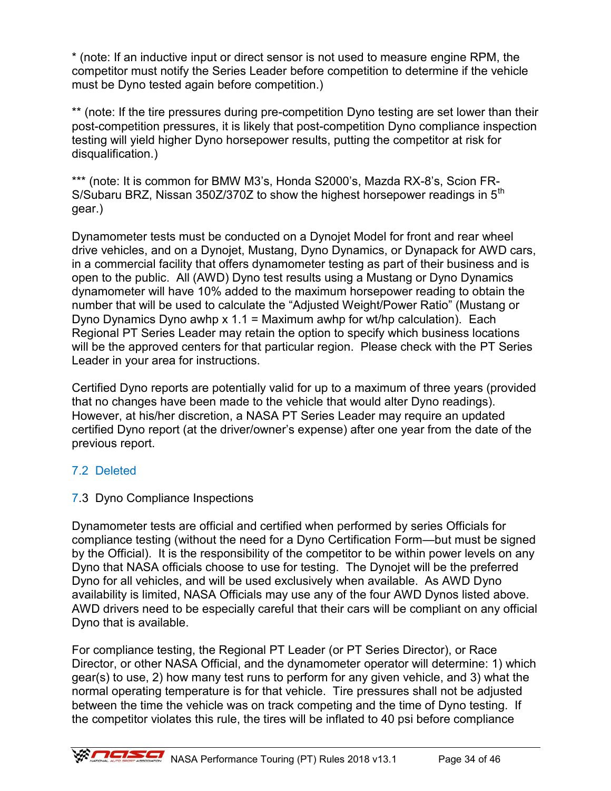\* (note: If an inductive input or direct sensor is not used to measure engine RPM, the competitor must notify the Series Leader before competition to determine if the vehicle must be Dyno tested again before competition.)

\*\* (note: If the tire pressures during pre-competition Dyno testing are set lower than their post-competition pressures, it is likely that post-competition Dyno compliance inspection testing will yield higher Dyno horsepower results, putting the competitor at risk for disqualification.)

\*\*\* (note: It is common for BMW M3's, Honda S2000's, Mazda RX-8's, Scion FR-S/Subaru BRZ, Nissan 350Z/370Z to show the highest horsepower readings in  $5<sup>th</sup>$ gear.)

Dynamometer tests must be conducted on a Dynojet Model for front and rear wheel drive vehicles, and on a Dynojet, Mustang, Dyno Dynamics, or Dynapack for AWD cars, in a commercial facility that offers dynamometer testing as part of their business and is open to the public. All (AWD) Dyno test results using a Mustang or Dyno Dynamics dynamometer will have 10% added to the maximum horsepower reading to obtain the number that will be used to calculate the "Adjusted Weight/Power Ratio" (Mustang or Dyno Dynamics Dyno awhp x 1.1 = Maximum awhp for wt/hp calculation). Each Regional PT Series Leader may retain the option to specify which business locations will be the approved centers for that particular region. Please check with the PT Series Leader in your area for instructions.

Certified Dyno reports are potentially valid for up to a maximum of three years (provided that no changes have been made to the vehicle that would alter Dyno readings). However, at his/her discretion, a NASA PT Series Leader may require an updated certified Dyno report (at the driver/owner's expense) after one year from the date of the previous report.

# 7.2 Deleted

### 7.3 Dyno Compliance Inspections

Dynamometer tests are official and certified when performed by series Officials for compliance testing (without the need for a Dyno Certification Form—but must be signed by the Official). It is the responsibility of the competitor to be within power levels on any Dyno that NASA officials choose to use for testing. The Dynojet will be the preferred Dyno for all vehicles, and will be used exclusively when available. As AWD Dyno availability is limited, NASA Officials may use any of the four AWD Dynos listed above. AWD drivers need to be especially careful that their cars will be compliant on any official Dyno that is available.

For compliance testing, the Regional PT Leader (or PT Series Director), or Race Director, or other NASA Official, and the dynamometer operator will determine: 1) which gear(s) to use, 2) how many test runs to perform for any given vehicle, and 3) what the normal operating temperature is for that vehicle. Tire pressures shall not be adjusted between the time the vehicle was on track competing and the time of Dyno testing. If the competitor violates this rule, the tires will be inflated to 40 psi before compliance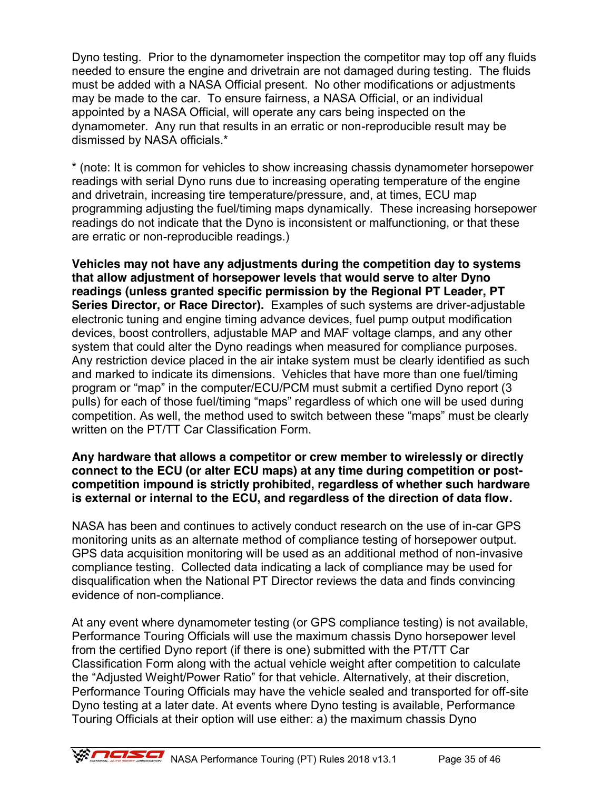Dyno testing. Prior to the dynamometer inspection the competitor may top off any fluids needed to ensure the engine and drivetrain are not damaged during testing. The fluids must be added with a NASA Official present. No other modifications or adjustments may be made to the car. To ensure fairness, a NASA Official, or an individual appointed by a NASA Official, will operate any cars being inspected on the dynamometer. Any run that results in an erratic or non-reproducible result may be dismissed by NASA officials.\*

\* (note: It is common for vehicles to show increasing chassis dynamometer horsepower readings with serial Dyno runs due to increasing operating temperature of the engine and drivetrain, increasing tire temperature/pressure, and, at times, ECU map programming adjusting the fuel/timing maps dynamically. These increasing horsepower readings do not indicate that the Dyno is inconsistent or malfunctioning, or that these are erratic or non-reproducible readings.)

**Vehicles may not have any adjustments during the competition day to systems that allow adjustment of horsepower levels that would serve to alter Dyno readings (unless granted specific permission by the Regional PT Leader, PT Series Director, or Race Director).** Examples of such systems are driver-adjustable electronic tuning and engine timing advance devices, fuel pump output modification devices, boost controllers, adjustable MAP and MAF voltage clamps, and any other system that could alter the Dyno readings when measured for compliance purposes. Any restriction device placed in the air intake system must be clearly identified as such and marked to indicate its dimensions. Vehicles that have more than one fuel/timing program or "map" in the computer/ECU/PCM must submit a certified Dyno report (3 pulls) for each of those fuel/timing "maps" regardless of which one will be used during competition. As well, the method used to switch between these "maps" must be clearly written on the PT/TT Car Classification Form.

#### **Any hardware that allows a competitor or crew member to wirelessly or directly connect to the ECU (or alter ECU maps) at any time during competition or postcompetition impound is strictly prohibited, regardless of whether such hardware is external or internal to the ECU, and regardless of the direction of data flow.**

NASA has been and continues to actively conduct research on the use of in-car GPS monitoring units as an alternate method of compliance testing of horsepower output. GPS data acquisition monitoring will be used as an additional method of non-invasive compliance testing. Collected data indicating a lack of compliance may be used for disqualification when the National PT Director reviews the data and finds convincing evidence of non-compliance.

At any event where dynamometer testing (or GPS compliance testing) is not available, Performance Touring Officials will use the maximum chassis Dyno horsepower level from the certified Dyno report (if there is one) submitted with the PT/TT Car Classification Form along with the actual vehicle weight after competition to calculate the "Adjusted Weight/Power Ratio" for that vehicle. Alternatively, at their discretion, Performance Touring Officials may have the vehicle sealed and transported for off-site Dyno testing at a later date. At events where Dyno testing is available, Performance Touring Officials at their option will use either: a) the maximum chassis Dyno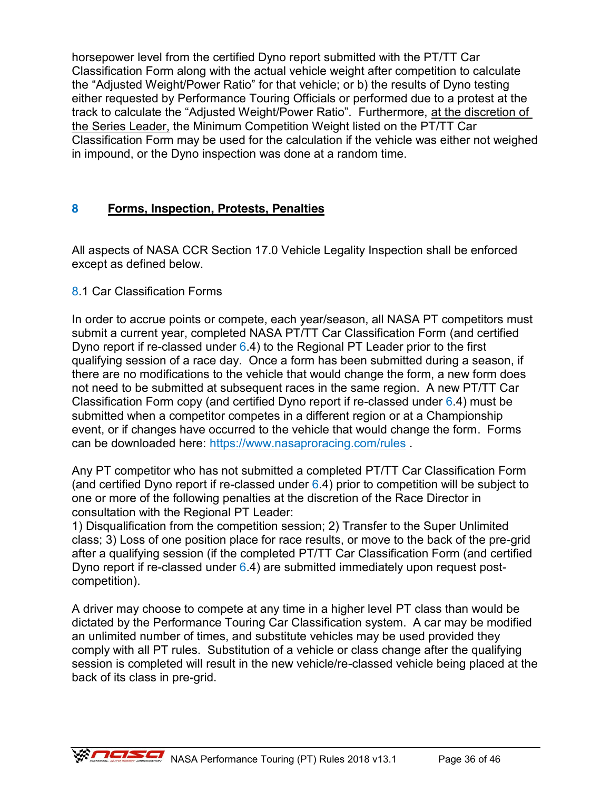horsepower level from the certified Dyno report submitted with the PT/TT Car Classification Form along with the actual vehicle weight after competition to calculate the "Adjusted Weight/Power Ratio" for that vehicle; or b) the results of Dyno testing either requested by Performance Touring Officials or performed due to a protest at the track to calculate the "Adjusted Weight/Power Ratio". Furthermore, at the discretion of the Series Leader, the Minimum Competition Weight listed on the PT/TT Car Classification Form may be used for the calculation if the vehicle was either not weighed in impound, or the Dyno inspection was done at a random time.

# **8 Forms, Inspection, Protests, Penalties**

All aspects of NASA CCR Section 17.0 Vehicle Legality Inspection shall be enforced except as defined below.

### 8.1 Car Classification Forms

In order to accrue points or compete, each year/season, all NASA PT competitors must submit a current year, completed NASA PT/TT Car Classification Form (and certified Dyno report if re-classed under 6.4) to the Regional PT Leader prior to the first qualifying session of a race day. Once a form has been submitted during a season, if there are no modifications to the vehicle that would change the form, a new form does not need to be submitted at subsequent races in the same region. A new PT/TT Car Classification Form copy (and certified Dyno report if re-classed under 6.4) must be submitted when a competitor competes in a different region or at a Championship event, or if changes have occurred to the vehicle that would change the form. Forms can be downloaded here:<https://www.nasaproracing.com/rules> .

Any PT competitor who has not submitted a completed PT/TT Car Classification Form (and certified Dyno report if re-classed under  $6.4$ ) prior to competition will be subject to one or more of the following penalties at the discretion of the Race Director in consultation with the Regional PT Leader:

1) Disqualification from the competition session; 2) Transfer to the Super Unlimited class; 3) Loss of one position place for race results, or move to the back of the pre-grid after a qualifying session (if the completed PT/TT Car Classification Form (and certified Dyno report if re-classed under  $6.4$ ) are submitted immediately upon request postcompetition).

A driver may choose to compete at any time in a higher level PT class than would be dictated by the Performance Touring Car Classification system. A car may be modified an unlimited number of times, and substitute vehicles may be used provided they comply with all PT rules. Substitution of a vehicle or class change after the qualifying session is completed will result in the new vehicle/re-classed vehicle being placed at the back of its class in pre-grid.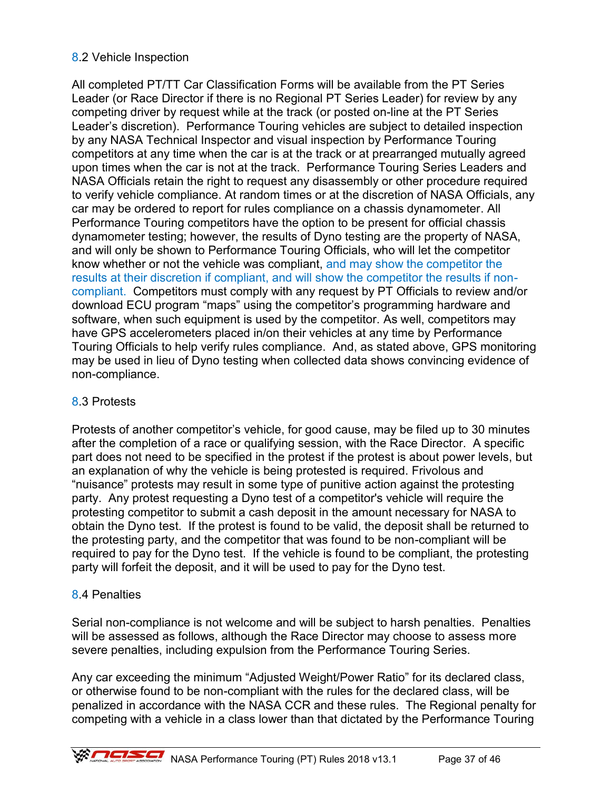### 8.2 Vehicle Inspection

All completed PT/TT Car Classification Forms will be available from the PT Series Leader (or Race Director if there is no Regional PT Series Leader) for review by any competing driver by request while at the track (or posted on-line at the PT Series Leader's discretion). Performance Touring vehicles are subject to detailed inspection by any NASA Technical Inspector and visual inspection by Performance Touring competitors at any time when the car is at the track or at prearranged mutually agreed upon times when the car is not at the track. Performance Touring Series Leaders and NASA Officials retain the right to request any disassembly or other procedure required to verify vehicle compliance. At random times or at the discretion of NASA Officials, any car may be ordered to report for rules compliance on a chassis dynamometer. All Performance Touring competitors have the option to be present for official chassis dynamometer testing; however, the results of Dyno testing are the property of NASA, and will only be shown to Performance Touring Officials, who will let the competitor know whether or not the vehicle was compliant, and may show the competitor the results at their discretion if compliant, and will show the competitor the results if noncompliant. Competitors must comply with any request by PT Officials to review and/or download ECU program "maps" using the competitor's programming hardware and software, when such equipment is used by the competitor. As well, competitors may have GPS accelerometers placed in/on their vehicles at any time by Performance Touring Officials to help verify rules compliance. And, as stated above, GPS monitoring may be used in lieu of Dyno testing when collected data shows convincing evidence of non-compliance.

#### 8.3 Protests

Protests of another competitor's vehicle, for good cause, may be filed up to 30 minutes after the completion of a race or qualifying session, with the Race Director. A specific part does not need to be specified in the protest if the protest is about power levels, but an explanation of why the vehicle is being protested is required. Frivolous and "nuisance" protests may result in some type of punitive action against the protesting party. Any protest requesting a Dyno test of a competitor's vehicle will require the protesting competitor to submit a cash deposit in the amount necessary for NASA to obtain the Dyno test. If the protest is found to be valid, the deposit shall be returned to the protesting party, and the competitor that was found to be non-compliant will be required to pay for the Dyno test. If the vehicle is found to be compliant, the protesting party will forfeit the deposit, and it will be used to pay for the Dyno test.

#### 8.4 Penalties

Serial non-compliance is not welcome and will be subject to harsh penalties. Penalties will be assessed as follows, although the Race Director may choose to assess more severe penalties, including expulsion from the Performance Touring Series.

Any car exceeding the minimum "Adjusted Weight/Power Ratio" for its declared class, or otherwise found to be non-compliant with the rules for the declared class, will be penalized in accordance with the NASA CCR and these rules. The Regional penalty for competing with a vehicle in a class lower than that dictated by the Performance Touring

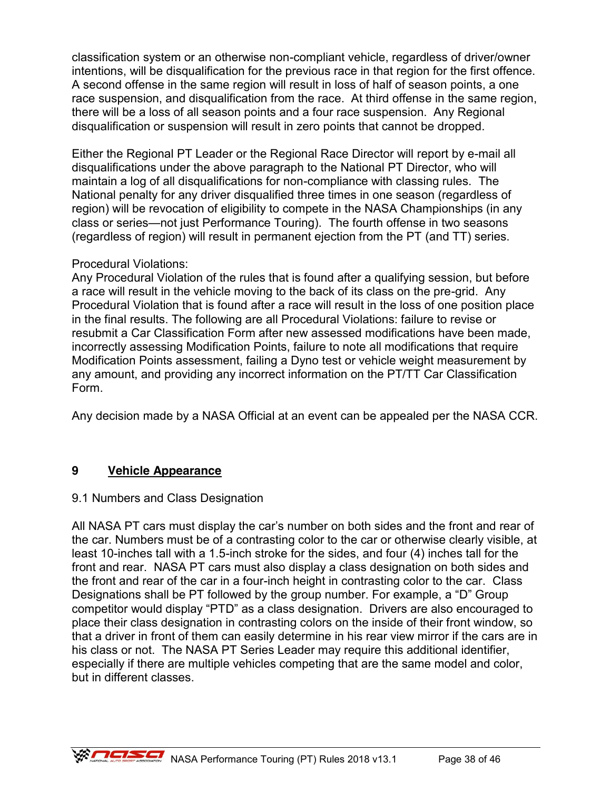classification system or an otherwise non-compliant vehicle, regardless of driver/owner intentions, will be disqualification for the previous race in that region for the first offence. A second offense in the same region will result in loss of half of season points, a one race suspension, and disqualification from the race. At third offense in the same region, there will be a loss of all season points and a four race suspension. Any Regional disqualification or suspension will result in zero points that cannot be dropped.

Either the Regional PT Leader or the Regional Race Director will report by e-mail all disqualifications under the above paragraph to the National PT Director, who will maintain a log of all disqualifications for non-compliance with classing rules. The National penalty for any driver disqualified three times in one season (regardless of region) will be revocation of eligibility to compete in the NASA Championships (in any class or series—not just Performance Touring). The fourth offense in two seasons (regardless of region) will result in permanent ejection from the PT (and TT) series.

### Procedural Violations:

Any Procedural Violation of the rules that is found after a qualifying session, but before a race will result in the vehicle moving to the back of its class on the pre-grid. Any Procedural Violation that is found after a race will result in the loss of one position place in the final results. The following are all Procedural Violations: failure to revise or resubmit a Car Classification Form after new assessed modifications have been made, incorrectly assessing Modification Points, failure to note all modifications that require Modification Points assessment, failing a Dyno test or vehicle weight measurement by any amount, and providing any incorrect information on the PT/TT Car Classification Form.

Any decision made by a NASA Official at an event can be appealed per the NASA CCR.

### **9 Vehicle Appearance**

### 9.1 Numbers and Class Designation

All NASA PT cars must display the car's number on both sides and the front and rear of the car. Numbers must be of a contrasting color to the car or otherwise clearly visible, at least 10-inches tall with a 1.5-inch stroke for the sides, and four (4) inches tall for the front and rear. NASA PT cars must also display a class designation on both sides and the front and rear of the car in a four-inch height in contrasting color to the car. Class Designations shall be PT followed by the group number. For example, a "D" Group competitor would display "PTD" as a class designation. Drivers are also encouraged to place their class designation in contrasting colors on the inside of their front window, so that a driver in front of them can easily determine in his rear view mirror if the cars are in his class or not. The NASA PT Series Leader may require this additional identifier, especially if there are multiple vehicles competing that are the same model and color, but in different classes.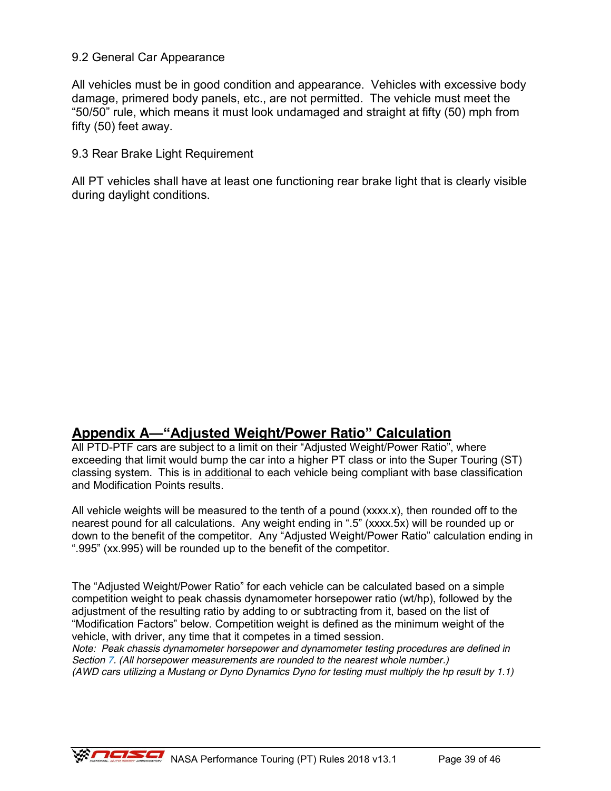### 9.2 General Car Appearance

All vehicles must be in good condition and appearance. Vehicles with excessive body damage, primered body panels, etc., are not permitted. The vehicle must meet the "50/50" rule, which means it must look undamaged and straight at fifty (50) mph from fifty (50) feet away.

9.3 Rear Brake Light Requirement

All PT vehicles shall have at least one functioning rear brake light that is clearly visible during daylight conditions.

# **Appendix A—"Adjusted Weight/Power Ratio" Calculation**

All PTD-PTF cars are subject to a limit on their "Adjusted Weight/Power Ratio", where exceeding that limit would bump the car into a higher PT class or into the Super Touring (ST) classing system. This is in additional to each vehicle being compliant with base classification and Modification Points results.

All vehicle weights will be measured to the tenth of a pound (xxxx.x), then rounded off to the nearest pound for all calculations. Any weight ending in ".5" (xxxx.5x) will be rounded up or down to the benefit of the competitor. Any "Adjusted Weight/Power Ratio" calculation ending in ".995" (xx.995) will be rounded up to the benefit of the competitor.

The "Adjusted Weight/Power Ratio" for each vehicle can be calculated based on a simple competition weight to peak chassis dynamometer horsepower ratio (wt/hp), followed by the adjustment of the resulting ratio by adding to or subtracting from it, based on the list of "Modification Factors" below. Competition weight is defined as the minimum weight of the vehicle, with driver, any time that it competes in a timed session.

*Note: Peak chassis dynamometer horsepower and dynamometer testing procedures are defined in Section 7. (All horsepower measurements are rounded to the nearest whole number.) (AWD cars utilizing a Mustang or Dyno Dynamics Dyno for testing must multiply the hp result by 1.1)*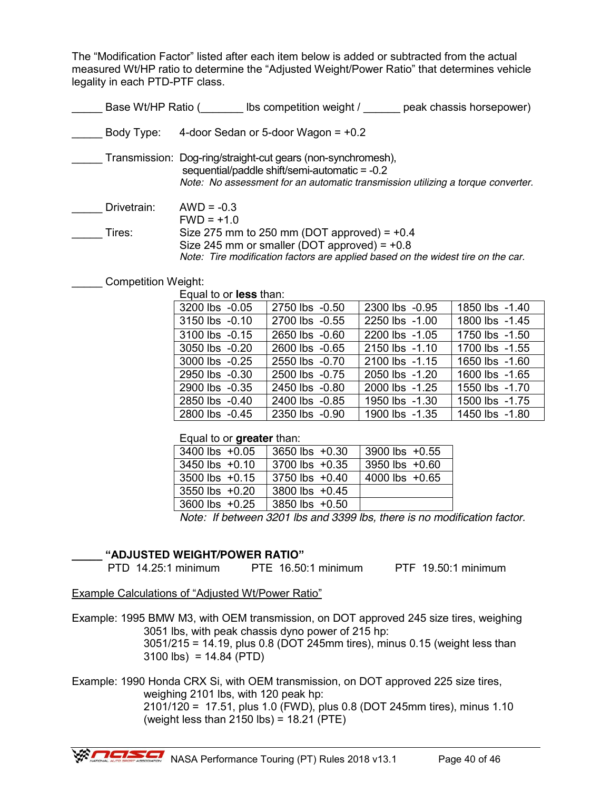The "Modification Factor" listed after each item below is added or subtracted from the actual measured Wt/HP ratio to determine the "Adjusted Weight/Power Ratio" that determines vehicle legality in each PTD-PTF class.

| Base Wt/HP Ratio ( | peak chassis horsepower)<br>Ibs competition weight /                                                                                                                                             |  |  |
|--------------------|--------------------------------------------------------------------------------------------------------------------------------------------------------------------------------------------------|--|--|
| Body Type:         | 4-door Sedan or 5-door Wagon = $+0.2$                                                                                                                                                            |  |  |
|                    | Transmission: Dog-ring/straight-cut gears (non-synchromesh),<br>sequential/paddle shift/semi-automatic = -0.2<br>Note: No assessment for an automatic transmission utilizing a torque converter. |  |  |
| Drivetrain:        | $AWD = -0.3$<br>$FWD = +1.0$                                                                                                                                                                     |  |  |
| Tires:             | Size 275 mm to 250 mm (DOT approved) = $+0.4$<br>Size 245 mm or smaller (DOT approved) = $+0.8$<br>Note: Tire modification factors are applied based on the widest tire on the car.              |  |  |

#### Competition Weight:

Equal to or **less** than:

| 3200 lbs -0.05 | 2750 lbs -0.50 | 2300 lbs -0.95 | 1850 lbs -1.40 |  |  |  |
|----------------|----------------|----------------|----------------|--|--|--|
| 3150 lbs -0.10 | 2700 lbs -0.55 | 2250 lbs -1.00 | 1800 lbs -1.45 |  |  |  |
| 3100 lbs -0.15 | 2650 lbs -0.60 | 2200 lbs -1.05 | 1750 lbs -1.50 |  |  |  |
| 3050 lbs -0.20 | 2600 lbs -0.65 | 2150 lbs -1.10 | 1700 lbs -1.55 |  |  |  |
| 3000 lbs -0.25 | 2550 lbs -0.70 | 2100 lbs -1.15 | 1650 lbs -1.60 |  |  |  |
| 2950 lbs -0.30 | 2500 lbs -0.75 | 2050 lbs -1.20 | 1600 lbs -1.65 |  |  |  |
| 2900 lbs -0.35 | 2450 lbs -0.80 | 2000 lbs -1.25 | 1550 lbs -1.70 |  |  |  |
| 2850 lbs -0.40 | 2400 lbs -0.85 | 1950 lbs -1.30 | 1500 lbs -1.75 |  |  |  |
| 2800 lbs -0.45 | 2350 lbs -0.90 | 1900 lbs -1.35 | 1450 lbs -1.80 |  |  |  |
|                |                |                |                |  |  |  |

Equal to or **greater** than:

| 3400 lbs +0.05     | $3650$ lbs $+0.30$ | 3900 lbs +0.55       |
|--------------------|--------------------|----------------------|
| $3450$ lbs $+0.10$ | $3700$ lbs $+0.35$ | 3950 lbs $+0.60$     |
| $3500$ lbs $+0.15$ | $3750$ lbs $+0.40$ | 4000 lbs $+0.65$     |
| $3550$ lbs $+0.20$ | 3800 lbs $+0.45$   |                      |
| 3600 lbs +0.25     | 3850 lbs +0.50     |                      |
|                    | .                  | $\sim$ $\sim$ $\sim$ |

*Note: If between 3201 lbs and 3399 lbs, there is no modification factor.*

#### **\_\_\_\_\_ "ADJUSTED WEIGHT/POWER RATIO"**

PTD 14.25:1 minimum PTE 16.50:1 minimum PTF 19.50:1 minimum

Example Calculations of "Adjusted Wt/Power Ratio"

Example: 1995 BMW M3, with OEM transmission, on DOT approved 245 size tires, weighing 3051 lbs, with peak chassis dyno power of 215 hp:

 3051/215 = 14.19, plus 0.8 (DOT 245mm tires), minus 0.15 (weight less than  $3100$  lbs) = 14.84 (PTD)

Example: 1990 Honda CRX Si, with OEM transmission, on DOT approved 225 size tires, weighing 2101 lbs, with 120 peak hp:

 2101/120 = 17.51, plus 1.0 (FWD), plus 0.8 (DOT 245mm tires), minus 1.10 (weight less than 2150 lbs) = 18.21 (PTE)

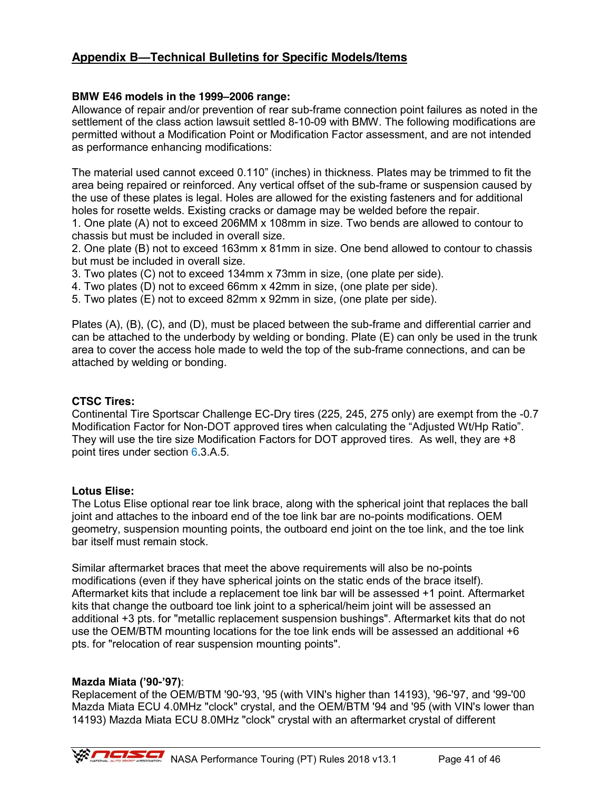### **Appendix B—Technical Bulletins for Specific Models/Items**

#### **BMW E46 models in the 1999–2006 range:**

Allowance of repair and/or prevention of rear sub-frame connection point failures as noted in the settlement of the class action lawsuit settled 8-10-09 with BMW. The following modifications are permitted without a Modification Point or Modification Factor assessment, and are not intended as performance enhancing modifications:

The material used cannot exceed 0.110" (inches) in thickness. Plates may be trimmed to fit the area being repaired or reinforced. Any vertical offset of the sub-frame or suspension caused by the use of these plates is legal. Holes are allowed for the existing fasteners and for additional holes for rosette welds. Existing cracks or damage may be welded before the repair.

1. One plate (A) not to exceed 206MM x 108mm in size. Two bends are allowed to contour to chassis but must be included in overall size.

2. One plate (B) not to exceed 163mm x 81mm in size. One bend allowed to contour to chassis but must be included in overall size.

3. Two plates (C) not to exceed 134mm x 73mm in size, (one plate per side).

4. Two plates (D) not to exceed 66mm x 42mm in size, (one plate per side).

5. Two plates (E) not to exceed 82mm x 92mm in size, (one plate per side).

Plates (A), (B), (C), and (D), must be placed between the sub-frame and differential carrier and can be attached to the underbody by welding or bonding. Plate (E) can only be used in the trunk area to cover the access hole made to weld the top of the sub-frame connections, and can be attached by welding or bonding.

#### **CTSC Tires:**

Continental Tire Sportscar Challenge EC-Dry tires (225, 245, 275 only) are exempt from the -0.7 Modification Factor for Non-DOT approved tires when calculating the "Adjusted Wt/Hp Ratio". They will use the tire size Modification Factors for DOT approved tires. As well, they are +8 point tires under section 6.3.A.5.

#### **Lotus Elise:**

The Lotus Elise optional rear toe link brace, along with the spherical joint that replaces the ball joint and attaches to the inboard end of the toe link bar are no-points modifications. OEM geometry, suspension mounting points, the outboard end joint on the toe link, and the toe link bar itself must remain stock.

Similar aftermarket braces that meet the above requirements will also be no-points modifications (even if they have spherical joints on the static ends of the brace itself). Aftermarket kits that include a replacement toe link bar will be assessed +1 point. Aftermarket kits that change the outboard toe link joint to a spherical/heim joint will be assessed an additional +3 pts. for "metallic replacement suspension bushings". Aftermarket kits that do not use the OEM/BTM mounting locations for the toe link ends will be assessed an additional +6 pts. for "relocation of rear suspension mounting points".

#### **Mazda Miata ('90-'97)**:

Replacement of the OEM/BTM '90-'93, '95 (with VIN's higher than 14193), '96-'97, and '99-'00 Mazda Miata ECU 4.0MHz "clock" crystal, and the OEM/BTM '94 and '95 (with VIN's lower than 14193) Mazda Miata ECU 8.0MHz "clock" crystal with an aftermarket crystal of different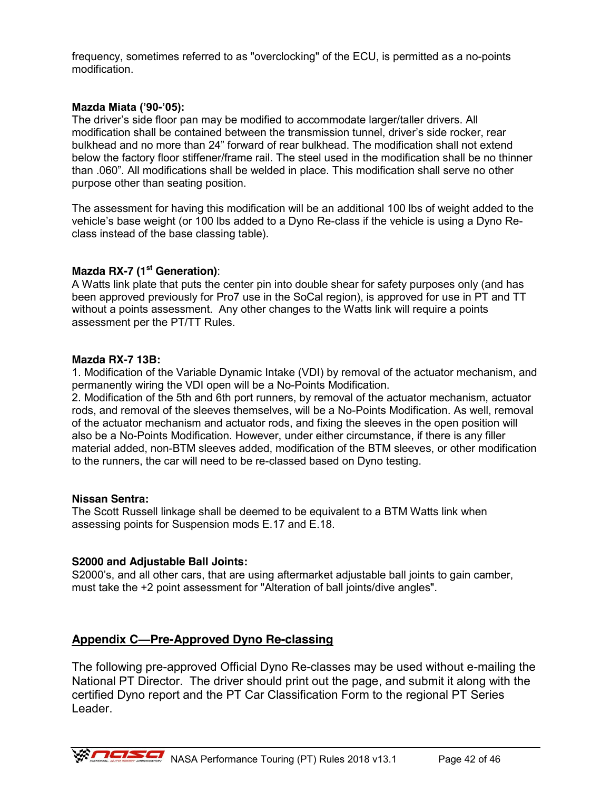frequency, sometimes referred to as "overclocking" of the ECU, is permitted as a no-points modification.

#### **Mazda Miata ('90-'05):**

The driver's side floor pan may be modified to accommodate larger/taller drivers. All modification shall be contained between the transmission tunnel, driver's side rocker, rear bulkhead and no more than 24" forward of rear bulkhead. The modification shall not extend below the factory floor stiffener/frame rail. The steel used in the modification shall be no thinner than .060". All modifications shall be welded in place. This modification shall serve no other purpose other than seating position.

The assessment for having this modification will be an additional 100 lbs of weight added to the vehicle's base weight (or 100 lbs added to a Dyno Re-class if the vehicle is using a Dyno Reclass instead of the base classing table).

#### **Mazda RX-7 (1st Generation)**:

A Watts link plate that puts the center pin into double shear for safety purposes only (and has been approved previously for Pro7 use in the SoCal region), is approved for use in PT and TT without a points assessment. Any other changes to the Watts link will require a points assessment per the PT/TT Rules.

#### **Mazda RX-7 13B:**

1. Modification of the Variable Dynamic Intake (VDI) by removal of the actuator mechanism, and permanently wiring the VDI open will be a No-Points Modification.

2. Modification of the 5th and 6th port runners, by removal of the actuator mechanism, actuator rods, and removal of the sleeves themselves, will be a No-Points Modification. As well, removal of the actuator mechanism and actuator rods, and fixing the sleeves in the open position will also be a No-Points Modification. However, under either circumstance, if there is any filler material added, non-BTM sleeves added, modification of the BTM sleeves, or other modification to the runners, the car will need to be re-classed based on Dyno testing.

#### **Nissan Sentra:**

The Scott Russell linkage shall be deemed to be equivalent to a BTM Watts link when assessing points for Suspension mods E.17 and E.18.

#### **S2000 and Adjustable Ball Joints:**

S2000's, and all other cars, that are using aftermarket adjustable ball joints to gain camber, must take the +2 point assessment for "Alteration of ball joints/dive angles".

#### **Appendix C—Pre-Approved Dyno Re-classing**

The following pre-approved Official Dyno Re-classes may be used without e-mailing the National PT Director. The driver should print out the page, and submit it along with the certified Dyno report and the PT Car Classification Form to the regional PT Series Leader.

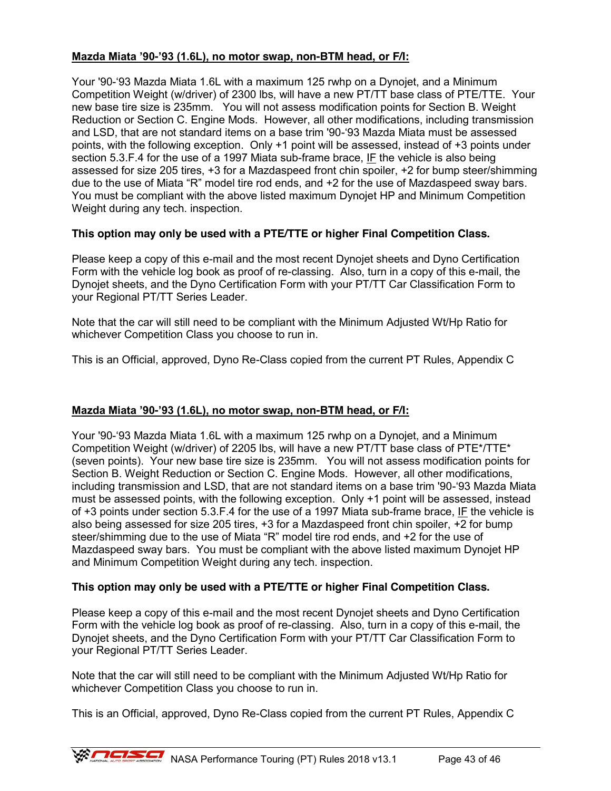#### **Mazda Miata '90-'93 (1.6L), no motor swap, non-BTM head, or F/I:**

Your '90-'93 Mazda Miata 1.6L with a maximum 125 rwhp on a Dynojet, and a Minimum Competition Weight (w/driver) of 2300 lbs, will have a new PT/TT base class of PTE/TTE. Your new base tire size is 235mm. You will not assess modification points for Section B. Weight Reduction or Section C. Engine Mods. However, all other modifications, including transmission and LSD, that are not standard items on a base trim '90-'93 Mazda Miata must be assessed points, with the following exception. Only +1 point will be assessed, instead of +3 points under section 5.3.F.4 for the use of a 1997 Miata sub-frame brace, IF the vehicle is also being assessed for size 205 tires, +3 for a Mazdaspeed front chin spoiler, +2 for bump steer/shimming due to the use of Miata "R" model tire rod ends, and +2 for the use of Mazdaspeed sway bars. You must be compliant with the above listed maximum Dynojet HP and Minimum Competition Weight during any tech. inspection.

#### **This option may only be used with a PTE/TTE or higher Final Competition Class.**

Please keep a copy of this e-mail and the most recent Dynojet sheets and Dyno Certification Form with the vehicle log book as proof of re-classing. Also, turn in a copy of this e-mail, the Dynojet sheets, and the Dyno Certification Form with your PT/TT Car Classification Form to your Regional PT/TT Series Leader.

Note that the car will still need to be compliant with the Minimum Adjusted Wt/Hp Ratio for whichever Competition Class you choose to run in.

This is an Official, approved, Dyno Re-Class copied from the current PT Rules, Appendix C

#### **Mazda Miata '90-'93 (1.6L), no motor swap, non-BTM head, or F/I:**

Your '90-'93 Mazda Miata 1.6L with a maximum 125 rwhp on a Dynojet, and a Minimum Competition Weight (w/driver) of 2205 lbs, will have a new PT/TT base class of PTE\*/TTE\* (seven points). Your new base tire size is 235mm. You will not assess modification points for Section B. Weight Reduction or Section C. Engine Mods. However, all other modifications, including transmission and LSD, that are not standard items on a base trim '90-'93 Mazda Miata must be assessed points, with the following exception. Only +1 point will be assessed, instead of +3 points under section 5.3.F.4 for the use of a 1997 Miata sub-frame brace, IF the vehicle is also being assessed for size 205 tires, +3 for a Mazdaspeed front chin spoiler, +2 for bump steer/shimming due to the use of Miata "R" model tire rod ends, and +2 for the use of Mazdaspeed sway bars. You must be compliant with the above listed maximum Dynojet HP and Minimum Competition Weight during any tech. inspection.

#### **This option may only be used with a PTE/TTE or higher Final Competition Class.**

Please keep a copy of this e-mail and the most recent Dynojet sheets and Dyno Certification Form with the vehicle log book as proof of re-classing. Also, turn in a copy of this e-mail, the Dynojet sheets, and the Dyno Certification Form with your PT/TT Car Classification Form to your Regional PT/TT Series Leader.

Note that the car will still need to be compliant with the Minimum Adjusted Wt/Hp Ratio for whichever Competition Class you choose to run in.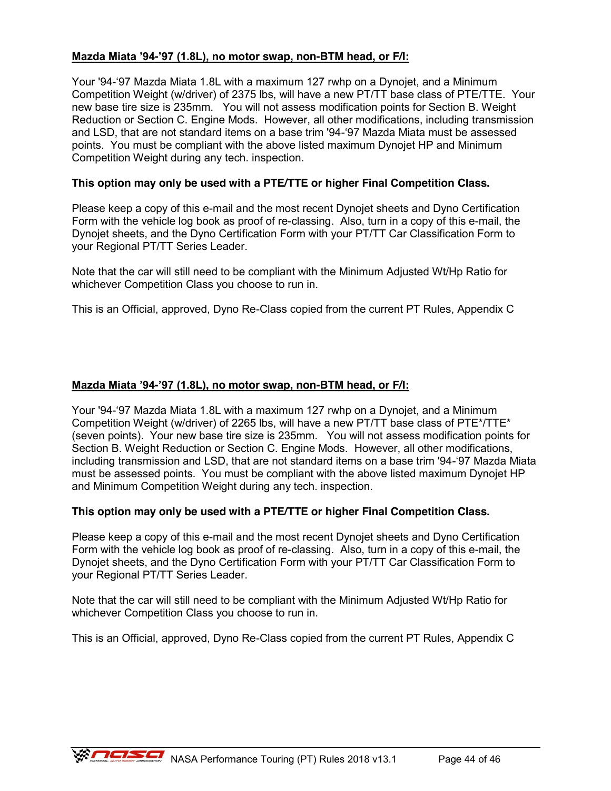#### **Mazda Miata '94-'97 (1.8L), no motor swap, non-BTM head, or F/I:**

Your '94-'97 Mazda Miata 1.8L with a maximum 127 rwhp on a Dynojet, and a Minimum Competition Weight (w/driver) of 2375 lbs, will have a new PT/TT base class of PTE/TTE. Your new base tire size is 235mm. You will not assess modification points for Section B. Weight Reduction or Section C. Engine Mods. However, all other modifications, including transmission and LSD, that are not standard items on a base trim '94-'97 Mazda Miata must be assessed points. You must be compliant with the above listed maximum Dynojet HP and Minimum Competition Weight during any tech. inspection.

#### **This option may only be used with a PTE/TTE or higher Final Competition Class.**

Please keep a copy of this e-mail and the most recent Dynojet sheets and Dyno Certification Form with the vehicle log book as proof of re-classing. Also, turn in a copy of this e-mail, the Dynojet sheets, and the Dyno Certification Form with your PT/TT Car Classification Form to your Regional PT/TT Series Leader.

Note that the car will still need to be compliant with the Minimum Adjusted Wt/Hp Ratio for whichever Competition Class you choose to run in.

This is an Official, approved, Dyno Re-Class copied from the current PT Rules, Appendix C

#### **Mazda Miata '94-'97 (1.8L), no motor swap, non-BTM head, or F/I:**

Your '94-'97 Mazda Miata 1.8L with a maximum 127 rwhp on a Dynojet, and a Minimum Competition Weight (w/driver) of 2265 lbs, will have a new PT/TT base class of PTE\*/TTE\* (seven points). Your new base tire size is 235mm. You will not assess modification points for Section B. Weight Reduction or Section C. Engine Mods. However, all other modifications, including transmission and LSD, that are not standard items on a base trim '94-'97 Mazda Miata must be assessed points. You must be compliant with the above listed maximum Dynojet HP and Minimum Competition Weight during any tech. inspection.

#### **This option may only be used with a PTE/TTE or higher Final Competition Class.**

Please keep a copy of this e-mail and the most recent Dynojet sheets and Dyno Certification Form with the vehicle log book as proof of re-classing. Also, turn in a copy of this e-mail, the Dynojet sheets, and the Dyno Certification Form with your PT/TT Car Classification Form to your Regional PT/TT Series Leader.

Note that the car will still need to be compliant with the Minimum Adjusted Wt/Hp Ratio for whichever Competition Class you choose to run in.

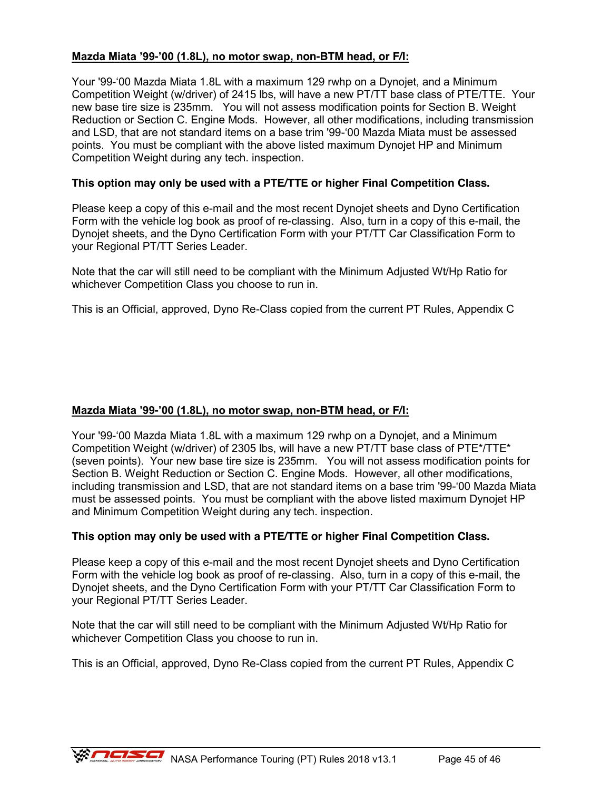#### **Mazda Miata '99-'00 (1.8L), no motor swap, non-BTM head, or F/I:**

Your '99-'00 Mazda Miata 1.8L with a maximum 129 rwhp on a Dynojet, and a Minimum Competition Weight (w/driver) of 2415 lbs, will have a new PT/TT base class of PTE/TTE. Your new base tire size is 235mm. You will not assess modification points for Section B. Weight Reduction or Section C. Engine Mods. However, all other modifications, including transmission and LSD, that are not standard items on a base trim '99-'00 Mazda Miata must be assessed points. You must be compliant with the above listed maximum Dynojet HP and Minimum Competition Weight during any tech. inspection.

#### **This option may only be used with a PTE/TTE or higher Final Competition Class.**

Please keep a copy of this e-mail and the most recent Dynojet sheets and Dyno Certification Form with the vehicle log book as proof of re-classing. Also, turn in a copy of this e-mail, the Dynojet sheets, and the Dyno Certification Form with your PT/TT Car Classification Form to your Regional PT/TT Series Leader.

Note that the car will still need to be compliant with the Minimum Adjusted Wt/Hp Ratio for whichever Competition Class you choose to run in.

This is an Official, approved, Dyno Re-Class copied from the current PT Rules, Appendix C

#### **Mazda Miata '99-'00 (1.8L), no motor swap, non-BTM head, or F/I:**

Your '99-'00 Mazda Miata 1.8L with a maximum 129 rwhp on a Dynojet, and a Minimum Competition Weight (w/driver) of 2305 lbs, will have a new PT/TT base class of PTE\*/TTE\* (seven points). Your new base tire size is 235mm. You will not assess modification points for Section B. Weight Reduction or Section C. Engine Mods. However, all other modifications, including transmission and LSD, that are not standard items on a base trim '99-'00 Mazda Miata must be assessed points. You must be compliant with the above listed maximum Dynojet HP and Minimum Competition Weight during any tech. inspection.

#### **This option may only be used with a PTE/TTE or higher Final Competition Class.**

Please keep a copy of this e-mail and the most recent Dynojet sheets and Dyno Certification Form with the vehicle log book as proof of re-classing. Also, turn in a copy of this e-mail, the Dynojet sheets, and the Dyno Certification Form with your PT/TT Car Classification Form to your Regional PT/TT Series Leader.

Note that the car will still need to be compliant with the Minimum Adjusted Wt/Hp Ratio for whichever Competition Class you choose to run in.